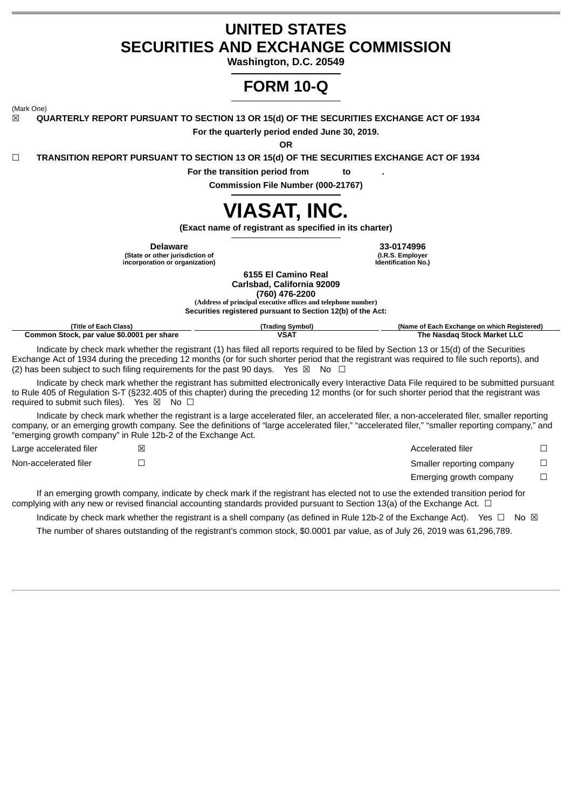# **UNITED STATES SECURITIES AND EXCHANGE COMMISSION**

**Washington, D.C. 20549**

# **FORM 10-Q**

(Mark One)

☒ **QUARTERLY REPORT PURSUANT TO SECTION 13 OR 15(d) OF THE SECURITIES EXCHANGE ACT OF 1934**

**For the quarterly period ended June 30, 2019.**

**OR**

☐ **TRANSITION REPORT PURSUANT TO SECTION 13 OR 15(d) OF THE SECURITIES EXCHANGE ACT OF 1934**

**For the transition period from** 

**Commission File Number (000-21767)**

# **VIASAT, INC.**

**(Exact name of registrant as specified in its charter)**

**(State or other jurisdiction of incorporation or organization)**

**Delaware 33-0174996 (I.R.S. Employer Identification No.)**

**6155 El Camino Real**

**Carlsbad, California 92009 (760) 476-2200**

**(Address of principal executive offices and telephone number)**

**Securities registered pursuant to Section 12(b) of the Act:**

| (Title of Each Class)                      | (Trading Svmbol) | (Name of Each Exchange on which Registered) |
|--------------------------------------------|------------------|---------------------------------------------|
| Common Stock, par value \$0.0001 per share | VSAT             | The Nasdag Stock Market LLC                 |

Indicate by check mark whether the registrant (1) has filed all reports required to be filed by Section 13 or 15(d) of the Securities Exchange Act of 1934 during the preceding 12 months (or for such shorter period that the registrant was required to file such reports), and (2) has been subject to such filing requirements for the past 90 days. Yes  $\boxtimes$  No  $\Box$ 

Indicate by check mark whether the registrant has submitted electronically every Interactive Data File required to be submitted pursuant to Rule 405 of Regulation S-T (§232.405 of this chapter) during the preceding 12 months (or for such shorter period that the registrant was required to submit such files). Yes  $\boxtimes$  No  $\Box$ required to submit such files).

Indicate by check mark whether the registrant is a large accelerated filer, an accelerated filer, a non-accelerated filer, smaller reporting company, or an emerging growth company. See the definitions of "large accelerated filer," "accelerated filer," "smaller reporting company," and "emerging growth company" in Rule 12b-2 of the Exchange Act.

| Large accelerated filer | ⊠ | Accelerated filer         |  |
|-------------------------|---|---------------------------|--|
| Non-accelerated filer   |   | Smaller reporting company |  |
|                         |   | Emerging growth company   |  |

If an emerging growth company, indicate by check mark if the registrant has elected not to use the extended transition period for complying with any new or revised financial accounting standards provided pursuant to Section 13(a) of the Exchange Act.  $\Box$ 

Indicate by check mark whether the registrant is a shell company (as defined in Rule 12b-2 of the Exchange Act). Yes  $\Box$  No  $\boxtimes$ 

The number of shares outstanding of the registrant's common stock, \$0.0001 par value, as of July 26, 2019 was 61,296,789.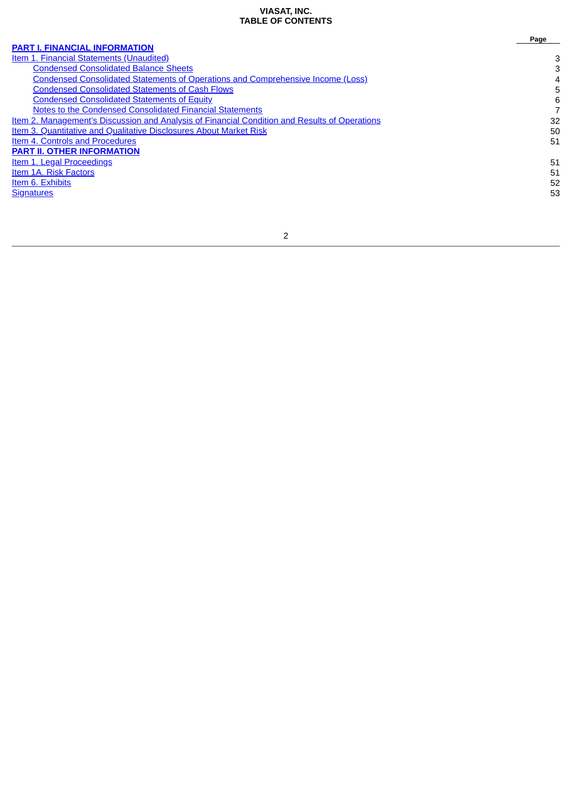#### **VIASAT, INC. TABLE OF CONTENTS**

|                                                                                                      | Page |
|------------------------------------------------------------------------------------------------------|------|
| <b>PART I. FINANCIAL INFORMATION</b>                                                                 |      |
| <b>Item 1. Financial Statements (Unaudited)</b>                                                      | 3    |
| <b>Condensed Consolidated Balance Sheets</b>                                                         | 3    |
| <b>Condensed Consolidated Statements of Operations and Comprehensive Income (Loss)</b>               |      |
| <b>Condensed Consolidated Statements of Cash Flows</b>                                               | 5    |
| <b>Condensed Consolidated Statements of Equity</b>                                                   | 6    |
| Notes to the Condensed Consolidated Financial Statements                                             |      |
| <u>Item 2. Management's Discussion and Analysis of Financial Condition and Results of Operations</u> | 32   |
| <b>Item 3. Quantitative and Qualitative Disclosures About Market Risk</b>                            | 50   |
| Item 4. Controls and Procedures                                                                      | 51   |
| <b>PART II. OTHER INFORMATION</b>                                                                    |      |
| <b>Item 1. Legal Proceedings</b>                                                                     | 51   |
| <b>Item 1A. Risk Factors</b>                                                                         | 51   |
| Item 6. Exhibits                                                                                     | 52   |
| <b>Signatures</b>                                                                                    | 53   |
|                                                                                                      |      |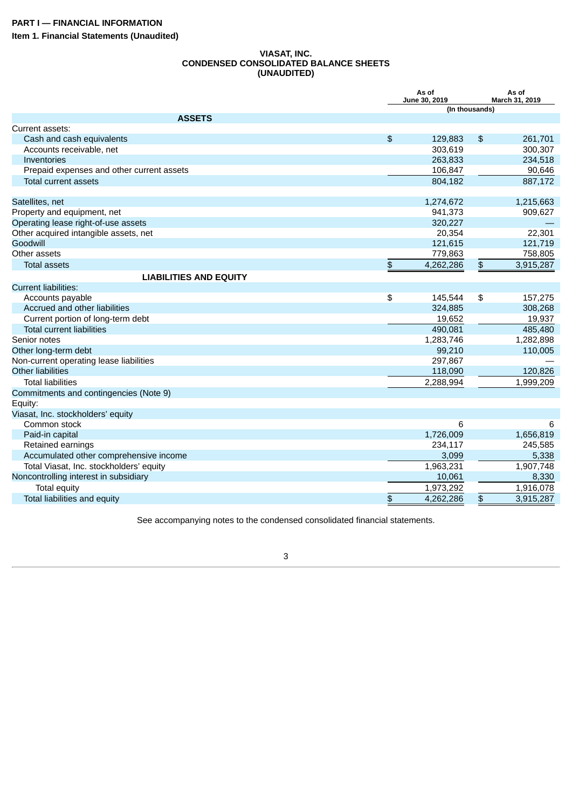#### **VIASAT, INC. CONDENSED CONSOLIDATED BALANCE SHEETS (UNAUDITED)**

<span id="page-2-2"></span><span id="page-2-1"></span><span id="page-2-0"></span>

|                                           |                | As of<br>June 30, 2019 | As of<br>March 31, 2019 |           |
|-------------------------------------------|----------------|------------------------|-------------------------|-----------|
|                                           |                |                        | (In thousands)          |           |
| <b>ASSETS</b>                             |                |                        |                         |           |
| Current assets:                           |                |                        |                         |           |
| Cash and cash equivalents                 | $\mathfrak{D}$ | 129,883                | \$                      | 261,701   |
| Accounts receivable, net                  |                | 303,619                |                         | 300,307   |
| Inventories                               |                | 263,833                |                         | 234,518   |
| Prepaid expenses and other current assets |                | 106,847                |                         | 90,646    |
| <b>Total current assets</b>               |                | 804,182                |                         | 887,172   |
| Satellites, net                           |                | 1,274,672              |                         | 1,215,663 |
| Property and equipment, net               |                | 941,373                |                         | 909,627   |
| Operating lease right-of-use assets       |                | 320,227                |                         |           |
| Other acquired intangible assets, net     |                | 20,354                 |                         | 22,301    |
| Goodwill                                  |                | 121,615                |                         | 121,719   |
| Other assets                              |                | 779,863                |                         | 758,805   |
| <b>Total assets</b>                       | \$             | 4,262,286              | \$                      | 3,915,287 |
| <b>LIABILITIES AND EQUITY</b>             |                |                        |                         |           |
| <b>Current liabilities:</b>               |                |                        |                         |           |
| Accounts payable                          | \$             | 145,544                | \$                      | 157,275   |
| Accrued and other liabilities             |                | 324,885                |                         | 308,268   |
| Current portion of long-term debt         |                | 19,652                 |                         | 19,937    |
| <b>Total current liabilities</b>          |                | 490,081                |                         | 485,480   |
| Senior notes                              |                | 1,283,746              |                         | 1,282,898 |
| Other long-term debt                      |                | 99,210                 |                         | 110,005   |
| Non-current operating lease liabilities   |                | 297,867                |                         |           |
| <b>Other liabilities</b>                  |                | 118,090                |                         | 120,826   |
| <b>Total liabilities</b>                  |                | 2,288,994              |                         | 1,999,209 |
| Commitments and contingencies (Note 9)    |                |                        |                         |           |
| Equity:                                   |                |                        |                         |           |
| Viasat, Inc. stockholders' equity         |                |                        |                         |           |
| Common stock                              |                | 6                      |                         | 6         |
| Paid-in capital                           |                | 1,726,009              |                         | 1,656,819 |
| Retained earnings                         |                | 234,117                |                         | 245,585   |
| Accumulated other comprehensive income    |                | 3,099                  |                         | 5,338     |
| Total Viasat, Inc. stockholders' equity   |                | 1,963,231              |                         | 1,907,748 |
| Noncontrolling interest in subsidiary     |                | 10,061                 |                         | 8,330     |
| <b>Total equity</b>                       |                | 1,973,292              |                         | 1,916,078 |
| Total liabilities and equity              | \$             | 4,262,286              | \$                      | 3,915,287 |

See accompanying notes to the condensed consolidated financial statements.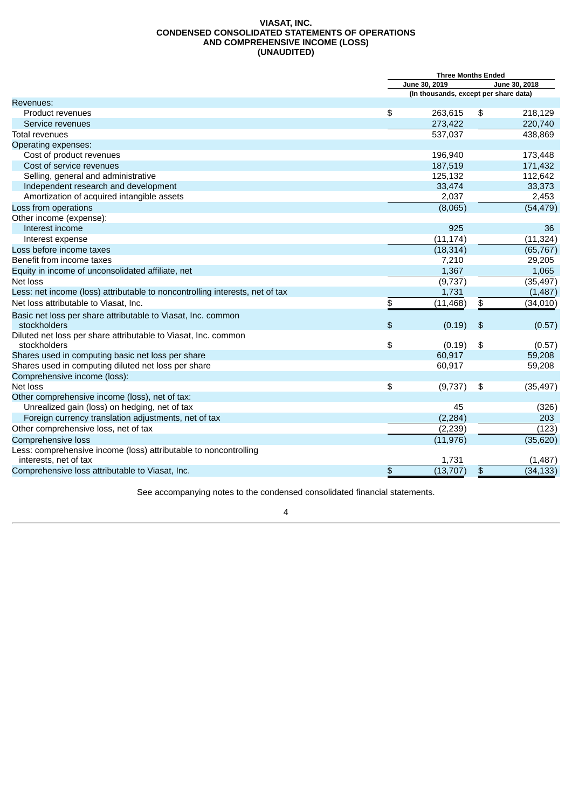# **VIASAT, INC. CONDENSED CONSOLIDATED STATEMENTS OF OPERATIONS AND COMPREHENSIVE INCOME (LOSS) (UNAUDITED)**

<span id="page-3-0"></span>

|                                                                              |                | <b>Three Months Ended</b>             |    |               |
|------------------------------------------------------------------------------|----------------|---------------------------------------|----|---------------|
|                                                                              |                | June 30, 2019                         |    | June 30, 2018 |
|                                                                              |                | (In thousands, except per share data) |    |               |
| Revenues:                                                                    |                |                                       |    |               |
| Product revenues                                                             | \$             | 263,615                               | \$ | 218,129       |
| Service revenues                                                             |                | 273,422                               |    | 220,740       |
| <b>Total revenues</b>                                                        |                | 537,037                               |    | 438,869       |
| Operating expenses:                                                          |                |                                       |    |               |
| Cost of product revenues                                                     |                | 196,940                               |    | 173,448       |
| Cost of service revenues                                                     |                | 187,519                               |    | 171,432       |
| Selling, general and administrative                                          |                | 125,132                               |    | 112,642       |
| Independent research and development                                         |                | 33,474                                |    | 33,373        |
| Amortization of acquired intangible assets                                   |                | 2,037                                 |    | 2,453         |
| Loss from operations                                                         |                | (8,065)                               |    | (54, 479)     |
| Other income (expense):                                                      |                |                                       |    |               |
| Interest income                                                              |                | 925                                   |    | 36            |
| Interest expense                                                             |                | (11, 174)                             |    | (11, 324)     |
| Loss before income taxes                                                     |                | (18, 314)                             |    | (65, 767)     |
| Benefit from income taxes                                                    |                | 7,210                                 |    | 29,205        |
| Equity in income of unconsolidated affiliate, net                            |                | 1,367                                 |    | 1,065         |
| Net loss                                                                     |                | (9,737)                               |    | (35, 497)     |
| Less: net income (loss) attributable to noncontrolling interests, net of tax |                | 1,731                                 |    | (1, 487)      |
| Net loss attributable to Viasat, Inc.                                        | \$             | (11, 468)                             | \$ | (34, 010)     |
| Basic net loss per share attributable to Viasat, Inc. common                 |                |                                       |    |               |
| stockholders                                                                 | $\mathfrak{P}$ | (0.19)                                | \$ | (0.57)        |
| Diluted net loss per share attributable to Viasat, Inc. common               |                |                                       |    |               |
| stockholders                                                                 | \$             | (0.19)                                | \$ | (0.57)        |
| Shares used in computing basic net loss per share                            |                | 60,917                                |    | 59,208        |
| Shares used in computing diluted net loss per share                          |                | 60,917                                |    | 59,208        |
| Comprehensive income (loss):                                                 |                |                                       |    |               |
| Net loss                                                                     | \$             | (9,737)                               | \$ | (35, 497)     |
| Other comprehensive income (loss), net of tax:                               |                |                                       |    |               |
| Unrealized gain (loss) on hedging, net of tax                                |                | 45                                    |    | (326)         |
| Foreign currency translation adjustments, net of tax                         |                | (2, 284)                              |    | 203           |
| Other comprehensive loss, net of tax                                         |                | (2, 239)                              |    | (123)         |
| <b>Comprehensive loss</b>                                                    |                | (11, 976)                             |    | (35, 620)     |
| Less: comprehensive income (loss) attributable to noncontrolling             |                |                                       |    |               |
| interests, net of tax                                                        |                | 1,731                                 |    | (1, 487)      |
| Comprehensive loss attributable to Viasat, Inc.                              | \$             | (13, 707)                             | \$ | (34, 133)     |
|                                                                              |                |                                       |    |               |

See accompanying notes to the condensed consolidated financial statements.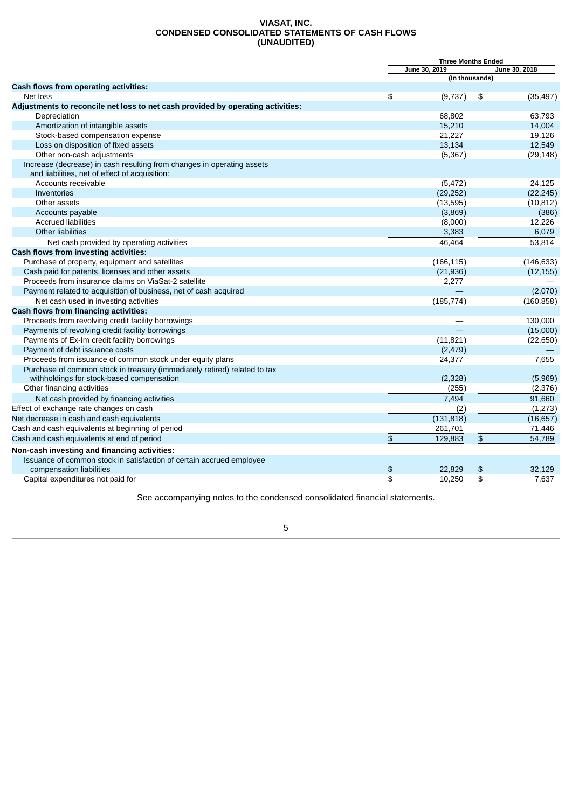#### **VIASAT, INC. CONDENSED CONSOLIDATED STATEMENTS OF CASH FLOWS (UNAUDITED)**

<span id="page-4-0"></span>

|                                                                                                                          | <b>Three Months Ended</b> |    |               |
|--------------------------------------------------------------------------------------------------------------------------|---------------------------|----|---------------|
|                                                                                                                          | June 30, 2019             |    | June 30, 2018 |
| Cash flows from operating activities:                                                                                    | (In thousands)            |    |               |
| Net loss                                                                                                                 | \$<br>(9,737)             | \$ | (35, 497)     |
| Adjustments to reconcile net loss to net cash provided by operating activities:                                          |                           |    |               |
| Depreciation                                                                                                             | 68,802                    |    | 63,793        |
| Amortization of intangible assets                                                                                        | 15,210                    |    | 14,004        |
| Stock-based compensation expense                                                                                         | 21,227                    |    | 19,126        |
| Loss on disposition of fixed assets                                                                                      | 13,134                    |    | 12,549        |
| Other non-cash adjustments                                                                                               | (5, 367)                  |    | (29, 148)     |
| Increase (decrease) in cash resulting from changes in operating assets<br>and liabilities, net of effect of acquisition: |                           |    |               |
| Accounts receivable                                                                                                      | (5, 472)                  |    | 24,125        |
| Inventories                                                                                                              | (29, 252)                 |    | (22, 245)     |
| Other assets                                                                                                             | (13,595)                  |    | (10, 812)     |
| Accounts payable                                                                                                         | (3,869)                   |    | (386)         |
| <b>Accrued liabilities</b>                                                                                               | (8,000)                   |    | 12,226        |
| <b>Other liabilities</b>                                                                                                 | 3,383                     |    | 6,079         |
| Net cash provided by operating activities                                                                                | 46,464                    |    | 53,814        |
| Cash flows from investing activities:                                                                                    |                           |    |               |
| Purchase of property, equipment and satellites                                                                           | (166, 115)                |    | (146, 633)    |
| Cash paid for patents, licenses and other assets                                                                         | (21, 936)                 |    | (12, 155)     |
| Proceeds from insurance claims on ViaSat-2 satellite                                                                     | 2,277                     |    |               |
| Payment related to acquisition of business, net of cash acquired                                                         |                           |    | (2,070)       |
| Net cash used in investing activities                                                                                    | (185, 774)                |    | (160, 858)    |
| Cash flows from financing activities:                                                                                    |                           |    |               |
| Proceeds from revolving credit facility borrowings                                                                       |                           |    | 130,000       |
| Payments of revolving credit facility borrowings                                                                         |                           |    | (15,000)      |
| Payments of Ex-Im credit facility borrowings                                                                             | (11, 821)                 |    | (22, 650)     |
| Payment of debt issuance costs                                                                                           | (2, 479)                  |    |               |
| Proceeds from issuance of common stock under equity plans                                                                | 24,377                    |    | 7,655         |
| Purchase of common stock in treasury (immediately retired) related to tax                                                |                           |    |               |
| withholdings for stock-based compensation                                                                                | (2,328)                   |    | (5,969)       |
| Other financing activities                                                                                               | (255)                     |    | (2,376)       |
| Net cash provided by financing activities                                                                                | 7,494                     |    | 91,660        |
| Effect of exchange rate changes on cash                                                                                  | (2)                       |    | (1, 273)      |
| Net decrease in cash and cash equivalents                                                                                | (131, 818)                |    | (16, 657)     |
| Cash and cash equivalents at beginning of period                                                                         | 261,701                   |    | 71,446        |
| Cash and cash equivalents at end of period                                                                               | \$<br>129,883             | \$ | 54,789        |
| Non-cash investing and financing activities:                                                                             |                           |    |               |
| Issuance of common stock in satisfaction of certain accrued employee                                                     |                           |    |               |
| compensation liabilities                                                                                                 | \$<br>22,829              | \$ | 32,129        |
| Capital expenditures not paid for                                                                                        | \$<br>10,250              | \$ | 7,637         |

See accompanying notes to the condensed consolidated financial statements.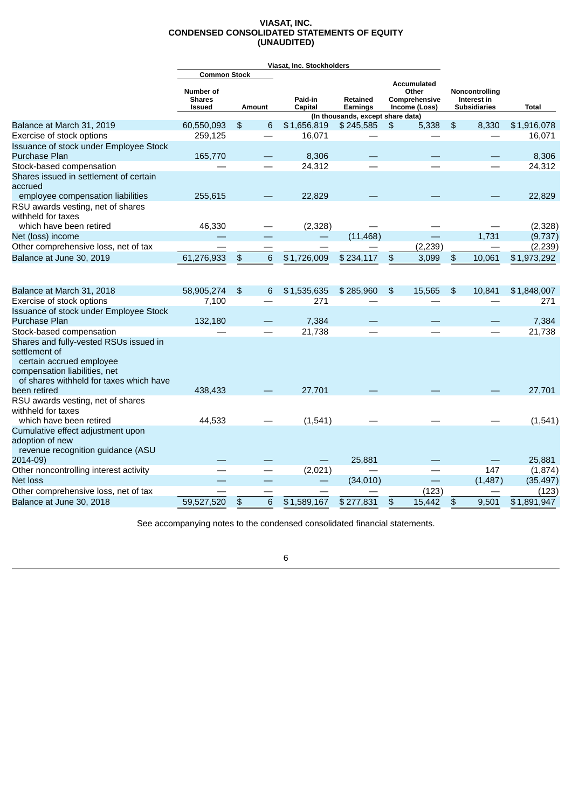#### **VIASAT, INC. CONDENSED CONSOLIDATED STATEMENTS OF EQUITY (UNAUDITED)**

<span id="page-5-0"></span>

|                                                                                                                                                                 |                                             |                       | Viasat, Inc. Stockholders |                                   |                                                               |                                                      |              |
|-----------------------------------------------------------------------------------------------------------------------------------------------------------------|---------------------------------------------|-----------------------|---------------------------|-----------------------------------|---------------------------------------------------------------|------------------------------------------------------|--------------|
|                                                                                                                                                                 | <b>Common Stock</b>                         |                       |                           |                                   |                                                               |                                                      |              |
|                                                                                                                                                                 | Number of<br><b>Shares</b><br><b>Issued</b> | Amount                | Paid-in<br>Capital        | Retained<br>Earnings              | <b>Accumulated</b><br>Other<br>Comprehensive<br>Income (Loss) | Noncontrolling<br>Interest in<br><b>Subsidiaries</b> | <b>Total</b> |
|                                                                                                                                                                 |                                             |                       |                           | (In thousands, except share data) |                                                               |                                                      |              |
| Balance at March 31, 2019                                                                                                                                       | 60,550,093                                  | \$<br>6               | \$1,656,819               | \$245,585                         | 5,338<br>\$                                                   | \$<br>8,330                                          | \$1,916,078  |
| Exercise of stock options                                                                                                                                       | 259,125                                     |                       | 16,071                    |                                   |                                                               |                                                      | 16,071       |
| Issuance of stock under Employee Stock                                                                                                                          |                                             |                       |                           |                                   |                                                               |                                                      |              |
| <b>Purchase Plan</b>                                                                                                                                            | 165,770                                     |                       | 8,306                     |                                   |                                                               |                                                      | 8,306        |
| Stock-based compensation<br>Shares issued in settlement of certain<br>accrued                                                                                   |                                             |                       | 24,312                    |                                   |                                                               |                                                      | 24,312       |
| employee compensation liabilities                                                                                                                               | 255,615                                     |                       | 22,829                    |                                   |                                                               |                                                      | 22,829       |
| RSU awards vesting, net of shares<br>withheld for taxes                                                                                                         |                                             |                       |                           |                                   |                                                               |                                                      |              |
| which have been retired                                                                                                                                         | 46,330                                      |                       | (2,328)                   |                                   |                                                               |                                                      | (2,328)      |
| Net (loss) income                                                                                                                                               |                                             |                       |                           | (11, 468)                         |                                                               | 1,731                                                | (9,737)      |
| Other comprehensive loss, net of tax                                                                                                                            |                                             |                       |                           |                                   | (2, 239)                                                      |                                                      | (2, 239)     |
| Balance at June 30, 2019                                                                                                                                        | 61,276,933                                  | $6\phantom{1}6$<br>\$ | \$1,726,009               | \$234,117                         | \$<br>3,099                                                   | \$<br>10,061                                         | \$1,973,292  |
| Balance at March 31, 2018                                                                                                                                       | 58,905,274                                  | \$                    | \$1,535,635               | \$285,960                         | $\frac{1}{2}$<br>15,565                                       | \$<br>10,841                                         | \$1,848,007  |
|                                                                                                                                                                 |                                             | 6                     | 271                       |                                   |                                                               |                                                      | 271          |
| Exercise of stock options<br><b>Issuance of stock under Employee Stock</b>                                                                                      | 7,100                                       |                       |                           |                                   |                                                               |                                                      |              |
| <b>Purchase Plan</b>                                                                                                                                            | 132,180                                     |                       | 7,384                     |                                   |                                                               |                                                      | 7,384        |
| Stock-based compensation                                                                                                                                        |                                             |                       | 21,738                    |                                   |                                                               |                                                      | 21,738       |
| Shares and fully-vested RSUs issued in<br>settlement of<br>certain accrued employee<br>compensation liabilities, net<br>of shares withheld for taxes which have |                                             |                       |                           |                                   |                                                               |                                                      |              |
| been retired                                                                                                                                                    | 438,433                                     |                       | 27,701                    |                                   |                                                               |                                                      | 27,701       |
| RSU awards vesting, net of shares<br>withheld for taxes                                                                                                         |                                             |                       |                           |                                   |                                                               |                                                      |              |
| which have been retired                                                                                                                                         | 44,533                                      |                       | (1, 541)                  |                                   |                                                               |                                                      | (1, 541)     |
| Cumulative effect adjustment upon<br>adoption of new<br>revenue recognition guidance (ASU                                                                       |                                             |                       |                           |                                   |                                                               |                                                      |              |
| 2014-09)                                                                                                                                                        |                                             |                       |                           | 25,881                            |                                                               |                                                      | 25,881       |
| Other noncontrolling interest activity                                                                                                                          |                                             |                       | (2,021)                   |                                   |                                                               | 147                                                  | (1,874)      |
| <b>Net loss</b>                                                                                                                                                 |                                             |                       |                           | (34, 010)                         |                                                               | (1, 487)                                             | (35, 497)    |
| Other comprehensive loss, net of tax                                                                                                                            |                                             |                       |                           |                                   | (123)                                                         |                                                      | (123)        |
| Balance at June 30, 2018                                                                                                                                        | 59,527,520                                  | $6\phantom{1}$<br>\$  | \$1,589,167               | \$277,831                         | $\mathfrak{P}$<br>15.442                                      | 9,501<br>\$                                          | \$1,891,947  |

See accompanying notes to the condensed consolidated financial statements.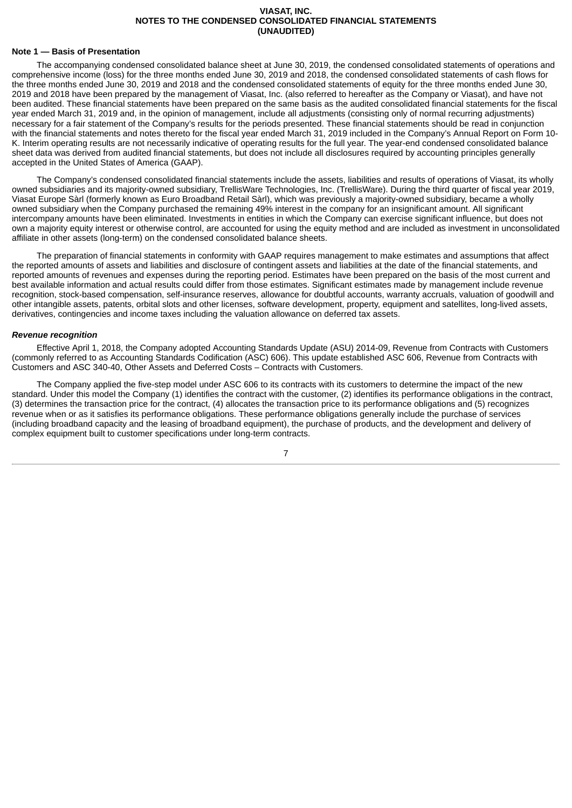#### <span id="page-6-0"></span>**Note 1 — Basis of Presentation**

The accompanying condensed consolidated balance sheet at June 30, 2019, the condensed consolidated statements of operations and comprehensive income (loss) for the three months ended June 30, 2019 and 2018, the condensed consolidated statements of cash flows for the three months ended June 30, 2019 and 2018 and the condensed consolidated statements of equity for the three months ended June 30, 2019 and 2018 have been prepared by the management of Viasat, Inc. (also referred to hereafter as the Company or Viasat), and have not been audited. These financial statements have been prepared on the same basis as the audited consolidated financial statements for the fiscal year ended March 31, 2019 and, in the opinion of management, include all adjustments (consisting only of normal recurring adjustments) necessary for a fair statement of the Company's results for the periods presented. These financial statements should be read in conjunction with the financial statements and notes thereto for the fiscal year ended March 31, 2019 included in the Company's Annual Report on Form 10- K. Interim operating results are not necessarily indicative of operating results for the full year. The year-end condensed consolidated balance sheet data was derived from audited financial statements, but does not include all disclosures required by accounting principles generally accepted in the United States of America (GAAP).

The Company's condensed consolidated financial statements include the assets, liabilities and results of operations of Viasat, its wholly owned subsidiaries and its majority-owned subsidiary, TrellisWare Technologies, Inc. (TrellisWare). During the third quarter of fiscal year 2019, Viasat Europe Sàrl (formerly known as Euro Broadband Retail Sàrl), which was previously a majority-owned subsidiary, became a wholly owned subsidiary when the Company purchased the remaining 49% interest in the company for an insignificant amount. All significant intercompany amounts have been eliminated. Investments in entities in which the Company can exercise significant influence, but does not own a majority equity interest or otherwise control, are accounted for using the equity method and are included as investment in unconsolidated affiliate in other assets (long-term) on the condensed consolidated balance sheets.

The preparation of financial statements in conformity with GAAP requires management to make estimates and assumptions that affect the reported amounts of assets and liabilities and disclosure of contingent assets and liabilities at the date of the financial statements, and reported amounts of revenues and expenses during the reporting period. Estimates have been prepared on the basis of the most current and best available information and actual results could differ from those estimates. Significant estimates made by management include revenue recognition, stock-based compensation, self-insurance reserves, allowance for doubtful accounts, warranty accruals, valuation of goodwill and other intangible assets, patents, orbital slots and other licenses, software development, property, equipment and satellites, long-lived assets, derivatives, contingencies and income taxes including the valuation allowance on deferred tax assets.

#### *Revenue recognition*

Effective April 1, 2018, the Company adopted Accounting Standards Update (ASU) 2014-09, Revenue from Contracts with Customers (commonly referred to as Accounting Standards Codification (ASC) 606). This update established ASC 606, Revenue from Contracts with Customers and ASC 340-40, Other Assets and Deferred Costs – Contracts with Customers.

The Company applied the five-step model under ASC 606 to its contracts with its customers to determine the impact of the new standard. Under this model the Company (1) identifies the contract with the customer, (2) identifies its performance obligations in the contract, (3) determines the transaction price for the contract, (4) allocates the transaction price to its performance obligations and (5) recognizes revenue when or as it satisfies its performance obligations. These performance obligations generally include the purchase of services (including broadband capacity and the leasing of broadband equipment), the purchase of products, and the development and delivery of complex equipment built to customer specifications under long-term contracts.

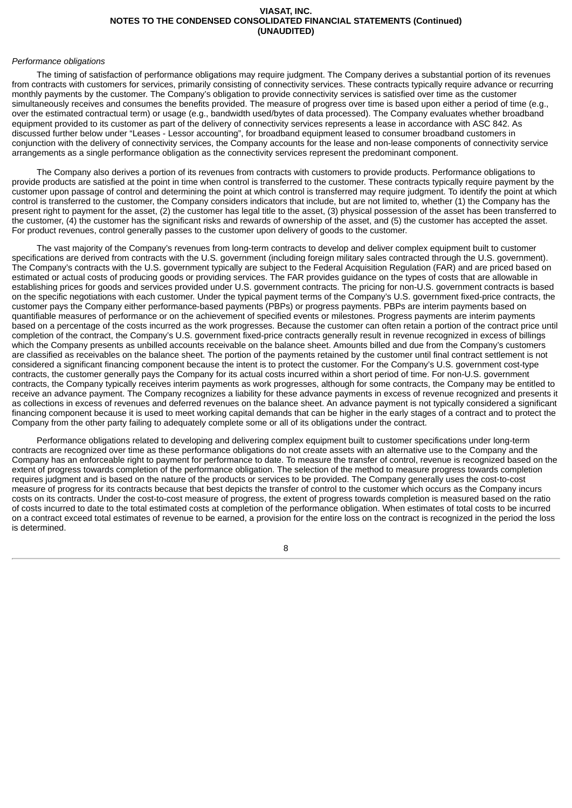#### *Performance obligations*

The timing of satisfaction of performance obligations may require judgment. The Company derives a substantial portion of its revenues from contracts with customers for services, primarily consisting of connectivity services. These contracts typically require advance or recurring monthly payments by the customer. The Company's obligation to provide connectivity services is satisfied over time as the customer simultaneously receives and consumes the benefits provided. The measure of progress over time is based upon either a period of time (e.g., over the estimated contractual term) or usage (e.g., bandwidth used/bytes of data processed). The Company evaluates whether broadband equipment provided to its customer as part of the delivery of connectivity services represents a lease in accordance with ASC 842. As discussed further below under "Leases - Lessor accounting", for broadband equipment leased to consumer broadband customers in conjunction with the delivery of connectivity services, the Company accounts for the lease and non-lease components of connectivity service arrangements as a single performance obligation as the connectivity services represent the predominant component.

The Company also derives a portion of its revenues from contracts with customers to provide products. Performance obligations to provide products are satisfied at the point in time when control is transferred to the customer. These contracts typically require payment by the customer upon passage of control and determining the point at which control is transferred may require judgment. To identify the point at which control is transferred to the customer, the Company considers indicators that include, but are not limited to, whether (1) the Company has the present right to payment for the asset, (2) the customer has legal title to the asset, (3) physical possession of the asset has been transferred to the customer, (4) the customer has the significant risks and rewards of ownership of the asset, and (5) the customer has accepted the asset. For product revenues, control generally passes to the customer upon delivery of goods to the customer.

The vast majority of the Company's revenues from long-term contracts to develop and deliver complex equipment built to customer specifications are derived from contracts with the U.S. government (including foreign military sales contracted through the U.S. government). The Company's contracts with the U.S. government typically are subject to the Federal Acquisition Regulation (FAR) and are priced based on estimated or actual costs of producing goods or providing services. The FAR provides guidance on the types of costs that are allowable in establishing prices for goods and services provided under U.S. government contracts. The pricing for non-U.S. government contracts is based on the specific negotiations with each customer. Under the typical payment terms of the Company's U.S. government fixed-price contracts, the customer pays the Company either performance-based payments (PBPs) or progress payments. PBPs are interim payments based on quantifiable measures of performance or on the achievement of specified events or milestones. Progress payments are interim payments based on a percentage of the costs incurred as the work progresses. Because the customer can often retain a portion of the contract price until completion of the contract, the Company's U.S. government fixed-price contracts generally result in revenue recognized in excess of billings which the Company presents as unbilled accounts receivable on the balance sheet. Amounts billed and due from the Company's customers are classified as receivables on the balance sheet. The portion of the payments retained by the customer until final contract settlement is not considered a significant financing component because the intent is to protect the customer. For the Company's U.S. government cost-type contracts, the customer generally pays the Company for its actual costs incurred within a short period of time. For non-U.S. government contracts, the Company typically receives interim payments as work progresses, although for some contracts, the Company may be entitled to receive an advance payment. The Company recognizes a liability for these advance payments in excess of revenue recognized and presents it as collections in excess of revenues and deferred revenues on the balance sheet. An advance payment is not typically considered a significant financing component because it is used to meet working capital demands that can be higher in the early stages of a contract and to protect the Company from the other party failing to adequately complete some or all of its obligations under the contract.

Performance obligations related to developing and delivering complex equipment built to customer specifications under long-term contracts are recognized over time as these performance obligations do not create assets with an alternative use to the Company and the Company has an enforceable right to payment for performance to date. To measure the transfer of control, revenue is recognized based on the extent of progress towards completion of the performance obligation. The selection of the method to measure progress towards completion requires judgment and is based on the nature of the products or services to be provided. The Company generally uses the cost-to-cost measure of progress for its contracts because that best depicts the transfer of control to the customer which occurs as the Company incurs costs on its contracts. Under the cost-to-cost measure of progress, the extent of progress towards completion is measured based on the ratio of costs incurred to date to the total estimated costs at completion of the performance obligation. When estimates of total costs to be incurred on a contract exceed total estimates of revenue to be earned, a provision for the entire loss on the contract is recognized in the period the loss is determined.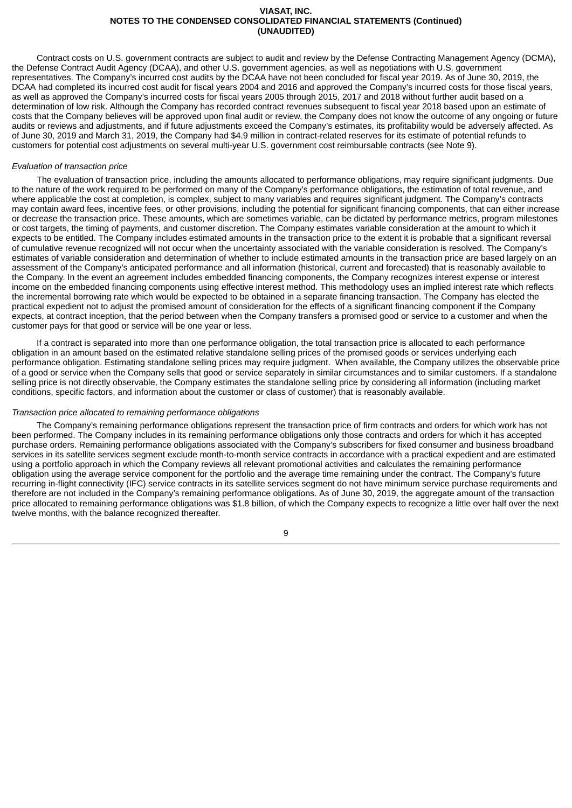Contract costs on U.S. government contracts are subject to audit and review by the Defense Contracting Management Agency (DCMA), the Defense Contract Audit Agency (DCAA), and other U.S. government agencies, as well as negotiations with U.S. government representatives. The Company's incurred cost audits by the DCAA have not been concluded for fiscal year 2019. As of June 30, 2019, the DCAA had completed its incurred cost audit for fiscal years 2004 and 2016 and approved the Company's incurred costs for those fiscal years, as well as approved the Company's incurred costs for fiscal years 2005 through 2015, 2017 and 2018 without further audit based on a determination of low risk. Although the Company has recorded contract revenues subsequent to fiscal year 2018 based upon an estimate of costs that the Company believes will be approved upon final audit or review, the Company does not know the outcome of any ongoing or future audits or reviews and adjustments, and if future adjustments exceed the Company's estimates, its profitability would be adversely affected. As of June 30, 2019 and March 31, 2019, the Company had \$4.9 million in contract-related reserves for its estimate of potential refunds to customers for potential cost adjustments on several multi-year U.S. government cost reimbursable contracts (see Note 9).

# *Evaluation of transaction price*

The evaluation of transaction price, including the amounts allocated to performance obligations, may require significant judgments. Due to the nature of the work required to be performed on many of the Company's performance obligations, the estimation of total revenue, and where applicable the cost at completion, is complex, subject to many variables and requires significant judgment. The Company's contracts may contain award fees, incentive fees, or other provisions, including the potential for significant financing components, that can either increase or decrease the transaction price. These amounts, which are sometimes variable, can be dictated by performance metrics, program milestones or cost targets, the timing of payments, and customer discretion. The Company estimates variable consideration at the amount to which it expects to be entitled. The Company includes estimated amounts in the transaction price to the extent it is probable that a significant reversal of cumulative revenue recognized will not occur when the uncertainty associated with the variable consideration is resolved. The Company's estimates of variable consideration and determination of whether to include estimated amounts in the transaction price are based largely on an assessment of the Company's anticipated performance and all information (historical, current and forecasted) that is reasonably available to the Company. In the event an agreement includes embedded financing components, the Company recognizes interest expense or interest income on the embedded financing components using effective interest method. This methodology uses an implied interest rate which reflects the incremental borrowing rate which would be expected to be obtained in a separate financing transaction. The Company has elected the practical expedient not to adjust the promised amount of consideration for the effects of a significant financing component if the Company expects, at contract inception, that the period between when the Company transfers a promised good or service to a customer and when the customer pays for that good or service will be one year or less.

If a contract is separated into more than one performance obligation, the total transaction price is allocated to each performance obligation in an amount based on the estimated relative standalone selling prices of the promised goods or services underlying each performance obligation. Estimating standalone selling prices may require judgment. When available, the Company utilizes the observable price of a good or service when the Company sells that good or service separately in similar circumstances and to similar customers. If a standalone selling price is not directly observable, the Company estimates the standalone selling price by considering all information (including market conditions, specific factors, and information about the customer or class of customer) that is reasonably available.

#### *Transaction price allocated to remaining performance obligations*

The Company's remaining performance obligations represent the transaction price of firm contracts and orders for which work has not been performed. The Company includes in its remaining performance obligations only those contracts and orders for which it has accepted purchase orders. Remaining performance obligations associated with the Company's subscribers for fixed consumer and business broadband services in its satellite services segment exclude month-to-month service contracts in accordance with a practical expedient and are estimated using a portfolio approach in which the Company reviews all relevant promotional activities and calculates the remaining performance obligation using the average service component for the portfolio and the average time remaining under the contract. The Company's future recurring in-flight connectivity (IFC) service contracts in its satellite services segment do not have minimum service purchase requirements and therefore are not included in the Company's remaining performance obligations. As of June 30, 2019, the aggregate amount of the transaction price allocated to remaining performance obligations was \$1.8 billion, of which the Company expects to recognize a little over half over the next twelve months, with the balance recognized thereafter.

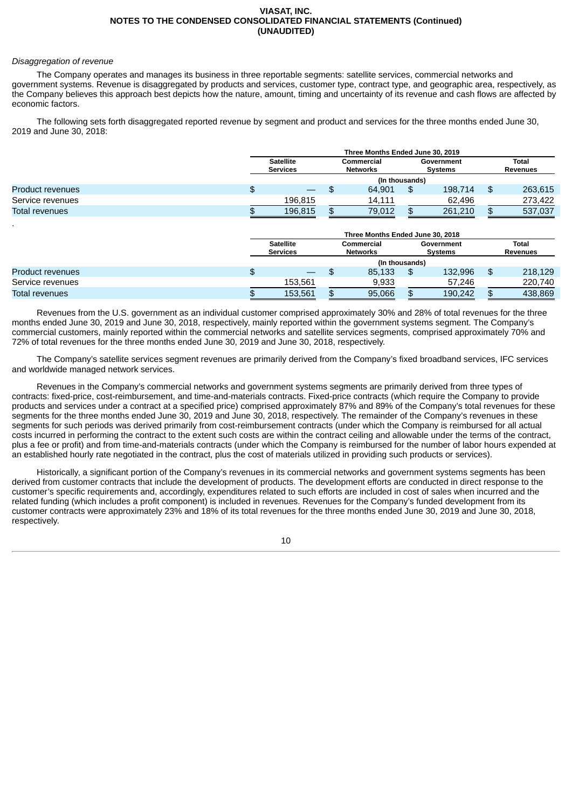#### *Disaggregation of revenue*

The Company operates and manages its business in three reportable segments: satellite services, commercial networks and government systems. Revenue is disaggregated by products and services, customer type, contract type, and geographic area, respectively, as the Company believes this approach best depicts how the nature, amount, timing and uncertainty of its revenue and cash flows are affected by economic factors.

The following sets forth disaggregated reported revenue by segment and product and services for the three months ended June 30, 2019 and June 30, 2018:

|                       | Three Months Ended June 30, 2019    |                |                               |  |                              |    |                                 |  |  |
|-----------------------|-------------------------------------|----------------|-------------------------------|--|------------------------------|----|---------------------------------|--|--|
|                       | <b>Satellite</b><br><b>Services</b> |                | Commercial<br><b>Networks</b> |  | Government<br><b>Systems</b> |    | <b>Total</b><br><b>Revenues</b> |  |  |
|                       |                                     | (In thousands) |                               |  |                              |    |                                 |  |  |
| Product revenues      |                                     |                | 64.901                        |  | 198.714                      | \$ | 263,615                         |  |  |
| Service revenues      | 196.815                             |                | 14.111                        |  | 62.496                       |    | 273,422                         |  |  |
| <b>Total revenues</b> | 196,815                             | ۰D             | 79,012                        |  | 261,210                      | £  | 537,037                         |  |  |

|                         |   | Three Months Ended June 30, 2018    |  |                               |                              |         |    |                                 |  |
|-------------------------|---|-------------------------------------|--|-------------------------------|------------------------------|---------|----|---------------------------------|--|
|                         |   | <b>Satellite</b><br><b>Services</b> |  | Commercial<br><b>Networks</b> | Government<br><b>Systems</b> |         |    | <b>Total</b><br><b>Revenues</b> |  |
|                         |   |                                     |  | (In thousands)                |                              |         |    |                                 |  |
| <b>Product revenues</b> | Œ | $\hspace{0.1mm}-\hspace{0.1mm}$     |  | 85.133                        | \$                           | 132,996 | \$ | 218,129                         |  |
| Service revenues        |   | 153.561                             |  | 9,933                         |                              | 57.246  |    | 220.740                         |  |
| <b>Total revenues</b>   |   | 153.561                             |  | 95,066                        |                              | 190.242 |    | 438.869                         |  |

Revenues from the U.S. government as an individual customer comprised approximately 30% and 28% of total revenues for the three months ended June 30, 2019 and June 30, 2018, respectively, mainly reported within the government systems segment. The Company's commercial customers, mainly reported within the commercial networks and satellite services segments, comprised approximately 70% and 72% of total revenues for the three months ended June 30, 2019 and June 30, 2018, respectively.

The Company's satellite services segment revenues are primarily derived from the Company's fixed broadband services, IFC services and worldwide managed network services.

Revenues in the Company's commercial networks and government systems segments are primarily derived from three types of contracts: fixed-price, cost-reimbursement, and time-and-materials contracts. Fixed-price contracts (which require the Company to provide products and services under a contract at a specified price) comprised approximately 87% and 89% of the Company's total revenues for these segments for the three months ended June 30, 2019 and June 30, 2018, respectively. The remainder of the Company's revenues in these segments for such periods was derived primarily from cost-reimbursement contracts (under which the Company is reimbursed for all actual costs incurred in performing the contract to the extent such costs are within the contract ceiling and allowable under the terms of the contract, plus a fee or profit) and from time-and-materials contracts (under which the Company is reimbursed for the number of labor hours expended at an established hourly rate negotiated in the contract, plus the cost of materials utilized in providing such products or services).

Historically, a significant portion of the Company's revenues in its commercial networks and government systems segments has been derived from customer contracts that include the development of products. The development efforts are conducted in direct response to the customer's specific requirements and, accordingly, expenditures related to such efforts are included in cost of sales when incurred and the related funding (which includes a profit component) is included in revenues. Revenues for the Company's funded development from its customer contracts were approximately 23% and 18% of its total revenues for the three months ended June 30, 2019 and June 30, 2018, respectively.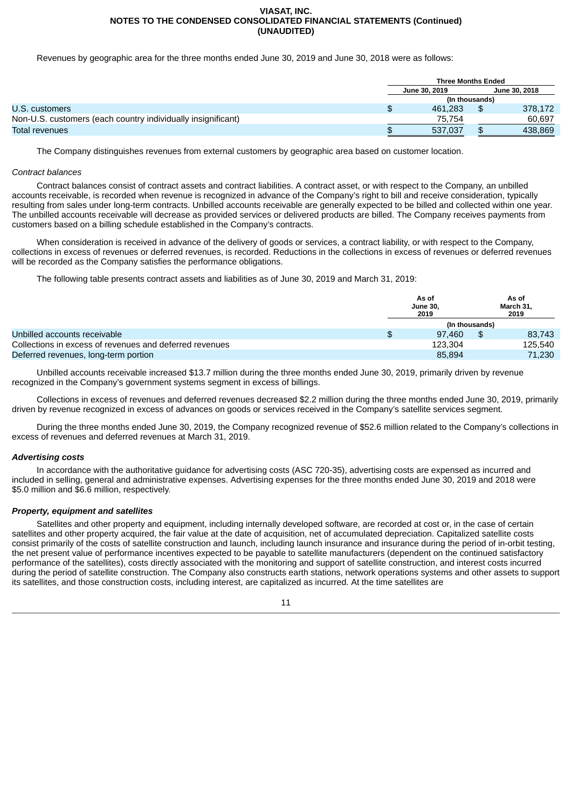Revenues by geographic area for the three months ended June 30, 2019 and June 30, 2018 were as follows:

|                                                              |   | <b>Three Months Ended</b> |               |         |  |
|--------------------------------------------------------------|---|---------------------------|---------------|---------|--|
|                                                              |   | June 30, 2019             | June 30, 2018 |         |  |
|                                                              |   | (In thousands)            |               |         |  |
| U.S. customers                                               | Ъ | 461.283                   |               | 378.172 |  |
| Non-U.S. customers (each country individually insignificant) |   | 75.754                    |               | 60.697  |  |
| Total revenues                                               |   | 537.037                   |               | 438.869 |  |

The Company distinguishes revenues from external customers by geographic area based on customer location.

#### *Contract balances*

Contract balances consist of contract assets and contract liabilities. A contract asset, or with respect to the Company, an unbilled accounts receivable, is recorded when revenue is recognized in advance of the Company's right to bill and receive consideration, typically resulting from sales under long-term contracts. Unbilled accounts receivable are generally expected to be billed and collected within one year. The unbilled accounts receivable will decrease as provided services or delivered products are billed. The Company receives payments from customers based on a billing schedule established in the Company's contracts.

When consideration is received in advance of the delivery of goods or services, a contract liability, or with respect to the Company, collections in excess of revenues or deferred revenues, is recorded. Reductions in the collections in excess of revenues or deferred revenues will be recorded as the Company satisfies the performance obligations.

The following table presents contract assets and liabilities as of June 30, 2019 and March 31, 2019:

|                                                         | As of<br>June 30,<br>2019 |    | As of<br>March 31.<br>2019 |  |  |
|---------------------------------------------------------|---------------------------|----|----------------------------|--|--|
|                                                         | (In thousands)            |    |                            |  |  |
| Unbilled accounts receivable                            | \$<br>97.460              | \$ | 83,743                     |  |  |
| Collections in excess of revenues and deferred revenues | 123.304                   |    | 125.540                    |  |  |
| Deferred revenues, long-term portion                    | 85.894                    |    | 71,230                     |  |  |

Unbilled accounts receivable increased \$13.7 million during the three months ended June 30, 2019, primarily driven by revenue recognized in the Company's government systems segment in excess of billings.

Collections in excess of revenues and deferred revenues decreased \$2.2 million during the three months ended June 30, 2019, primarily driven by revenue recognized in excess of advances on goods or services received in the Company's satellite services segment.

During the three months ended June 30, 2019, the Company recognized revenue of \$52.6 million related to the Company's collections in excess of revenues and deferred revenues at March 31, 2019.

# *Advertising costs*

In accordance with the authoritative guidance for advertising costs (ASC 720-35), advertising costs are expensed as incurred and included in selling, general and administrative expenses. Advertising expenses for the three months ended June 30, 2019 and 2018 were \$5.0 million and \$6.6 million, respectively.

# *Property, equipment and satellites*

Satellites and other property and equipment, including internally developed software, are recorded at cost or, in the case of certain satellites and other property acquired, the fair value at the date of acquisition, net of accumulated depreciation. Capitalized satellite costs consist primarily of the costs of satellite construction and launch, including launch insurance and insurance during the period of in-orbit testing, the net present value of performance incentives expected to be payable to satellite manufacturers (dependent on the continued satisfactory performance of the satellites), costs directly associated with the monitoring and support of satellite construction, and interest costs incurred during the period of satellite construction. The Company also constructs earth stations, network operations systems and other assets to support its satellites, and those construction costs, including interest, are capitalized as incurred. At the time satellites are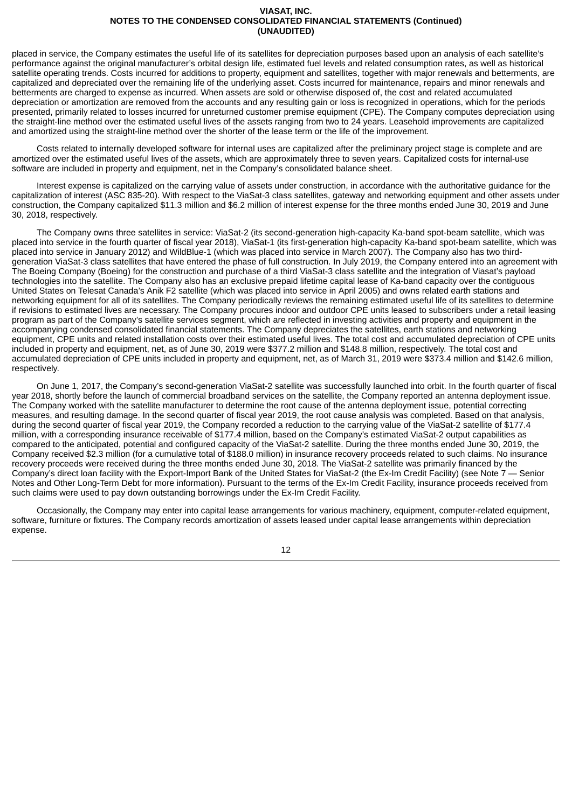placed in service, the Company estimates the useful life of its satellites for depreciation purposes based upon an analysis of each satellite's performance against the original manufacturer's orbital design life, estimated fuel levels and related consumption rates, as well as historical satellite operating trends. Costs incurred for additions to property, equipment and satellites, together with major renewals and betterments, are capitalized and depreciated over the remaining life of the underlying asset. Costs incurred for maintenance, repairs and minor renewals and betterments are charged to expense as incurred. When assets are sold or otherwise disposed of, the cost and related accumulated depreciation or amortization are removed from the accounts and any resulting gain or loss is recognized in operations, which for the periods presented, primarily related to losses incurred for unreturned customer premise equipment (CPE). The Company computes depreciation using the straight-line method over the estimated useful lives of the assets ranging from two to 24 years. Leasehold improvements are capitalized and amortized using the straight-line method over the shorter of the lease term or the life of the improvement.

Costs related to internally developed software for internal uses are capitalized after the preliminary project stage is complete and are amortized over the estimated useful lives of the assets, which are approximately three to seven years. Capitalized costs for internal-use software are included in property and equipment, net in the Company's consolidated balance sheet.

Interest expense is capitalized on the carrying value of assets under construction, in accordance with the authoritative guidance for the capitalization of interest (ASC 835-20). With respect to the ViaSat-3 class satellites, gateway and networking equipment and other assets under construction, the Company capitalized \$11.3 million and \$6.2 million of interest expense for the three months ended June 30, 2019 and June 30, 2018, respectively.

The Company owns three satellites in service: ViaSat-2 (its second-generation high-capacity Ka-band spot-beam satellite, which was placed into service in the fourth quarter of fiscal year 2018), ViaSat-1 (its first-generation high-capacity Ka-band spot-beam satellite, which was placed into service in January 2012) and WildBlue-1 (which was placed into service in March 2007). The Company also has two thirdgeneration ViaSat-3 class satellites that have entered the phase of full construction. In July 2019, the Company entered into an agreement with The Boeing Company (Boeing) for the construction and purchase of a third ViaSat-3 class satellite and the integration of Viasat's payload technologies into the satellite. The Company also has an exclusive prepaid lifetime capital lease of Ka-band capacity over the contiguous United States on Telesat Canada's Anik F2 satellite (which was placed into service in April 2005) and owns related earth stations and networking equipment for all of its satellites. The Company periodically reviews the remaining estimated useful life of its satellites to determine if revisions to estimated lives are necessary. The Company procures indoor and outdoor CPE units leased to subscribers under a retail leasing program as part of the Company's satellite services segment, which are reflected in investing activities and property and equipment in the accompanying condensed consolidated financial statements. The Company depreciates the satellites, earth stations and networking equipment, CPE units and related installation costs over their estimated useful lives. The total cost and accumulated depreciation of CPE units included in property and equipment, net, as of June 30, 2019 were \$377.2 million and \$148.8 million, respectively. The total cost and accumulated depreciation of CPE units included in property and equipment, net, as of March 31, 2019 were \$373.4 million and \$142.6 million, respectively.

On June 1, 2017, the Company's second-generation ViaSat-2 satellite was successfully launched into orbit. In the fourth quarter of fiscal year 2018, shortly before the launch of commercial broadband services on the satellite, the Company reported an antenna deployment issue. The Company worked with the satellite manufacturer to determine the root cause of the antenna deployment issue, potential correcting measures, and resulting damage. In the second quarter of fiscal year 2019, the root cause analysis was completed. Based on that analysis, during the second quarter of fiscal year 2019, the Company recorded a reduction to the carrying value of the ViaSat-2 satellite of \$177.4 million, with a corresponding insurance receivable of \$177.4 million, based on the Company's estimated ViaSat-2 output capabilities as compared to the anticipated, potential and configured capacity of the ViaSat-2 satellite. During the three months ended June 30, 2019, the Company received \$2.3 million (for a cumulative total of \$188.0 million) in insurance recovery proceeds related to such claims. No insurance recovery proceeds were received during the three months ended June 30, 2018. The ViaSat-2 satellite was primarily financed by the Company's direct loan facility with the Export-Import Bank of the United States for ViaSat-2 (the Ex-Im Credit Facility) (see Note 7 — Senior Notes and Other Long-Term Debt for more information). Pursuant to the terms of the Ex-Im Credit Facility, insurance proceeds received from such claims were used to pay down outstanding borrowings under the Ex-Im Credit Facility.

Occasionally, the Company may enter into capital lease arrangements for various machinery, equipment, computer-related equipment, software, furniture or fixtures. The Company records amortization of assets leased under capital lease arrangements within depreciation expense.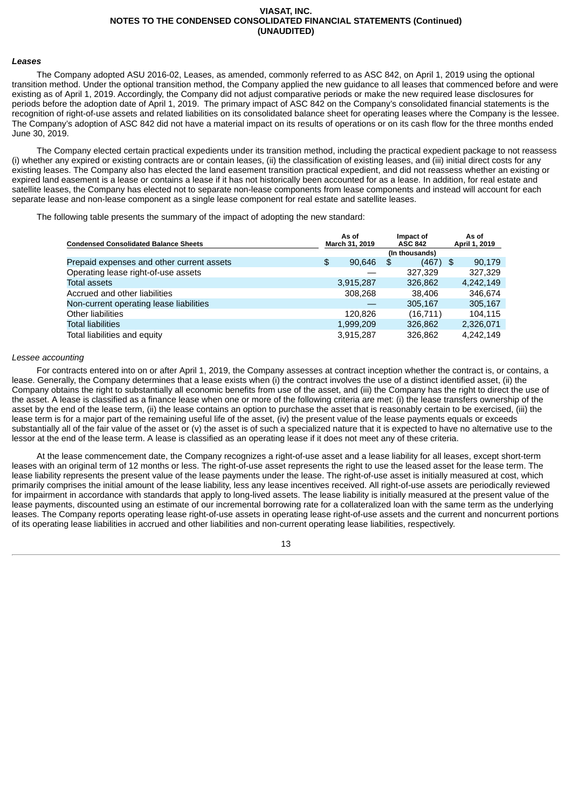#### *Leases*

The Company adopted ASU 2016-02, Leases, as amended, commonly referred to as ASC 842, on April 1, 2019 using the optional transition method. Under the optional transition method, the Company applied the new guidance to all leases that commenced before and were existing as of April 1, 2019. Accordingly, the Company did not adjust comparative periods or make the new required lease disclosures for periods before the adoption date of April 1, 2019. The primary impact of ASC 842 on the Company's consolidated financial statements is the recognition of right-of-use assets and related liabilities on its consolidated balance sheet for operating leases where the Company is the lessee. The Company's adoption of ASC 842 did not have a material impact on its results of operations or on its cash flow for the three months ended June 30, 2019.

The Company elected certain practical expedients under its transition method, including the practical expedient package to not reassess (i) whether any expired or existing contracts are or contain leases, (ii) the classification of existing leases, and (iii) initial direct costs for any existing leases. The Company also has elected the land easement transition practical expedient, and did not reassess whether an existing or expired land easement is a lease or contains a lease if it has not historically been accounted for as a lease. In addition, for real estate and satellite leases, the Company has elected not to separate non-lease components from lease components and instead will account for each separate lease and non-lease component as a single lease component for real estate and satellite leases.

The following table presents the summary of the impact of adopting the new standard:

| <b>Condensed Consolidated Balance Sheets</b> | As of<br>March 31, 2019 |           | Impact of<br><b>ASC 842</b> |                | As of<br>April 1, 2019 |
|----------------------------------------------|-------------------------|-----------|-----------------------------|----------------|------------------------|
|                                              |                         |           |                             | (In thousands) |                        |
| Prepaid expenses and other current assets    | \$                      | 90,646    | \$.                         | $(467)$ \$     | 90,179                 |
| Operating lease right-of-use assets          |                         |           |                             | 327.329        | 327,329                |
| Total assets                                 |                         | 3,915,287 |                             | 326,862        | 4,242,149              |
| Accrued and other liabilities                |                         | 308,268   |                             | 38.406         | 346.674                |
| Non-current operating lease liabilities      |                         |           |                             | 305.167        | 305.167                |
| Other liabilities                            |                         | 120.826   |                             | (16, 711)      | 104.115                |
| <b>Total liabilities</b>                     |                         | 1,999,209 |                             | 326,862        | 2,326,071              |
| Total liabilities and equity                 |                         | 3,915,287 |                             | 326,862        | 4,242,149              |

#### *Lessee accounting*

For contracts entered into on or after April 1, 2019, the Company assesses at contract inception whether the contract is, or contains, a lease. Generally, the Company determines that a lease exists when (i) the contract involves the use of a distinct identified asset, (ii) the Company obtains the right to substantially all economic benefits from use of the asset, and (iii) the Company has the right to direct the use of the asset. A lease is classified as a finance lease when one or more of the following criteria are met: (i) the lease transfers ownership of the asset by the end of the lease term, (ii) the lease contains an option to purchase the asset that is reasonably certain to be exercised, (iii) the lease term is for a major part of the remaining useful life of the asset, (iv) the present value of the lease payments equals or exceeds substantially all of the fair value of the asset or (v) the asset is of such a specialized nature that it is expected to have no alternative use to the lessor at the end of the lease term. A lease is classified as an operating lease if it does not meet any of these criteria.

At the lease commencement date, the Company recognizes a right-of-use asset and a lease liability for all leases, except short-term leases with an original term of 12 months or less. The right-of-use asset represents the right to use the leased asset for the lease term. The lease liability represents the present value of the lease payments under the lease. The right-of-use asset is initially measured at cost, which primarily comprises the initial amount of the lease liability, less any lease incentives received. All right-of-use assets are periodically reviewed for impairment in accordance with standards that apply to long-lived assets. The lease liability is initially measured at the present value of the lease payments, discounted using an estimate of our incremental borrowing rate for a collateralized loan with the same term as the underlying leases. The Company reports operating lease right-of-use assets in operating lease right-of-use assets and the current and noncurrent portions of its operating lease liabilities in accrued and other liabilities and non-current operating lease liabilities, respectively.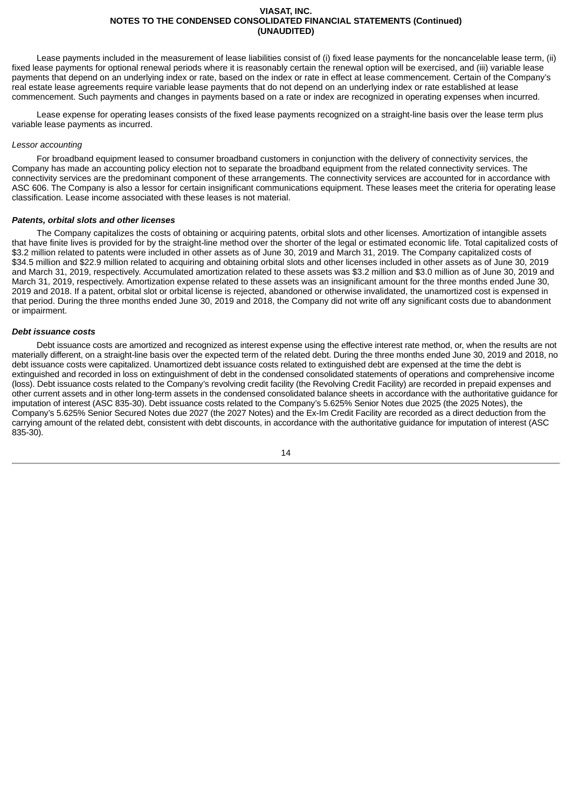Lease payments included in the measurement of lease liabilities consist of (i) fixed lease payments for the noncancelable lease term, (ii) fixed lease payments for optional renewal periods where it is reasonably certain the renewal option will be exercised, and (iii) variable lease payments that depend on an underlying index or rate, based on the index or rate in effect at lease commencement. Certain of the Company's real estate lease agreements require variable lease payments that do not depend on an underlying index or rate established at lease commencement. Such payments and changes in payments based on a rate or index are recognized in operating expenses when incurred.

Lease expense for operating leases consists of the fixed lease payments recognized on a straight-line basis over the lease term plus variable lease payments as incurred.

#### *Lessor accounting*

For broadband equipment leased to consumer broadband customers in conjunction with the delivery of connectivity services, the Company has made an accounting policy election not to separate the broadband equipment from the related connectivity services. The connectivity services are the predominant component of these arrangements. The connectivity services are accounted for in accordance with ASC 606. The Company is also a lessor for certain insignificant communications equipment. These leases meet the criteria for operating lease classification. Lease income associated with these leases is not material.

#### *Patents, orbital slots and other licenses*

The Company capitalizes the costs of obtaining or acquiring patents, orbital slots and other licenses. Amortization of intangible assets that have finite lives is provided for by the straight-line method over the shorter of the legal or estimated economic life. Total capitalized costs of \$3.2 million related to patents were included in other assets as of June 30, 2019 and March 31, 2019. The Company capitalized costs of \$34.5 million and \$22.9 million related to acquiring and obtaining orbital slots and other licenses included in other assets as of June 30, 2019 and March 31, 2019, respectively. Accumulated amortization related to these assets was \$3.2 million and \$3.0 million as of June 30, 2019 and March 31, 2019, respectively. Amortization expense related to these assets was an insignificant amount for the three months ended June 30, 2019 and 2018. If a patent, orbital slot or orbital license is rejected, abandoned or otherwise invalidated, the unamortized cost is expensed in that period. During the three months ended June 30, 2019 and 2018, the Company did not write off any significant costs due to abandonment or impairment.

#### *Debt issuance costs*

Debt issuance costs are amortized and recognized as interest expense using the effective interest rate method, or, when the results are not materially different, on a straight-line basis over the expected term of the related debt. During the three months ended June 30, 2019 and 2018, no debt issuance costs were capitalized. Unamortized debt issuance costs related to extinguished debt are expensed at the time the debt is extinguished and recorded in loss on extinguishment of debt in the condensed consolidated statements of operations and comprehensive income (loss). Debt issuance costs related to the Company's revolving credit facility (the Revolving Credit Facility) are recorded in prepaid expenses and other current assets and in other long-term assets in the condensed consolidated balance sheets in accordance with the authoritative guidance for imputation of interest (ASC 835-30). Debt issuance costs related to the Company's 5.625% Senior Notes due 2025 (the 2025 Notes), the Company's 5.625% Senior Secured Notes due 2027 (the 2027 Notes) and the Ex-Im Credit Facility are recorded as a direct deduction from the carrying amount of the related debt, consistent with debt discounts, in accordance with the authoritative guidance for imputation of interest (ASC 835-30).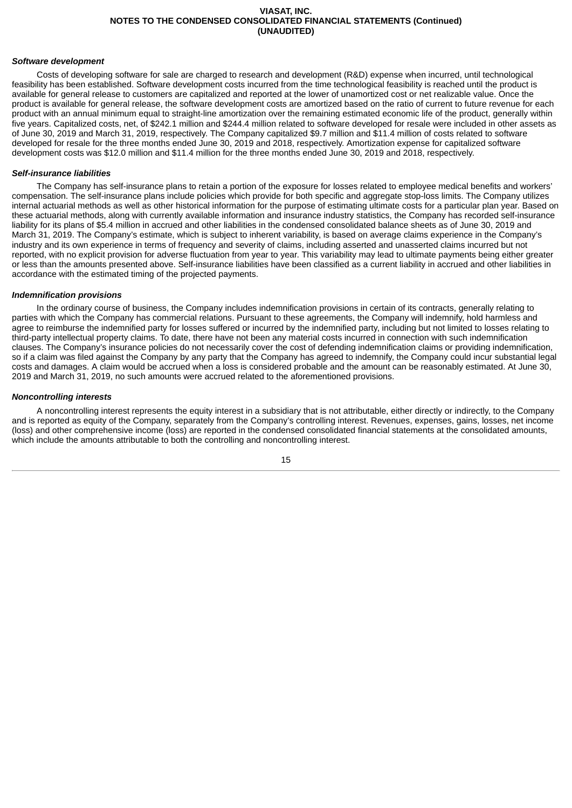#### *Software development*

Costs of developing software for sale are charged to research and development (R&D) expense when incurred, until technological feasibility has been established. Software development costs incurred from the time technological feasibility is reached until the product is available for general release to customers are capitalized and reported at the lower of unamortized cost or net realizable value. Once the product is available for general release, the software development costs are amortized based on the ratio of current to future revenue for each product with an annual minimum equal to straight-line amortization over the remaining estimated economic life of the product, generally within five years. Capitalized costs, net, of \$242.1 million and \$244.4 million related to software developed for resale were included in other assets as of June 30, 2019 and March 31, 2019, respectively. The Company capitalized \$9.7 million and \$11.4 million of costs related to software developed for resale for the three months ended June 30, 2019 and 2018, respectively. Amortization expense for capitalized software development costs was \$12.0 million and \$11.4 million for the three months ended June 30, 2019 and 2018, respectively.

#### *Self-insurance liabilities*

The Company has self-insurance plans to retain a portion of the exposure for losses related to employee medical benefits and workers' compensation. The self-insurance plans include policies which provide for both specific and aggregate stop-loss limits. The Company utilizes internal actuarial methods as well as other historical information for the purpose of estimating ultimate costs for a particular plan year. Based on these actuarial methods, along with currently available information and insurance industry statistics, the Company has recorded self-insurance liability for its plans of \$5.4 million in accrued and other liabilities in the condensed consolidated balance sheets as of June 30, 2019 and March 31, 2019. The Company's estimate, which is subject to inherent variability, is based on average claims experience in the Company's industry and its own experience in terms of frequency and severity of claims, including asserted and unasserted claims incurred but not reported, with no explicit provision for adverse fluctuation from year to year. This variability may lead to ultimate payments being either greater or less than the amounts presented above. Self-insurance liabilities have been classified as a current liability in accrued and other liabilities in accordance with the estimated timing of the projected payments.

#### *Indemnification provisions*

In the ordinary course of business, the Company includes indemnification provisions in certain of its contracts, generally relating to parties with which the Company has commercial relations. Pursuant to these agreements, the Company will indemnify, hold harmless and agree to reimburse the indemnified party for losses suffered or incurred by the indemnified party, including but not limited to losses relating to third-party intellectual property claims. To date, there have not been any material costs incurred in connection with such indemnification clauses. The Company's insurance policies do not necessarily cover the cost of defending indemnification claims or providing indemnification, so if a claim was filed against the Company by any party that the Company has agreed to indemnify, the Company could incur substantial legal costs and damages. A claim would be accrued when a loss is considered probable and the amount can be reasonably estimated. At June 30, 2019 and March 31, 2019, no such amounts were accrued related to the aforementioned provisions.

#### *Noncontrolling interests*

A noncontrolling interest represents the equity interest in a subsidiary that is not attributable, either directly or indirectly, to the Company and is reported as equity of the Company, separately from the Company's controlling interest. Revenues, expenses, gains, losses, net income (loss) and other comprehensive income (loss) are reported in the condensed consolidated financial statements at the consolidated amounts, which include the amounts attributable to both the controlling and noncontrolling interest.

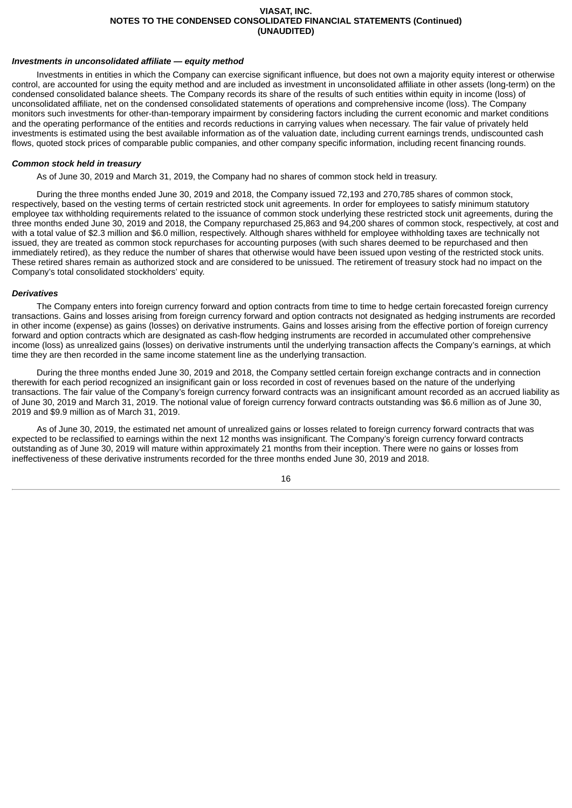#### *Investments in unconsolidated affiliate — equity method*

Investments in entities in which the Company can exercise significant influence, but does not own a majority equity interest or otherwise control, are accounted for using the equity method and are included as investment in unconsolidated affiliate in other assets (long-term) on the condensed consolidated balance sheets. The Company records its share of the results of such entities within equity in income (loss) of unconsolidated affiliate, net on the condensed consolidated statements of operations and comprehensive income (loss). The Company monitors such investments for other-than-temporary impairment by considering factors including the current economic and market conditions and the operating performance of the entities and records reductions in carrying values when necessary. The fair value of privately held investments is estimated using the best available information as of the valuation date, including current earnings trends, undiscounted cash flows, quoted stock prices of comparable public companies, and other company specific information, including recent financing rounds.

#### *Common stock held in treasury*

As of June 30, 2019 and March 31, 2019, the Company had no shares of common stock held in treasury.

During the three months ended June 30, 2019 and 2018, the Company issued 72,193 and 270,785 shares of common stock, respectively, based on the vesting terms of certain restricted stock unit agreements. In order for employees to satisfy minimum statutory employee tax withholding requirements related to the issuance of common stock underlying these restricted stock unit agreements, during the three months ended June 30, 2019 and 2018, the Company repurchased 25,863 and 94,200 shares of common stock, respectively, at cost and with a total value of \$2.3 million and \$6.0 million, respectively. Although shares withheld for employee withholding taxes are technically not issued, they are treated as common stock repurchases for accounting purposes (with such shares deemed to be repurchased and then immediately retired), as they reduce the number of shares that otherwise would have been issued upon vesting of the restricted stock units. These retired shares remain as authorized stock and are considered to be unissued. The retirement of treasury stock had no impact on the Company's total consolidated stockholders' equity.

#### *Derivatives*

The Company enters into foreign currency forward and option contracts from time to time to hedge certain forecasted foreign currency transactions. Gains and losses arising from foreign currency forward and option contracts not designated as hedging instruments are recorded in other income (expense) as gains (losses) on derivative instruments. Gains and losses arising from the effective portion of foreign currency forward and option contracts which are designated as cash-flow hedging instruments are recorded in accumulated other comprehensive income (loss) as unrealized gains (losses) on derivative instruments until the underlying transaction affects the Company's earnings, at which time they are then recorded in the same income statement line as the underlying transaction.

During the three months ended June 30, 2019 and 2018, the Company settled certain foreign exchange contracts and in connection therewith for each period recognized an insignificant gain or loss recorded in cost of revenues based on the nature of the underlying transactions. The fair value of the Company's foreign currency forward contracts was an insignificant amount recorded as an accrued liability as of June 30, 2019 and March 31, 2019. The notional value of foreign currency forward contracts outstanding was \$6.6 million as of June 30, 2019 and \$9.9 million as of March 31, 2019.

As of June 30, 2019, the estimated net amount of unrealized gains or losses related to foreign currency forward contracts that was expected to be reclassified to earnings within the next 12 months was insignificant. The Company's foreign currency forward contracts outstanding as of June 30, 2019 will mature within approximately 21 months from their inception. There were no gains or losses from ineffectiveness of these derivative instruments recorded for the three months ended June 30, 2019 and 2018.

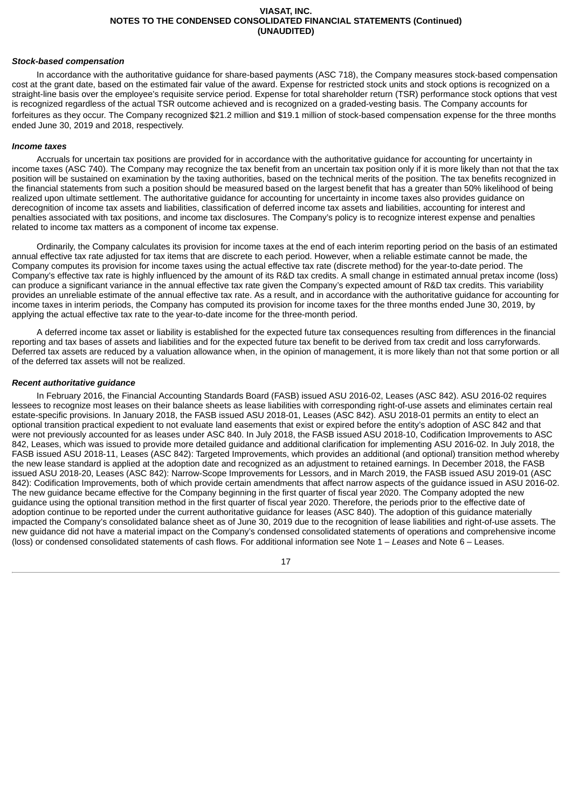#### *Stock-based compensation*

In accordance with the authoritative guidance for share-based payments (ASC 718), the Company measures stock-based compensation cost at the grant date, based on the estimated fair value of the award. Expense for restricted stock units and stock options is recognized on a straight-line basis over the employee's requisite service period. Expense for total shareholder return (TSR) performance stock options that vest is recognized regardless of the actual TSR outcome achieved and is recognized on a graded-vesting basis. The Company accounts for forfeitures as they occur. The Company recognized \$21.2 million and \$19.1 million of stock-based compensation expense for the three months ended June 30, 2019 and 2018, respectively.

#### *Income taxes*

Accruals for uncertain tax positions are provided for in accordance with the authoritative guidance for accounting for uncertainty in income taxes (ASC 740). The Company may recognize the tax benefit from an uncertain tax position only if it is more likely than not that the tax position will be sustained on examination by the taxing authorities, based on the technical merits of the position. The tax benefits recognized in the financial statements from such a position should be measured based on the largest benefit that has a greater than 50% likelihood of being realized upon ultimate settlement. The authoritative guidance for accounting for uncertainty in income taxes also provides guidance on derecognition of income tax assets and liabilities, classification of deferred income tax assets and liabilities, accounting for interest and penalties associated with tax positions, and income tax disclosures. The Company's policy is to recognize interest expense and penalties related to income tax matters as a component of income tax expense.

Ordinarily, the Company calculates its provision for income taxes at the end of each interim reporting period on the basis of an estimated annual effective tax rate adjusted for tax items that are discrete to each period. However, when a reliable estimate cannot be made, the Company computes its provision for income taxes using the actual effective tax rate (discrete method) for the year-to-date period. The Company's effective tax rate is highly influenced by the amount of its R&D tax credits. A small change in estimated annual pretax income (loss) can produce a significant variance in the annual effective tax rate given the Company's expected amount of R&D tax credits. This variability provides an unreliable estimate of the annual effective tax rate. As a result, and in accordance with the authoritative guidance for accounting for income taxes in interim periods, the Company has computed its provision for income taxes for the three months ended June 30, 2019, by applying the actual effective tax rate to the year-to-date income for the three-month period.

A deferred income tax asset or liability is established for the expected future tax consequences resulting from differences in the financial reporting and tax bases of assets and liabilities and for the expected future tax benefit to be derived from tax credit and loss carryforwards. Deferred tax assets are reduced by a valuation allowance when, in the opinion of management, it is more likely than not that some portion or all of the deferred tax assets will not be realized.

# *Recent authoritative guidance*

In February 2016, the Financial Accounting Standards Board (FASB) issued ASU 2016-02, Leases (ASC 842). ASU 2016-02 requires lessees to recognize most leases on their balance sheets as lease liabilities with corresponding right-of-use assets and eliminates certain real estate-specific provisions. In January 2018, the FASB issued ASU 2018-01, Leases (ASC 842). ASU 2018-01 permits an entity to elect an optional transition practical expedient to not evaluate land easements that exist or expired before the entity's adoption of ASC 842 and that were not previously accounted for as leases under ASC 840. In July 2018, the FASB issued ASU 2018-10, Codification Improvements to ASC 842, Leases, which was issued to provide more detailed guidance and additional clarification for implementing ASU 2016-02. In July 2018, the FASB issued ASU 2018-11, Leases (ASC 842): Targeted Improvements, which provides an additional (and optional) transition method whereby the new lease standard is applied at the adoption date and recognized as an adjustment to retained earnings. In December 2018, the FASB issued ASU 2018-20, Leases (ASC 842): Narrow-Scope Improvements for Lessors, and in March 2019, the FASB issued ASU 2019-01 (ASC 842): Codification Improvements, both of which provide certain amendments that affect narrow aspects of the guidance issued in ASU 2016-02. The new guidance became effective for the Company beginning in the first quarter of fiscal year 2020. The Company adopted the new guidance using the optional transition method in the first quarter of fiscal year 2020. Therefore, the periods prior to the effective date of adoption continue to be reported under the current authoritative guidance for leases (ASC 840). The adoption of this guidance materially impacted the Company's consolidated balance sheet as of June 30, 2019 due to the recognition of lease liabilities and right-of-use assets. The new guidance did not have a material impact on the Company's condensed consolidated statements of operations and comprehensive income (loss) or condensed consolidated statements of cash flows. For additional information see Note 1 – *Leases* and Note 6 – Leases.

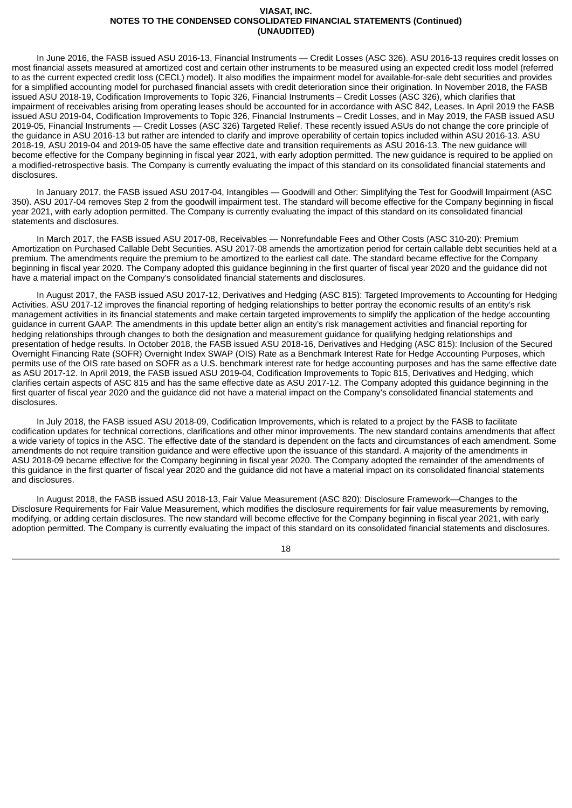In June 2016, the FASB issued ASU 2016-13, Financial Instruments — Credit Losses (ASC 326). ASU 2016-13 requires credit losses on most financial assets measured at amortized cost and certain other instruments to be measured using an expected credit loss model (referred to as the current expected credit loss (CECL) model). It also modifies the impairment model for available-for-sale debt securities and provides for a simplified accounting model for purchased financial assets with credit deterioration since their origination. In November 2018, the FASB issued ASU 2018-19, Codification Improvements to Topic 326, Financial Instruments – Credit Losses (ASC 326), which clarifies that impairment of receivables arising from operating leases should be accounted for in accordance with ASC 842, Leases. In April 2019 the FASB issued ASU 2019-04, Codification Improvements to Topic 326, Financial Instruments – Credit Losses, and in May 2019, the FASB issued ASU 2019-05, Financial Instruments — Credit Losses (ASC 326) Targeted Relief. These recently issued ASUs do not change the core principle of the guidance in ASU 2016-13 but rather are intended to clarify and improve operability of certain topics included within ASU 2016-13. ASU 2018-19, ASU 2019-04 and 2019-05 have the same effective date and transition requirements as ASU 2016-13. The new guidance will become effective for the Company beginning in fiscal year 2021, with early adoption permitted. The new guidance is required to be applied on a modified-retrospective basis. The Company is currently evaluating the impact of this standard on its consolidated financial statements and disclosures.

In January 2017, the FASB issued ASU 2017-04, Intangibles — Goodwill and Other: Simplifying the Test for Goodwill Impairment (ASC 350). ASU 2017-04 removes Step 2 from the goodwill impairment test. The standard will become effective for the Company beginning in fiscal year 2021, with early adoption permitted. The Company is currently evaluating the impact of this standard on its consolidated financial statements and disclosures.

In March 2017, the FASB issued ASU 2017-08, Receivables — Nonrefundable Fees and Other Costs (ASC 310-20): Premium Amortization on Purchased Callable Debt Securities. ASU 2017-08 amends the amortization period for certain callable debt securities held at a premium. The amendments require the premium to be amortized to the earliest call date. The standard became effective for the Company beginning in fiscal year 2020. The Company adopted this guidance beginning in the first quarter of fiscal year 2020 and the guidance did not have a material impact on the Company's consolidated financial statements and disclosures.

In August 2017, the FASB issued ASU 2017-12, Derivatives and Hedging (ASC 815): Targeted Improvements to Accounting for Hedging Activities. ASU 2017-12 improves the financial reporting of hedging relationships to better portray the economic results of an entity's risk management activities in its financial statements and make certain targeted improvements to simplify the application of the hedge accounting guidance in current GAAP. The amendments in this update better align an entity's risk management activities and financial reporting for hedging relationships through changes to both the designation and measurement guidance for qualifying hedging relationships and presentation of hedge results. In October 2018, the FASB issued ASU 2018-16, Derivatives and Hedging (ASC 815): Inclusion of the Secured Overnight Financing Rate (SOFR) Overnight Index SWAP (OIS) Rate as a Benchmark Interest Rate for Hedge Accounting Purposes, which permits use of the OIS rate based on SOFR as a U.S. benchmark interest rate for hedge accounting purposes and has the same effective date as ASU 2017-12. In April 2019, the FASB issued ASU 2019-04, Codification Improvements to Topic 815, Derivatives and Hedging, which clarifies certain aspects of ASC 815 and has the same effective date as ASU 2017-12. The Company adopted this guidance beginning in the first quarter of fiscal year 2020 and the guidance did not have a material impact on the Company's consolidated financial statements and disclosures.

In July 2018, the FASB issued ASU 2018-09, Codification Improvements, which is related to a project by the FASB to facilitate codification updates for technical corrections, clarifications and other minor improvements. The new standard contains amendments that affect a wide variety of topics in the ASC. The effective date of the standard is dependent on the facts and circumstances of each amendment. Some amendments do not require transition guidance and were effective upon the issuance of this standard. A majority of the amendments in ASU 2018-09 became effective for the Company beginning in fiscal year 2020. The Company adopted the remainder of the amendments of this guidance in the first quarter of fiscal year 2020 and the guidance did not have a material impact on its consolidated financial statements and disclosures.

In August 2018, the FASB issued ASU 2018-13, Fair Value Measurement (ASC 820): Disclosure Framework—Changes to the Disclosure Requirements for Fair Value Measurement, which modifies the disclosure requirements for fair value measurements by removing, modifying, or adding certain disclosures. The new standard will become effective for the Company beginning in fiscal year 2021, with early adoption permitted. The Company is currently evaluating the impact of this standard on its consolidated financial statements and disclosures.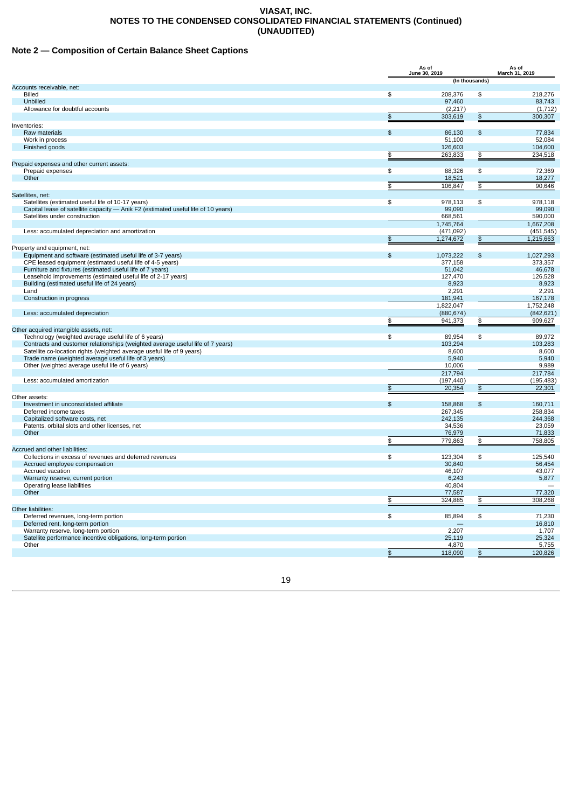# **Note 2 — Composition of Certain Balance Sheet Captions**

|                                                                                                                           | As of<br>As of<br>June 30, 2019<br>March 31, 2019 |                |                   |
|---------------------------------------------------------------------------------------------------------------------------|---------------------------------------------------|----------------|-------------------|
|                                                                                                                           | (In thousands)                                    |                |                   |
| Accounts receivable, net:                                                                                                 |                                                   |                |                   |
| <b>Billed</b>                                                                                                             | \$<br>208.376                                     | \$             | 218.276           |
| Unbilled                                                                                                                  | 97,460                                            |                | 83,743            |
| Allowance for doubtful accounts                                                                                           | (2.217)                                           |                | (1,712)           |
|                                                                                                                           | \$<br>303,619                                     | \$             | 300,307           |
| Inventories:                                                                                                              |                                                   |                |                   |
| Raw materials                                                                                                             | \$<br>86,130                                      | $\mathfrak{S}$ | 77,834            |
| Work in process                                                                                                           | 51,100                                            |                | 52,084            |
| Finished goods                                                                                                            | 126,603                                           |                | 104,600           |
|                                                                                                                           | \$<br>263,833                                     | \$             | 234,518           |
| Prepaid expenses and other current assets:                                                                                |                                                   |                |                   |
| Prepaid expenses                                                                                                          | \$<br>88,326                                      | \$             | 72,369            |
| Other                                                                                                                     | 18,521                                            |                | 18,277            |
|                                                                                                                           | \$<br>106,847                                     | \$             | 90,646            |
| Satellites, net:                                                                                                          |                                                   |                |                   |
| Satellites (estimated useful life of 10-17 years)                                                                         | \$<br>978,113                                     | \$             | 978,118           |
| Capital lease of satellite capacity - Anik F2 (estimated useful life of 10 years)                                         | 99,090                                            |                | 99,090            |
| Satellites under construction                                                                                             | 668,561                                           |                | 590,000           |
|                                                                                                                           | 1,745,764                                         |                | 1,667,208         |
| Less: accumulated depreciation and amortization                                                                           | (471,092)                                         |                | (451, 545)        |
|                                                                                                                           | 1,274,672                                         | \$             | 1,215,663         |
| Property and equipment, net:                                                                                              |                                                   |                |                   |
| Equipment and software (estimated useful life of 3-7 years)                                                               | \$<br>1,073,222                                   | $\frac{2}{3}$  | 1,027,293         |
| CPE leased equipment (estimated useful life of 4-5 years)                                                                 | 377,158<br>51,042                                 |                | 373,357           |
| Furniture and fixtures (estimated useful life of 7 years)<br>Leasehold improvements (estimated useful life of 2-17 years) | 127,470                                           |                | 46,678<br>126,528 |
| Building (estimated useful life of 24 years)                                                                              | 8,923                                             |                | 8,923             |
| Land                                                                                                                      | 2,291                                             |                | 2,291             |
| Construction in progress                                                                                                  | 181,941                                           |                | 167,178           |
|                                                                                                                           | 1.822.047                                         |                | 1.752.248         |
| Less: accumulated depreciation                                                                                            | (880, 674)                                        |                | (842, 621)        |
|                                                                                                                           | \$<br>941,373                                     | \$             | 909,627           |
| Other acquired intangible assets, net:                                                                                    |                                                   |                |                   |
| Technology (weighted average useful life of 6 years)                                                                      | \$<br>89,954                                      | \$             | 89,972            |
| Contracts and customer relationships (weighted average useful life of 7 years)                                            | 103,294                                           |                | 103,283           |
| Satellite co-location rights (weighted average useful life of 9 years)                                                    | 8,600                                             |                | 8,600             |
| Trade name (weighted average useful life of 3 years)                                                                      | 5,940                                             |                | 5,940             |
| Other (weighted average useful life of 6 years)                                                                           | 10,006                                            |                | 9,989             |
|                                                                                                                           | 217.794                                           |                | 217.784           |
| Less: accumulated amortization                                                                                            | (197, 440)                                        |                | (195, 483)        |
|                                                                                                                           | \$<br>20,354                                      | \$             | 22,301            |
| Other assets:                                                                                                             |                                                   |                |                   |
| Investment in unconsolidated affiliate                                                                                    | \$<br>158,868                                     | \$             | 160,711           |
| Deferred income taxes                                                                                                     | 267,345                                           |                | 258.834           |
| Capitalized software costs, net                                                                                           | 242,135                                           |                | 244,368           |
| Patents, orbital slots and other licenses, net                                                                            | 34,536                                            |                | 23,059            |
| Other                                                                                                                     | 76,979                                            |                | 71,833            |
|                                                                                                                           | \$<br>779,863                                     | \$             | 758,805           |
| Accrued and other liabilities:                                                                                            |                                                   |                |                   |
| Collections in excess of revenues and deferred revenues<br>Accrued employee compensation                                  | \$<br>123,304<br>30,840                           | \$             | 125,540<br>56,454 |
| Accrued vacation                                                                                                          | 46.107                                            |                | 43,077            |
| Warranty reserve, current portion                                                                                         | 6,243                                             |                | 5,877             |
| Operating lease liabilities                                                                                               | 40,804                                            |                |                   |
| Other                                                                                                                     | 77,587                                            |                | 77,320            |
|                                                                                                                           | \$<br>324,885                                     | \$             | 308,268           |
| Other liabilities:                                                                                                        |                                                   |                |                   |
| Deferred revenues, long-term portion                                                                                      | \$<br>85,894                                      | \$             | 71,230            |
| Deferred rent, long-term portion                                                                                          |                                                   |                | 16.810            |
| Warranty reserve, long-term portion                                                                                       | 2,207                                             |                | 1,707             |
| Satellite performance incentive obligations, long-term portion                                                            | 25,119                                            |                | 25,324            |
| Other                                                                                                                     | 4,870                                             |                | 5,755             |
|                                                                                                                           | \$<br>118,090                                     | \$             | 120,826           |
|                                                                                                                           |                                                   |                |                   |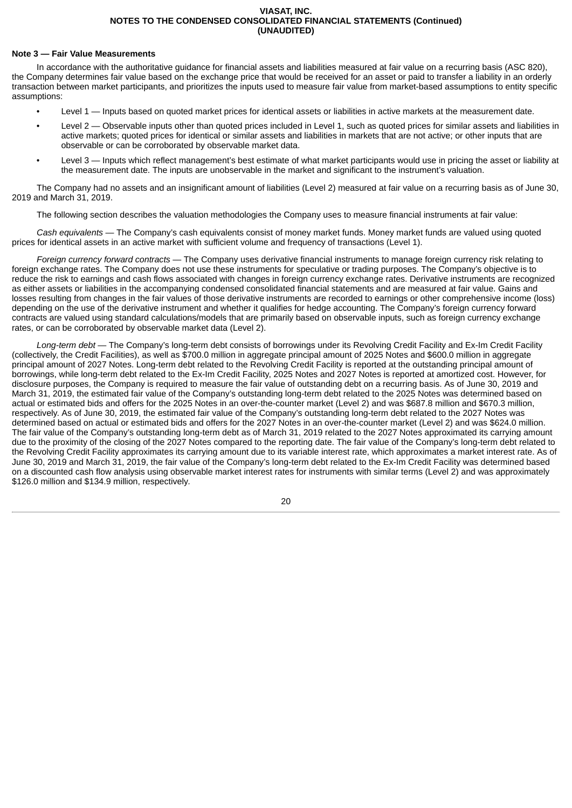#### **Note 3 — Fair Value Measurements**

In accordance with the authoritative guidance for financial assets and liabilities measured at fair value on a recurring basis (ASC 820), the Company determines fair value based on the exchange price that would be received for an asset or paid to transfer a liability in an orderly transaction between market participants, and prioritizes the inputs used to measure fair value from market-based assumptions to entity specific assumptions:

- Level 1 Inputs based on quoted market prices for identical assets or liabilities in active markets at the measurement date.
- Level 2 Observable inputs other than quoted prices included in Level 1, such as quoted prices for similar assets and liabilities in active markets; quoted prices for identical or similar assets and liabilities in markets that are not active; or other inputs that are observable or can be corroborated by observable market data.
- Level 3 Inputs which reflect management's best estimate of what market participants would use in pricing the asset or liability at the measurement date. The inputs are unobservable in the market and significant to the instrument's valuation.

The Company had no assets and an insignificant amount of liabilities (Level 2) measured at fair value on a recurring basis as of June 30, 2019 and March 31, 2019.

The following section describes the valuation methodologies the Company uses to measure financial instruments at fair value:

*Cash equivalents* — The Company's cash equivalents consist of money market funds. Money market funds are valued using quoted prices for identical assets in an active market with sufficient volume and frequency of transactions (Level 1).

*Foreign currency forward contracts* — The Company uses derivative financial instruments to manage foreign currency risk relating to foreign exchange rates. The Company does not use these instruments for speculative or trading purposes. The Company's objective is to reduce the risk to earnings and cash flows associated with changes in foreign currency exchange rates. Derivative instruments are recognized as either assets or liabilities in the accompanying condensed consolidated financial statements and are measured at fair value. Gains and losses resulting from changes in the fair values of those derivative instruments are recorded to earnings or other comprehensive income (loss) depending on the use of the derivative instrument and whether it qualifies for hedge accounting. The Company's foreign currency forward contracts are valued using standard calculations/models that are primarily based on observable inputs, such as foreign currency exchange rates, or can be corroborated by observable market data (Level 2).

*Long-term debt* — The Company's long-term debt consists of borrowings under its Revolving Credit Facility and Ex-Im Credit Facility (collectively, the Credit Facilities), as well as \$700.0 million in aggregate principal amount of 2025 Notes and \$600.0 million in aggregate principal amount of 2027 Notes. Long-term debt related to the Revolving Credit Facility is reported at the outstanding principal amount of borrowings, while long-term debt related to the Ex-Im Credit Facility, 2025 Notes and 2027 Notes is reported at amortized cost. However, for disclosure purposes, the Company is required to measure the fair value of outstanding debt on a recurring basis. As of June 30, 2019 and March 31, 2019, the estimated fair value of the Company's outstanding long-term debt related to the 2025 Notes was determined based on actual or estimated bids and offers for the 2025 Notes in an over-the-counter market (Level 2) and was \$687.8 million and \$670.3 million, respectively. As of June 30, 2019, the estimated fair value of the Company's outstanding long-term debt related to the 2027 Notes was determined based on actual or estimated bids and offers for the 2027 Notes in an over-the-counter market (Level 2) and was \$624.0 million. The fair value of the Company's outstanding long-term debt as of March 31, 2019 related to the 2027 Notes approximated its carrying amount due to the proximity of the closing of the 2027 Notes compared to the reporting date. The fair value of the Company's long-term debt related to the Revolving Credit Facility approximates its carrying amount due to its variable interest rate, which approximates a market interest rate. As of June 30, 2019 and March 31, 2019, the fair value of the Company's long-term debt related to the Ex-Im Credit Facility was determined based on a discounted cash flow analysis using observable market interest rates for instruments with similar terms (Level 2) and was approximately \$126.0 million and \$134.9 million, respectively*.*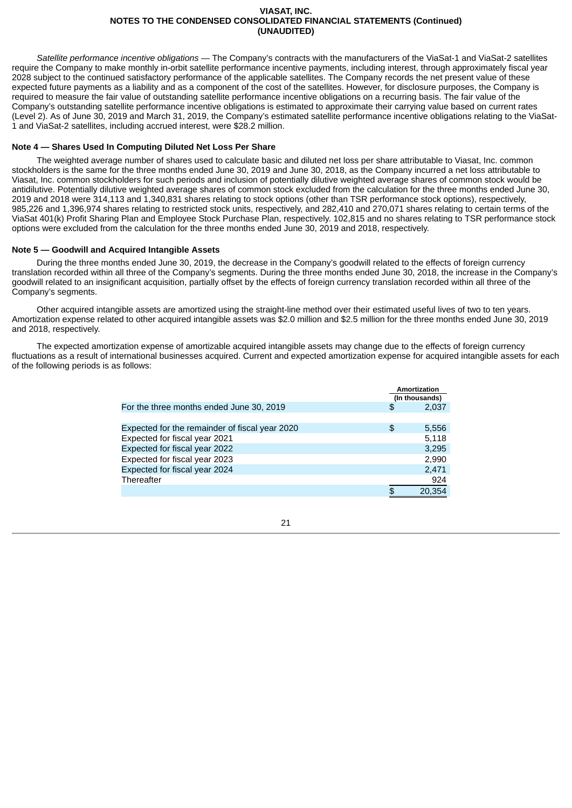*Satellite performance incentive obligations* — The Company's contracts with the manufacturers of the ViaSat-1 and ViaSat-2 satellites require the Company to make monthly in-orbit satellite performance incentive payments, including interest, through approximately fiscal year 2028 subject to the continued satisfactory performance of the applicable satellites. The Company records the net present value of these expected future payments as a liability and as a component of the cost of the satellites. However, for disclosure purposes, the Company is required to measure the fair value of outstanding satellite performance incentive obligations on a recurring basis. The fair value of the Company's outstanding satellite performance incentive obligations is estimated to approximate their carrying value based on current rates (Level 2). As of June 30, 2019 and March 31, 2019, the Company's estimated satellite performance incentive obligations relating to the ViaSat-1 and ViaSat-2 satellites, including accrued interest, were \$28.2 million.

#### **Note 4 — Shares Used In Computing Diluted Net Loss Per Share**

The weighted average number of shares used to calculate basic and diluted net loss per share attributable to Viasat, Inc. common stockholders is the same for the three months ended June 30, 2019 and June 30, 2018, as the Company incurred a net loss attributable to Viasat, Inc. common stockholders for such periods and inclusion of potentially dilutive weighted average shares of common stock would be antidilutive. Potentially dilutive weighted average shares of common stock excluded from the calculation for the three months ended June 30, 2019 and 2018 were 314,113 and 1,340,831 shares relating to stock options (other than TSR performance stock options), respectively, 985,226 and 1,396,974 shares relating to restricted stock units, respectively, and 282,410 and 270,071 shares relating to certain terms of the ViaSat 401(k) Profit Sharing Plan and Employee Stock Purchase Plan, respectively. 102,815 and no shares relating to TSR performance stock options were excluded from the calculation for the three months ended June 30, 2019 and 2018, respectively.

# **Note 5 — Goodwill and Acquired Intangible Assets**

During the three months ended June 30, 2019, the decrease in the Company's goodwill related to the effects of foreign currency translation recorded within all three of the Company's segments. During the three months ended June 30, 2018, the increase in the Company's goodwill related to an insignificant acquisition, partially offset by the effects of foreign currency translation recorded within all three of the Company's segments.

Other acquired intangible assets are amortized using the straight-line method over their estimated useful lives of two to ten years. Amortization expense related to other acquired intangible assets was \$2.0 million and \$2.5 million for the three months ended June 30, 2019 and 2018, respectively.

The expected amortization expense of amortizable acquired intangible assets may change due to the effects of foreign currency fluctuations as a result of international businesses acquired. Current and expected amortization expense for acquired intangible assets for each of the following periods is as follows:

|                                                | Amortization<br>(In thousands) |  |
|------------------------------------------------|--------------------------------|--|
| For the three months ended June 30, 2019       | \$<br>2.037                    |  |
|                                                |                                |  |
| Expected for the remainder of fiscal year 2020 | \$<br>5.556                    |  |
| Expected for fiscal year 2021                  | 5.118                          |  |
| Expected for fiscal year 2022                  | 3,295                          |  |
| Expected for fiscal year 2023                  | 2,990                          |  |
| Expected for fiscal year 2024                  | 2,471                          |  |
| Thereafter                                     | 924                            |  |
|                                                | \$<br>20.354                   |  |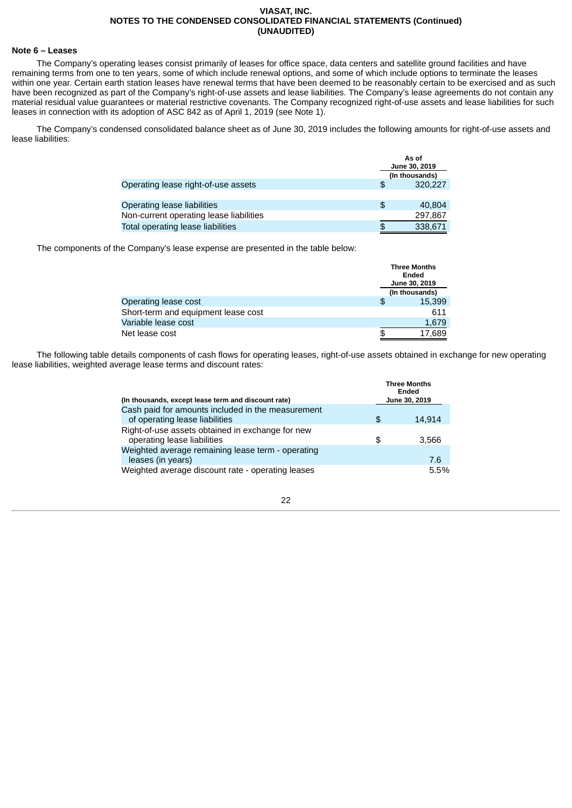# **Note 6 – Leases**

The Company's operating leases consist primarily of leases for office space, data centers and satellite ground facilities and have remaining terms from one to ten years, some of which include renewal options, and some of which include options to terminate the leases within one year. Certain earth station leases have renewal terms that have been deemed to be reasonably certain to be exercised and as such have been recognized as part of the Company's right-of-use assets and lease liabilities. The Company's lease agreements do not contain any material residual value guarantees or material restrictive covenants. The Company recognized right-of-use assets and lease liabilities for such leases in connection with its adoption of ASC 842 as of April 1, 2019 (see Note 1).

The Company's condensed consolidated balance sheet as of June 30, 2019 includes the following amounts for right-of-use assets and lease liabilities:

|                                         |    | As of<br>June 30, 2019<br>(In thousands) |
|-----------------------------------------|----|------------------------------------------|
| Operating lease right-of-use assets     | \$ | 320,227                                  |
|                                         |    |                                          |
| Operating lease liabilities             | £. | 40.804                                   |
| Non-current operating lease liabilities |    | 297,867                                  |
| Total operating lease liabilities       | \$ | 338.671                                  |

The components of the Company's lease expense are presented in the table below:

|                                     | <b>Three Months</b><br>Ended<br>June 30, 2019 |
|-------------------------------------|-----------------------------------------------|
|                                     | (In thousands)                                |
| Operating lease cost                | 15.399                                        |
| Short-term and equipment lease cost | 611                                           |
| Variable lease cost                 | 1,679                                         |
| Net lease cost                      | 17,689                                        |

The following table details components of cash flows for operating leases, right-of-use assets obtained in exchange for new operating lease liabilities, weighted average lease terms and discount rates:

|                                                                                     | <b>Three Months</b><br>Ended |
|-------------------------------------------------------------------------------------|------------------------------|
| (In thousands, except lease term and discount rate)                                 | June 30, 2019                |
| Cash paid for amounts included in the measurement<br>of operating lease liabilities | \$<br>14.914                 |
| Right-of-use assets obtained in exchange for new<br>operating lease liabilities     | \$<br>3.566                  |
| Weighted average remaining lease term - operating<br>leases (in years)              | 7.6                          |
| Weighted average discount rate - operating leases                                   | 5.5%                         |

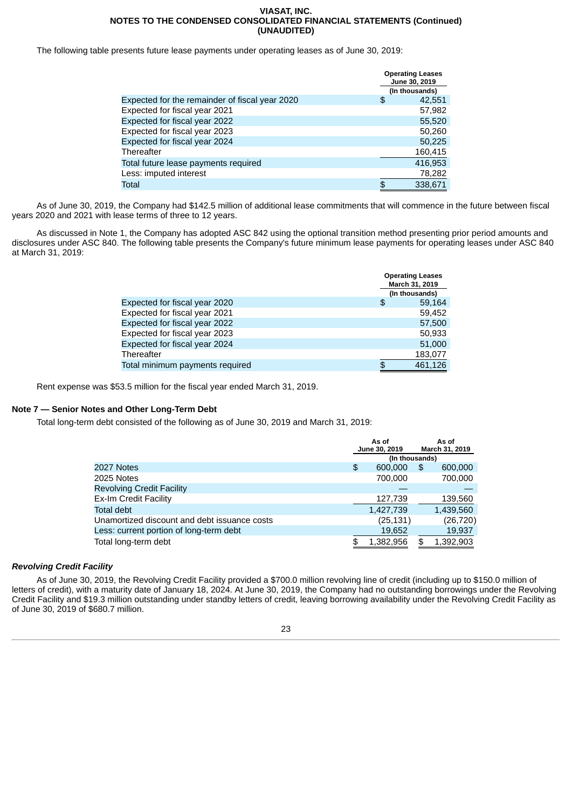The following table presents future lease payments under operating leases as of June 30, 2019:

|                                                |     | <b>Operating Leases</b><br>June 30, 2019 |  |
|------------------------------------------------|-----|------------------------------------------|--|
|                                                |     | (In thousands)                           |  |
| Expected for the remainder of fiscal year 2020 | \$  | 42,551                                   |  |
| Expected for fiscal year 2021                  |     | 57,982                                   |  |
| Expected for fiscal year 2022                  |     | 55.520                                   |  |
| Expected for fiscal year 2023                  |     | 50.260                                   |  |
| Expected for fiscal year 2024                  |     | 50.225                                   |  |
| Thereafter                                     |     | 160,415                                  |  |
| Total future lease payments required           |     | 416,953                                  |  |
| Less: imputed interest                         |     | 78,282                                   |  |
| Total                                          | \$. | 338,671                                  |  |

As of June 30, 2019, the Company had \$142.5 million of additional lease commitments that will commence in the future between fiscal years 2020 and 2021 with lease terms of three to 12 years.

As discussed in Note 1, the Company has adopted ASC 842 using the optional transition method presenting prior period amounts and disclosures under ASC 840. The following table presents the Company's future minimum lease payments for operating leases under ASC 840 at March 31, 2019:

|                                 | <b>Operating Leases</b> |                |
|---------------------------------|-------------------------|----------------|
|                                 | March 31, 2019          |                |
|                                 |                         | (In thousands) |
| Expected for fiscal year 2020   | \$                      | 59.164         |
| Expected for fiscal year 2021   |                         | 59,452         |
| Expected for fiscal year 2022   |                         | 57,500         |
| Expected for fiscal year 2023   |                         | 50.933         |
| Expected for fiscal year 2024   |                         | 51,000         |
| Thereafter                      |                         | 183,077        |
| Total minimum payments required |                         | 461,126        |

Rent expense was \$53.5 million for the fiscal year ended March 31, 2019.

# **Note 7 — Senior Notes and Other Long-Term Debt**

Total long-term debt consisted of the following as of June 30, 2019 and March 31, 2019:

|                                              |                | As of<br>June 30, 2019 |    | As of<br>March 31, 2019 |
|----------------------------------------------|----------------|------------------------|----|-------------------------|
|                                              | (In thousands) |                        |    |                         |
| 2027 Notes                                   | \$             | 600,000                | \$ | 600,000                 |
| 2025 Notes                                   |                | 700,000                |    | 700,000                 |
| <b>Revolving Credit Facility</b>             |                |                        |    |                         |
| Ex-Im Credit Facility                        |                | 127,739                |    | 139,560                 |
| <b>Total debt</b>                            |                | 1,427,739              |    | 1,439,560               |
| Unamortized discount and debt issuance costs |                | (25, 131)              |    | (26, 720)               |
| Less: current portion of long-term debt      |                | 19,652                 |    | 19,937                  |
| Total long-term debt                         |                | 1.382.956              | \$ | 1.392.903               |

# *Revolving Credit Facility*

As of June 30, 2019, the Revolving Credit Facility provided a \$700.0 million revolving line of credit (including up to \$150.0 million of letters of credit), with a maturity date of January 18, 2024. At June 30, 2019, the Company had no outstanding borrowings under the Revolving Credit Facility and \$19.3 million outstanding under standby letters of credit, leaving borrowing availability under the Revolving Credit Facility as of June 30, 2019 of \$680.7 million.

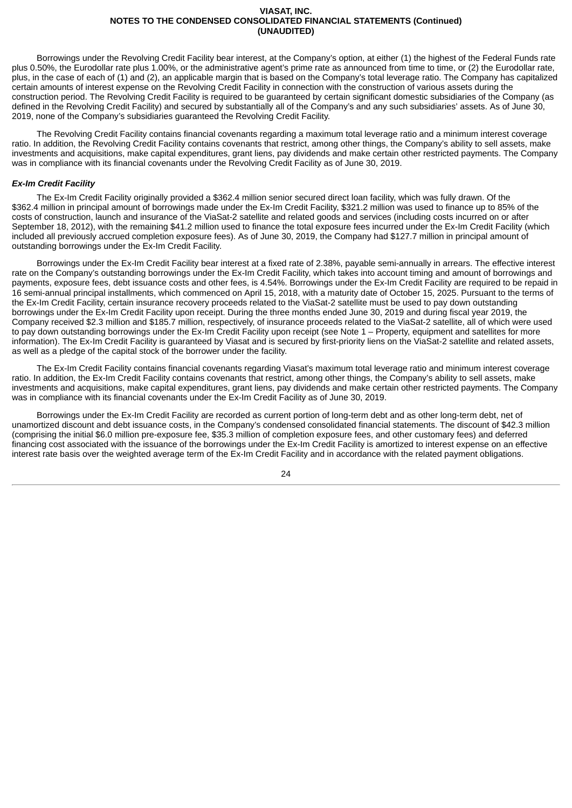Borrowings under the Revolving Credit Facility bear interest, at the Company's option, at either (1) the highest of the Federal Funds rate plus 0.50%, the Eurodollar rate plus 1.00%, or the administrative agent's prime rate as announced from time to time, or (2) the Eurodollar rate, plus, in the case of each of (1) and (2), an applicable margin that is based on the Company's total leverage ratio. The Company has capitalized certain amounts of interest expense on the Revolving Credit Facility in connection with the construction of various assets during the construction period. The Revolving Credit Facility is required to be guaranteed by certain significant domestic subsidiaries of the Company (as defined in the Revolving Credit Facility) and secured by substantially all of the Company's and any such subsidiaries' assets. As of June 30, 2019, none of the Company's subsidiaries guaranteed the Revolving Credit Facility.

The Revolving Credit Facility contains financial covenants regarding a maximum total leverage ratio and a minimum interest coverage ratio. In addition, the Revolving Credit Facility contains covenants that restrict, among other things, the Company's ability to sell assets, make investments and acquisitions, make capital expenditures, grant liens, pay dividends and make certain other restricted payments. The Company was in compliance with its financial covenants under the Revolving Credit Facility as of June 30, 2019.

#### *Ex-Im Credit Facility*

The Ex-Im Credit Facility originally provided a \$362.4 million senior secured direct loan facility, which was fully drawn. Of the \$362.4 million in principal amount of borrowings made under the Ex-Im Credit Facility, \$321.2 million was used to finance up to 85% of the costs of construction, launch and insurance of the ViaSat-2 satellite and related goods and services (including costs incurred on or after September 18, 2012), with the remaining \$41.2 million used to finance the total exposure fees incurred under the Ex-Im Credit Facility (which included all previously accrued completion exposure fees). As of June 30, 2019, the Company had \$127.7 million in principal amount of outstanding borrowings under the Ex-Im Credit Facility.

Borrowings under the Ex-Im Credit Facility bear interest at a fixed rate of 2.38%, payable semi-annually in arrears. The effective interest rate on the Company's outstanding borrowings under the Ex-Im Credit Facility, which takes into account timing and amount of borrowings and payments, exposure fees, debt issuance costs and other fees, is 4.54%. Borrowings under the Ex-Im Credit Facility are required to be repaid in 16 semi-annual principal installments, which commenced on April 15, 2018, with a maturity date of October 15, 2025. Pursuant to the terms of the Ex-Im Credit Facility, certain insurance recovery proceeds related to the ViaSat-2 satellite must be used to pay down outstanding borrowings under the Ex-Im Credit Facility upon receipt. During the three months ended June 30, 2019 and during fiscal year 2019, the Company received \$2.3 million and \$185.7 million, respectively, of insurance proceeds related to the ViaSat-2 satellite, all of which were used to pay down outstanding borrowings under the Ex-Im Credit Facility upon receipt (see Note 1 – Property, equipment and satellites for more information). The Ex-Im Credit Facility is guaranteed by Viasat and is secured by first-priority liens on the ViaSat-2 satellite and related assets, as well as a pledge of the capital stock of the borrower under the facility.

The Ex-Im Credit Facility contains financial covenants regarding Viasat's maximum total leverage ratio and minimum interest coverage ratio. In addition, the Ex-Im Credit Facility contains covenants that restrict, among other things, the Company's ability to sell assets, make investments and acquisitions, make capital expenditures, grant liens, pay dividends and make certain other restricted payments. The Company was in compliance with its financial covenants under the Ex-Im Credit Facility as of June 30, 2019.

Borrowings under the Ex-Im Credit Facility are recorded as current portion of long-term debt and as other long-term debt, net of unamortized discount and debt issuance costs, in the Company's condensed consolidated financial statements. The discount of \$42.3 million (comprising the initial \$6.0 million pre-exposure fee, \$35.3 million of completion exposure fees, and other customary fees) and deferred financing cost associated with the issuance of the borrowings under the Ex-Im Credit Facility is amortized to interest expense on an effective interest rate basis over the weighted average term of the Ex-Im Credit Facility and in accordance with the related payment obligations.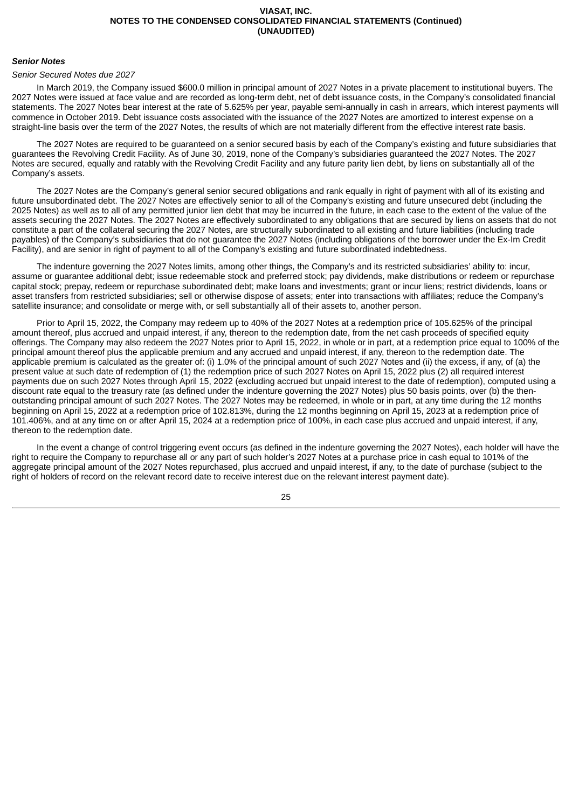#### *Senior Notes*

#### *Senior Secured Notes due 2027*

In March 2019, the Company issued \$600.0 million in principal amount of 2027 Notes in a private placement to institutional buyers. The 2027 Notes were issued at face value and are recorded as long-term debt, net of debt issuance costs, in the Company's consolidated financial statements. The 2027 Notes bear interest at the rate of 5.625% per year, payable semi-annually in cash in arrears, which interest payments will commence in October 2019. Debt issuance costs associated with the issuance of the 2027 Notes are amortized to interest expense on a straight-line basis over the term of the 2027 Notes, the results of which are not materially different from the effective interest rate basis.

The 2027 Notes are required to be guaranteed on a senior secured basis by each of the Company's existing and future subsidiaries that guarantees the Revolving Credit Facility. As of June 30, 2019, none of the Company's subsidiaries guaranteed the 2027 Notes. The 2027 Notes are secured, equally and ratably with the Revolving Credit Facility and any future parity lien debt, by liens on substantially all of the Company's assets.

The 2027 Notes are the Company's general senior secured obligations and rank equally in right of payment with all of its existing and future unsubordinated debt. The 2027 Notes are effectively senior to all of the Company's existing and future unsecured debt (including the 2025 Notes) as well as to all of any permitted junior lien debt that may be incurred in the future, in each case to the extent of the value of the assets securing the 2027 Notes. The 2027 Notes are effectively subordinated to any obligations that are secured by liens on assets that do not constitute a part of the collateral securing the 2027 Notes, are structurally subordinated to all existing and future liabilities (including trade payables) of the Company's subsidiaries that do not guarantee the 2027 Notes (including obligations of the borrower under the Ex-Im Credit Facility), and are senior in right of payment to all of the Company's existing and future subordinated indebtedness.

The indenture governing the 2027 Notes limits, among other things, the Company's and its restricted subsidiaries' ability to: incur, assume or guarantee additional debt; issue redeemable stock and preferred stock; pay dividends, make distributions or redeem or repurchase capital stock; prepay, redeem or repurchase subordinated debt; make loans and investments; grant or incur liens; restrict dividends, loans or asset transfers from restricted subsidiaries; sell or otherwise dispose of assets; enter into transactions with affiliates; reduce the Company's satellite insurance; and consolidate or merge with, or sell substantially all of their assets to, another person.

Prior to April 15, 2022, the Company may redeem up to 40% of the 2027 Notes at a redemption price of 105.625% of the principal amount thereof, plus accrued and unpaid interest, if any, thereon to the redemption date, from the net cash proceeds of specified equity offerings. The Company may also redeem the 2027 Notes prior to April 15, 2022, in whole or in part, at a redemption price equal to 100% of the principal amount thereof plus the applicable premium and any accrued and unpaid interest, if any, thereon to the redemption date. The applicable premium is calculated as the greater of: (i) 1.0% of the principal amount of such 2027 Notes and (ii) the excess, if any, of (a) the present value at such date of redemption of (1) the redemption price of such 2027 Notes on April 15, 2022 plus (2) all required interest payments due on such 2027 Notes through April 15, 2022 (excluding accrued but unpaid interest to the date of redemption), computed using a discount rate equal to the treasury rate (as defined under the indenture governing the 2027 Notes) plus 50 basis points, over (b) the thenoutstanding principal amount of such 2027 Notes. The 2027 Notes may be redeemed, in whole or in part, at any time during the 12 months beginning on April 15, 2022 at a redemption price of 102.813%, during the 12 months beginning on April 15, 2023 at a redemption price of 101.406%, and at any time on or after April 15, 2024 at a redemption price of 100%, in each case plus accrued and unpaid interest, if any, thereon to the redemption date.

In the event a change of control triggering event occurs (as defined in the indenture governing the 2027 Notes), each holder will have the right to require the Company to repurchase all or any part of such holder's 2027 Notes at a purchase price in cash equal to 101% of the aggregate principal amount of the 2027 Notes repurchased, plus accrued and unpaid interest, if any, to the date of purchase (subject to the right of holders of record on the relevant record date to receive interest due on the relevant interest payment date).

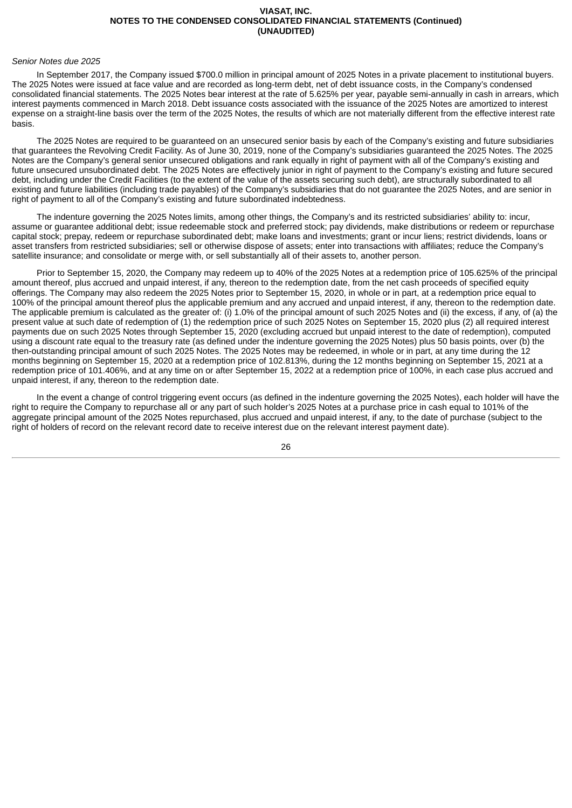#### *Senior Notes due 2025*

In September 2017, the Company issued \$700.0 million in principal amount of 2025 Notes in a private placement to institutional buyers. The 2025 Notes were issued at face value and are recorded as long-term debt, net of debt issuance costs, in the Company's condensed consolidated financial statements. The 2025 Notes bear interest at the rate of 5.625% per year, payable semi-annually in cash in arrears, which interest payments commenced in March 2018. Debt issuance costs associated with the issuance of the 2025 Notes are amortized to interest expense on a straight-line basis over the term of the 2025 Notes, the results of which are not materially different from the effective interest rate basis.

The 2025 Notes are required to be guaranteed on an unsecured senior basis by each of the Company's existing and future subsidiaries that guarantees the Revolving Credit Facility. As of June 30, 2019, none of the Company's subsidiaries guaranteed the 2025 Notes. The 2025 Notes are the Company's general senior unsecured obligations and rank equally in right of payment with all of the Company's existing and future unsecured unsubordinated debt. The 2025 Notes are effectively junior in right of payment to the Company's existing and future secured debt, including under the Credit Facilities (to the extent of the value of the assets securing such debt), are structurally subordinated to all existing and future liabilities (including trade payables) of the Company's subsidiaries that do not guarantee the 2025 Notes, and are senior in right of payment to all of the Company's existing and future subordinated indebtedness.

The indenture governing the 2025 Notes limits, among other things, the Company's and its restricted subsidiaries' ability to: incur, assume or guarantee additional debt; issue redeemable stock and preferred stock; pay dividends, make distributions or redeem or repurchase capital stock; prepay, redeem or repurchase subordinated debt; make loans and investments; grant or incur liens; restrict dividends, loans or asset transfers from restricted subsidiaries; sell or otherwise dispose of assets; enter into transactions with affiliates; reduce the Company's satellite insurance; and consolidate or merge with, or sell substantially all of their assets to, another person.

Prior to September 15, 2020, the Company may redeem up to 40% of the 2025 Notes at a redemption price of 105.625% of the principal amount thereof, plus accrued and unpaid interest, if any, thereon to the redemption date, from the net cash proceeds of specified equity offerings. The Company may also redeem the 2025 Notes prior to September 15, 2020, in whole or in part, at a redemption price equal to 100% of the principal amount thereof plus the applicable premium and any accrued and unpaid interest, if any, thereon to the redemption date. The applicable premium is calculated as the greater of: (i) 1.0% of the principal amount of such 2025 Notes and (ii) the excess, if any, of (a) the present value at such date of redemption of (1) the redemption price of such 2025 Notes on September 15, 2020 plus (2) all required interest payments due on such 2025 Notes through September 15, 2020 (excluding accrued but unpaid interest to the date of redemption), computed using a discount rate equal to the treasury rate (as defined under the indenture governing the 2025 Notes) plus 50 basis points, over (b) the then-outstanding principal amount of such 2025 Notes. The 2025 Notes may be redeemed, in whole or in part, at any time during the 12 months beginning on September 15, 2020 at a redemption price of 102.813%, during the 12 months beginning on September 15, 2021 at a redemption price of 101.406%, and at any time on or after September 15, 2022 at a redemption price of 100%, in each case plus accrued and unpaid interest, if any, thereon to the redemption date.

In the event a change of control triggering event occurs (as defined in the indenture governing the 2025 Notes), each holder will have the right to require the Company to repurchase all or any part of such holder's 2025 Notes at a purchase price in cash equal to 101% of the aggregate principal amount of the 2025 Notes repurchased, plus accrued and unpaid interest, if any, to the date of purchase (subject to the right of holders of record on the relevant record date to receive interest due on the relevant interest payment date).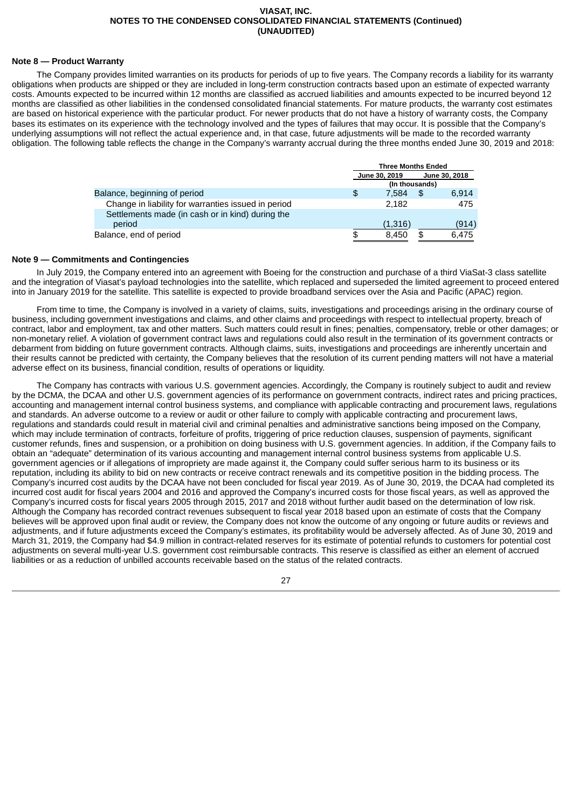#### **Note 8 — Product Warranty**

The Company provides limited warranties on its products for periods of up to five years. The Company records a liability for its warranty obligations when products are shipped or they are included in long-term construction contracts based upon an estimate of expected warranty costs. Amounts expected to be incurred within 12 months are classified as accrued liabilities and amounts expected to be incurred beyond 12 months are classified as other liabilities in the condensed consolidated financial statements. For mature products, the warranty cost estimates are based on historical experience with the particular product. For newer products that do not have a history of warranty costs, the Company bases its estimates on its experience with the technology involved and the types of failures that may occur. It is possible that the Company's underlying assumptions will not reflect the actual experience and, in that case, future adjustments will be made to the recorded warranty obligation. The following table reflects the change in the Company's warranty accrual during the three months ended June 30, 2019 and 2018:

|                                                     | <b>Three Months Ended</b> |               |    |               |
|-----------------------------------------------------|---------------------------|---------------|----|---------------|
|                                                     |                           | June 30, 2019 |    | June 30, 2018 |
|                                                     | (In thousands)            |               |    |               |
| Balance, beginning of period                        | \$                        | 7.584         | \$ | 6,914         |
| Change in liability for warranties issued in period |                           | 2.182         |    | 475           |
| Settlements made (in cash or in kind) during the    |                           |               |    |               |
| period                                              |                           | (1,316)       |    | (914)         |
| Balance, end of period                              | £.                        | 8.450         |    | 6.475         |

#### **Note 9 — Commitments and Contingencies**

In July 2019, the Company entered into an agreement with Boeing for the construction and purchase of a third ViaSat-3 class satellite and the integration of Viasat's payload technologies into the satellite, which replaced and superseded the limited agreement to proceed entered into in January 2019 for the satellite. This satellite is expected to provide broadband services over the Asia and Pacific (APAC) region.

From time to time, the Company is involved in a variety of claims, suits, investigations and proceedings arising in the ordinary course of business, including government investigations and claims, and other claims and proceedings with respect to intellectual property, breach of contract, labor and employment, tax and other matters. Such matters could result in fines; penalties, compensatory, treble or other damages; or non-monetary relief. A violation of government contract laws and regulations could also result in the termination of its government contracts or debarment from bidding on future government contracts. Although claims, suits, investigations and proceedings are inherently uncertain and their results cannot be predicted with certainty, the Company believes that the resolution of its current pending matters will not have a material adverse effect on its business, financial condition, results of operations or liquidity.

The Company has contracts with various U.S. government agencies. Accordingly, the Company is routinely subject to audit and review by the DCMA, the DCAA and other U.S. government agencies of its performance on government contracts, indirect rates and pricing practices, accounting and management internal control business systems, and compliance with applicable contracting and procurement laws, regulations and standards. An adverse outcome to a review or audit or other failure to comply with applicable contracting and procurement laws, regulations and standards could result in material civil and criminal penalties and administrative sanctions being imposed on the Company, which may include termination of contracts, forfeiture of profits, triggering of price reduction clauses, suspension of payments, significant customer refunds, fines and suspension, or a prohibition on doing business with U.S. government agencies. In addition, if the Company fails to obtain an "adequate" determination of its various accounting and management internal control business systems from applicable U.S. government agencies or if allegations of impropriety are made against it, the Company could suffer serious harm to its business or its reputation, including its ability to bid on new contracts or receive contract renewals and its competitive position in the bidding process. The Company's incurred cost audits by the DCAA have not been concluded for fiscal year 2019. As of June 30, 2019, the DCAA had completed its incurred cost audit for fiscal years 2004 and 2016 and approved the Company's incurred costs for those fiscal years, as well as approved the Company's incurred costs for fiscal years 2005 through 2015, 2017 and 2018 without further audit based on the determination of low risk. Although the Company has recorded contract revenues subsequent to fiscal year 2018 based upon an estimate of costs that the Company believes will be approved upon final audit or review, the Company does not know the outcome of any ongoing or future audits or reviews and adjustments, and if future adjustments exceed the Company's estimates, its profitability would be adversely affected. As of June 30, 2019 and March 31, 2019, the Company had \$4.9 million in contract-related reserves for its estimate of potential refunds to customers for potential cost adjustments on several multi-year U.S. government cost reimbursable contracts. This reserve is classified as either an element of accrued liabilities or as a reduction of unbilled accounts receivable based on the status of the related contracts.

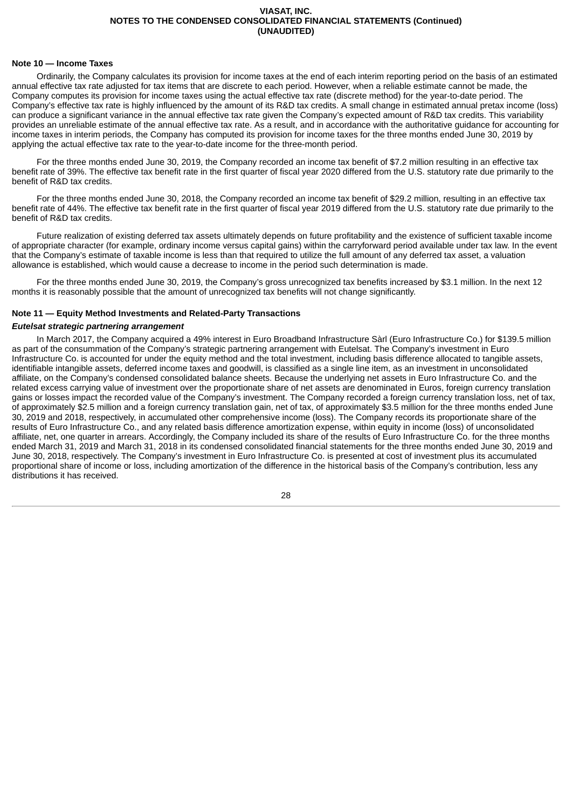#### **Note 10 — Income Taxes**

Ordinarily, the Company calculates its provision for income taxes at the end of each interim reporting period on the basis of an estimated annual effective tax rate adjusted for tax items that are discrete to each period. However, when a reliable estimate cannot be made, the Company computes its provision for income taxes using the actual effective tax rate (discrete method) for the year-to-date period. The Company's effective tax rate is highly influenced by the amount of its R&D tax credits. A small change in estimated annual pretax income (loss) can produce a significant variance in the annual effective tax rate given the Company's expected amount of R&D tax credits. This variability provides an unreliable estimate of the annual effective tax rate. As a result, and in accordance with the authoritative guidance for accounting for income taxes in interim periods, the Company has computed its provision for income taxes for the three months ended June 30, 2019 by applying the actual effective tax rate to the year-to-date income for the three-month period.

For the three months ended June 30, 2019, the Company recorded an income tax benefit of \$7.2 million resulting in an effective tax benefit rate of 39%. The effective tax benefit rate in the first quarter of fiscal year 2020 differed from the U.S. statutory rate due primarily to the benefit of R&D tax credits.

For the three months ended June 30, 2018, the Company recorded an income tax benefit of \$29.2 million, resulting in an effective tax benefit rate of 44%. The effective tax benefit rate in the first quarter of fiscal year 2019 differed from the U.S. statutory rate due primarily to the benefit of R&D tax credits.

Future realization of existing deferred tax assets ultimately depends on future profitability and the existence of sufficient taxable income of appropriate character (for example, ordinary income versus capital gains) within the carryforward period available under tax law. In the event that the Company's estimate of taxable income is less than that required to utilize the full amount of any deferred tax asset, a valuation allowance is established, which would cause a decrease to income in the period such determination is made.

For the three months ended June 30, 2019, the Company's gross unrecognized tax benefits increased by \$3.1 million. In the next 12 months it is reasonably possible that the amount of unrecognized tax benefits will not change significantly.

#### **Note 11 — Equity Method Investments and Related-Party Transactions**

#### *Eutelsat strategic partnering arrangement*

In March 2017, the Company acquired a 49% interest in Euro Broadband Infrastructure Sàrl (Euro Infrastructure Co.) for \$139.5 million as part of the consummation of the Company's strategic partnering arrangement with Eutelsat. The Company's investment in Euro Infrastructure Co. is accounted for under the equity method and the total investment, including basis difference allocated to tangible assets, identifiable intangible assets, deferred income taxes and goodwill, is classified as a single line item, as an investment in unconsolidated affiliate, on the Company's condensed consolidated balance sheets. Because the underlying net assets in Euro Infrastructure Co. and the related excess carrying value of investment over the proportionate share of net assets are denominated in Euros, foreign currency translation gains or losses impact the recorded value of the Company's investment. The Company recorded a foreign currency translation loss, net of tax, of approximately \$2.5 million and a foreign currency translation gain, net of tax, of approximately \$3.5 million for the three months ended June 30, 2019 and 2018, respectively, in accumulated other comprehensive income (loss). The Company records its proportionate share of the results of Euro Infrastructure Co., and any related basis difference amortization expense, within equity in income (loss) of unconsolidated affiliate, net, one quarter in arrears. Accordingly, the Company included its share of the results of Euro Infrastructure Co. for the three months ended March 31, 2019 and March 31, 2018 in its condensed consolidated financial statements for the three months ended June 30, 2019 and June 30, 2018, respectively. The Company's investment in Euro Infrastructure Co. is presented at cost of investment plus its accumulated proportional share of income or loss, including amortization of the difference in the historical basis of the Company's contribution, less any distributions it has received.

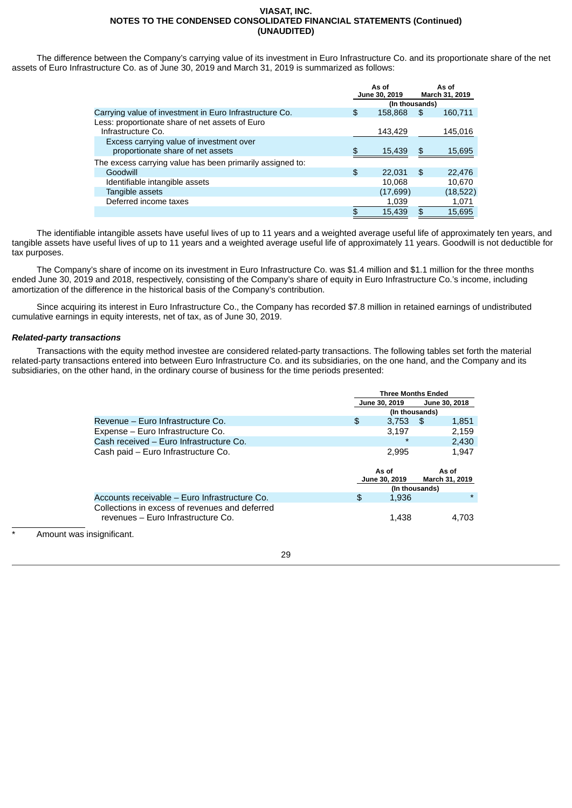The difference between the Company's carrying value of its investment in Euro Infrastructure Co. and its proportionate share of the net assets of Euro Infrastructure Co. as of June 30, 2019 and March 31, 2019 is summarized as follows:

|                                                                               | As of<br>June 30, 2019 |    | As of<br>March 31, 2019 |
|-------------------------------------------------------------------------------|------------------------|----|-------------------------|
|                                                                               | (In thousands)         |    |                         |
| Carrying value of investment in Euro Infrastructure Co.                       | \$<br>158,868          | \$ | 160,711                 |
| Less: proportionate share of net assets of Euro                               |                        |    |                         |
| Infrastructure Co.                                                            | 143,429                |    | 145,016                 |
| Excess carrying value of investment over<br>proportionate share of net assets | \$<br>15,439           | \$ | 15,695                  |
| The excess carrying value has been primarily assigned to:                     |                        |    |                         |
| Goodwill                                                                      | \$<br>22.031           | \$ | 22,476                  |
| Identifiable intangible assets                                                | 10.068                 |    | 10,670                  |
| Tangible assets                                                               | (17,699)               |    | (18, 522)               |
| Deferred income taxes                                                         | 1,039                  |    | 1,071                   |
|                                                                               | 15,439                 | \$ | 15,695                  |

The identifiable intangible assets have useful lives of up to 11 years and a weighted average useful life of approximately ten years, and tangible assets have useful lives of up to 11 years and a weighted average useful life of approximately 11 years. Goodwill is not deductible for tax purposes.

The Company's share of income on its investment in Euro Infrastructure Co. was \$1.4 million and \$1.1 million for the three months ended June 30, 2019 and 2018, respectively, consisting of the Company's share of equity in Euro Infrastructure Co.'s income, including amortization of the difference in the historical basis of the Company's contribution.

Since acquiring its interest in Euro Infrastructure Co., the Company has recorded \$7.8 million in retained earnings of undistributed cumulative earnings in equity interests, net of tax, as of June 30, 2019.

# *Related-party transactions*

Transactions with the equity method investee are considered related-party transactions. The following tables set forth the material related-party transactions entered into between Euro Infrastructure Co. and its subsidiaries, on the one hand, and the Company and its subsidiaries, on the other hand, in the ordinary course of business for the time periods presented:

|                                                                                      | <b>Three Months Ended</b> |                         |  |  |
|--------------------------------------------------------------------------------------|---------------------------|-------------------------|--|--|
|                                                                                      | June 30, 2019             | June 30, 2018           |  |  |
|                                                                                      | (In thousands)            |                         |  |  |
| Revenue – Euro Infrastructure Co.                                                    | \$<br>3,753               | 1,851<br>- \$           |  |  |
| Expense – Euro Infrastructure Co.                                                    | 3.197                     | 2,159                   |  |  |
| Cash received – Euro Infrastructure Co.                                              | $\star$                   | 2,430                   |  |  |
| Cash paid – Euro Infrastructure Co.                                                  | 2.995                     | 1,947                   |  |  |
|                                                                                      | As of<br>June 30, 2019    | As of<br>March 31, 2019 |  |  |
|                                                                                      |                           | (In thousands)          |  |  |
| Accounts receivable – Euro Infrastructure Co.                                        | \$<br>1.936               | $\star$                 |  |  |
| Collections in excess of revenues and deferred<br>revenues - Euro Infrastructure Co. | 1.438                     | 4.703                   |  |  |
|                                                                                      |                           |                         |  |  |

Amount was insignificant.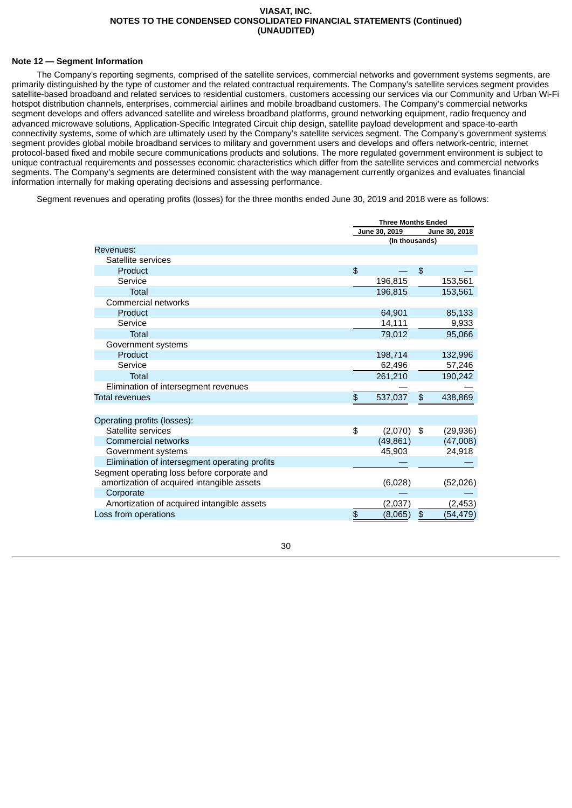#### **Note 12 — Segment Information**

The Company's reporting segments, comprised of the satellite services, commercial networks and government systems segments, are primarily distinguished by the type of customer and the related contractual requirements. The Company's satellite services segment provides satellite-based broadband and related services to residential customers, customers accessing our services via our Community and Urban Wi-Fi hotspot distribution channels, enterprises, commercial airlines and mobile broadband customers. The Company's commercial networks segment develops and offers advanced satellite and wireless broadband platforms, ground networking equipment, radio frequency and advanced microwave solutions, Application-Specific Integrated Circuit chip design, satellite payload development and space-to-earth connectivity systems, some of which are ultimately used by the Company's satellite services segment. The Company's government systems segment provides global mobile broadband services to military and government users and develops and offers network-centric, internet protocol-based fixed and mobile secure communications products and solutions. The more regulated government environment is subject to unique contractual requirements and possesses economic characteristics which differ from the satellite services and commercial networks segments. The Company's segments are determined consistent with the way management currently organizes and evaluates financial information internally for making operating decisions and assessing performance.

Segment revenues and operating profits (losses) for the three months ended June 30, 2019 and 2018 were as follows:

|                                               | <b>Three Months Ended</b> |               |                |               |
|-----------------------------------------------|---------------------------|---------------|----------------|---------------|
|                                               |                           | June 30, 2019 |                | June 30, 2018 |
|                                               | (In thousands)            |               |                |               |
| Revenues:                                     |                           |               |                |               |
| Satellite services                            |                           |               |                |               |
| Product                                       | $\mathfrak{P}$            |               | \$             |               |
| Service                                       |                           | 196,815       |                | 153,561       |
| Total                                         |                           | 196,815       |                | 153,561       |
| Commercial networks                           |                           |               |                |               |
| Product                                       |                           | 64,901        |                | 85,133        |
| Service                                       |                           | 14,111        |                | 9,933         |
| Total                                         |                           | 79,012        |                | 95,066        |
| Government systems                            |                           |               |                |               |
| Product                                       |                           | 198,714       |                | 132,996       |
| Service                                       |                           | 62,496        |                | 57,246        |
| Total                                         |                           | 261.210       |                | 190,242       |
| Elimination of intersegment revenues          |                           |               |                |               |
| <b>Total revenues</b>                         | \$                        | 537,037       | \$             | 438,869       |
|                                               |                           |               |                |               |
| Operating profits (losses):                   |                           |               |                |               |
| Satellite services                            | \$                        | (2,070)       | - \$           | (29, 936)     |
| <b>Commercial networks</b>                    |                           | (49, 861)     |                | (47,008)      |
| Government systems                            |                           | 45,903        |                | 24,918        |
| Elimination of intersegment operating profits |                           |               |                |               |
| Segment operating loss before corporate and   |                           |               |                |               |
| amortization of acquired intangible assets    |                           | (6,028)       |                | (52,026)      |
| Corporate                                     |                           |               |                |               |
| Amortization of acquired intangible assets    |                           | (2.037)       |                | (2, 453)      |
| Loss from operations                          | \$                        | (8,065)       | $\mathfrak{D}$ | (54,479)      |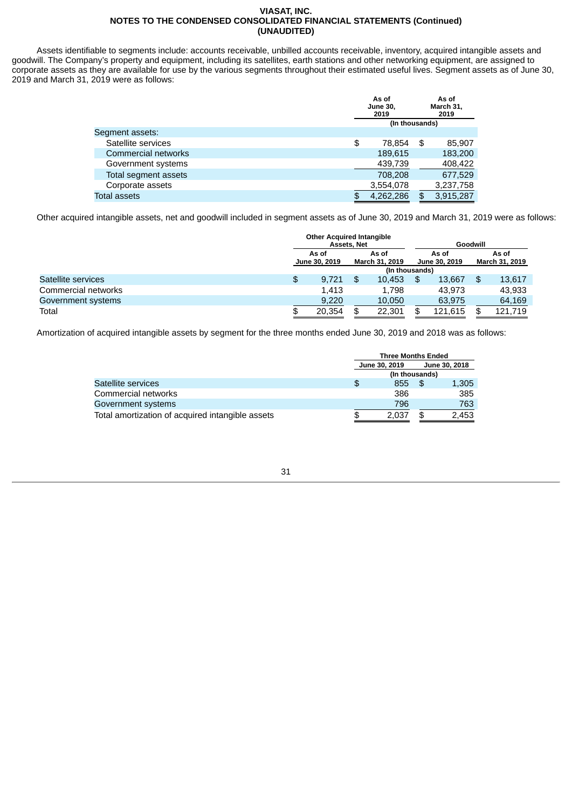Assets identifiable to segments include: accounts receivable, unbilled accounts receivable, inventory, acquired intangible assets and goodwill. The Company's property and equipment, including its satellites, earth stations and other networking equipment, are assigned to corporate assets as they are available for use by the various segments throughout their estimated useful lives. Segment assets as of June 30, 2019 and March 31, 2019 were as follows:

|                      | As of<br>June 30,<br>2019 | As of<br>March 31,<br>2019 |
|----------------------|---------------------------|----------------------------|
|                      | (In thousands)            |                            |
| Segment assets:      |                           |                            |
| Satellite services   | \$<br>78.854              | \$<br>85.907               |
| Commercial networks  | 189.615                   | 183,200                    |
| Government systems   | 439,739                   | 408,422                    |
| Total segment assets | 708,208                   | 677.529                    |
| Corporate assets     | 3,554,078                 | 3,237,758                  |
| <b>Total assets</b>  | \$<br>4.262.286           | \$<br>3.915.287            |

Other acquired intangible assets, net and goodwill included in segment assets as of June 30, 2019 and March 31, 2019 were as follows:

|                     | <b>Other Acquired Intangible</b><br>Assets, Net |        |                                |                |                        |         | Goodwill |                         |
|---------------------|-------------------------------------------------|--------|--------------------------------|----------------|------------------------|---------|----------|-------------------------|
|                     | As of<br>June 30, 2019                          |        | As of<br><b>March 31, 2019</b> |                | As of<br>June 30, 2019 |         |          | As of<br>March 31, 2019 |
|                     |                                                 |        |                                | (In thousands) |                        |         |          |                         |
| Satellite services  | \$                                              | 9.721  |                                | 10,453         | \$                     | 13.667  |          | 13,617                  |
| Commercial networks |                                                 | 1.413  |                                | 1.798          |                        | 43.973  |          | 43.933                  |
| Government systems  |                                                 | 9.220  |                                | 10,050         |                        | 63.975  |          | 64,169                  |
| Total               |                                                 | 20.354 |                                | 22,301         |                        | 121.615 |          | 121.719                 |

Amortization of acquired intangible assets by segment for the three months ended June 30, 2019 and 2018 was as follows:

|                                                  | <b>Three Months Ended</b> |                |     |       |  |  |  |
|--------------------------------------------------|---------------------------|----------------|-----|-------|--|--|--|
|                                                  | June 30, 2019             | June 30, 2018  |     |       |  |  |  |
|                                                  |                           | (In thousands) |     |       |  |  |  |
| Satellite services                               | \$                        | 855            | -\$ | 1,305 |  |  |  |
| Commercial networks                              |                           | 386            |     | 385   |  |  |  |
| Government systems                               |                           | 796            |     | 763   |  |  |  |
| Total amortization of acquired intangible assets |                           | 2.037          | \$  | 2.453 |  |  |  |

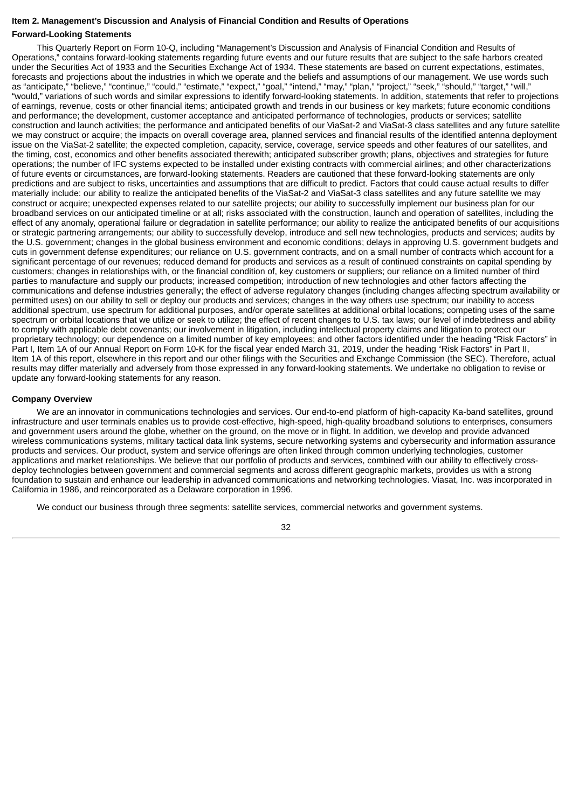# <span id="page-31-0"></span>**Item 2. Management's Discussion and Analysis of Financial Condition and Results of Operations Forward-Looking Statements**

This Quarterly Report on Form 10-Q, including "Management's Discussion and Analysis of Financial Condition and Results of Operations," contains forward-looking statements regarding future events and our future results that are subject to the safe harbors created under the Securities Act of 1933 and the Securities Exchange Act of 1934. These statements are based on current expectations, estimates, forecasts and projections about the industries in which we operate and the beliefs and assumptions of our management. We use words such as "anticipate," "believe," "continue," "could," "estimate," "expect," "goal," "intend," "may," "plan," "project," "seek," "should," "target," "will," "would," variations of such words and similar expressions to identify forward-looking statements. In addition, statements that refer to projections of earnings, revenue, costs or other financial items; anticipated growth and trends in our business or key markets; future economic conditions and performance; the development, customer acceptance and anticipated performance of technologies, products or services; satellite construction and launch activities; the performance and anticipated benefits of our ViaSat-2 and ViaSat-3 class satellites and any future satellite we may construct or acquire; the impacts on overall coverage area, planned services and financial results of the identified antenna deployment issue on the ViaSat-2 satellite; the expected completion, capacity, service, coverage, service speeds and other features of our satellites, and the timing, cost, economics and other benefits associated therewith; anticipated subscriber growth; plans, objectives and strategies for future operations; the number of IFC systems expected to be installed under existing contracts with commercial airlines; and other characterizations of future events or circumstances, are forward-looking statements. Readers are cautioned that these forward-looking statements are only predictions and are subject to risks, uncertainties and assumptions that are difficult to predict. Factors that could cause actual results to differ materially include: our ability to realize the anticipated benefits of the ViaSat-2 and ViaSat-3 class satellites and any future satellite we may construct or acquire; unexpected expenses related to our satellite projects; our ability to successfully implement our business plan for our broadband services on our anticipated timeline or at all; risks associated with the construction, launch and operation of satellites, including the effect of any anomaly, operational failure or degradation in satellite performance; our ability to realize the anticipated benefits of our acquisitions or strategic partnering arrangements; our ability to successfully develop, introduce and sell new technologies, products and services; audits by the U.S. government; changes in the global business environment and economic conditions; delays in approving U.S. government budgets and cuts in government defense expenditures; our reliance on U.S. government contracts, and on a small number of contracts which account for a significant percentage of our revenues; reduced demand for products and services as a result of continued constraints on capital spending by customers; changes in relationships with, or the financial condition of, key customers or suppliers; our reliance on a limited number of third parties to manufacture and supply our products; increased competition; introduction of new technologies and other factors affecting the communications and defense industries generally; the effect of adverse regulatory changes (including changes affecting spectrum availability or permitted uses) on our ability to sell or deploy our products and services; changes in the way others use spectrum; our inability to access additional spectrum, use spectrum for additional purposes, and/or operate satellites at additional orbital locations; competing uses of the same spectrum or orbital locations that we utilize or seek to utilize; the effect of recent changes to U.S. tax laws; our level of indebtedness and ability to comply with applicable debt covenants; our involvement in litigation, including intellectual property claims and litigation to protect our proprietary technology; our dependence on a limited number of key employees; and other factors identified under the heading "Risk Factors" in Part I, Item 1A of our Annual Report on Form 10-K for the fiscal year ended March 31, 2019, under the heading "Risk Factors" in Part II, Item 1A of this report, elsewhere in this report and our other filings with the Securities and Exchange Commission (the SEC). Therefore, actual results may differ materially and adversely from those expressed in any forward-looking statements. We undertake no obligation to revise or update any forward-looking statements for any reason.

#### **Company Overview**

We are an innovator in communications technologies and services. Our end-to-end platform of high-capacity Ka-band satellites, ground infrastructure and user terminals enables us to provide cost-effective, high-speed, high-quality broadband solutions to enterprises, consumers and government users around the globe, whether on the ground, on the move or in flight. In addition, we develop and provide advanced wireless communications systems, military tactical data link systems, secure networking systems and cybersecurity and information assurance products and services. Our product, system and service offerings are often linked through common underlying technologies, customer applications and market relationships. We believe that our portfolio of products and services, combined with our ability to effectively crossdeploy technologies between government and commercial segments and across different geographic markets, provides us with a strong foundation to sustain and enhance our leadership in advanced communications and networking technologies. Viasat, Inc. was incorporated in California in 1986, and reincorporated as a Delaware corporation in 1996.

We conduct our business through three segments: satellite services, commercial networks and government systems.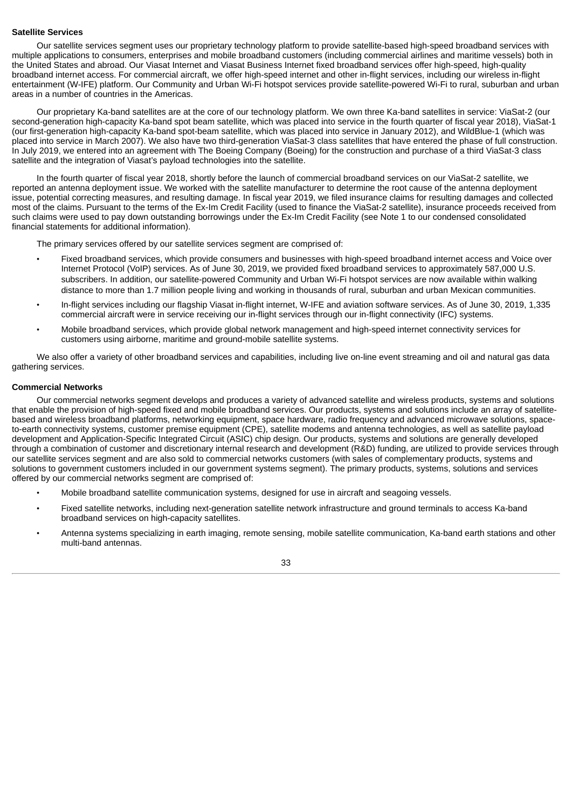# **Satellite Services**

Our satellite services segment uses our proprietary technology platform to provide satellite-based high-speed broadband services with multiple applications to consumers, enterprises and mobile broadband customers (including commercial airlines and maritime vessels) both in the United States and abroad. Our Viasat Internet and Viasat Business Internet fixed broadband services offer high-speed, high-quality broadband internet access. For commercial aircraft, we offer high-speed internet and other in-flight services, including our wireless in-flight entertainment (W-IFE) platform. Our Community and Urban Wi-Fi hotspot services provide satellite-powered Wi-Fi to rural, suburban and urban areas in a number of countries in the Americas.

Our proprietary Ka-band satellites are at the core of our technology platform. We own three Ka-band satellites in service: ViaSat-2 (our second-generation high-capacity Ka-band spot beam satellite, which was placed into service in the fourth quarter of fiscal year 2018), ViaSat-1 (our first-generation high-capacity Ka-band spot-beam satellite, which was placed into service in January 2012), and WildBlue-1 (which was placed into service in March 2007). We also have two third-generation ViaSat-3 class satellites that have entered the phase of full construction. In July 2019, we entered into an agreement with The Boeing Company (Boeing) for the construction and purchase of a third ViaSat-3 class satellite and the integration of Viasat's payload technologies into the satellite.

In the fourth quarter of fiscal year 2018, shortly before the launch of commercial broadband services on our ViaSat-2 satellite, we reported an antenna deployment issue. We worked with the satellite manufacturer to determine the root cause of the antenna deployment issue, potential correcting measures, and resulting damage. In fiscal year 2019, we filed insurance claims for resulting damages and collected most of the claims. Pursuant to the terms of the Ex-Im Credit Facility (used to finance the ViaSat-2 satellite), insurance proceeds received from such claims were used to pay down outstanding borrowings under the Ex-Im Credit Facility (see Note 1 to our condensed consolidated financial statements for additional information).

The primary services offered by our satellite services segment are comprised of:

- Fixed broadband services, which provide consumers and businesses with high-speed broadband internet access and Voice over Internet Protocol (VoIP) services. As of June 30, 2019, we provided fixed broadband services to approximately 587,000 U.S. subscribers. In addition, our satellite-powered Community and Urban Wi-Fi hotspot services are now available within walking distance to more than 1.7 million people living and working in thousands of rural, suburban and urban Mexican communities.
- In-flight services including our flagship Viasat in-flight internet, W-IFE and aviation software services. As of June 30, 2019, 1,335 commercial aircraft were in service receiving our in-flight services through our in-flight connectivity (IFC) systems.
- Mobile broadband services, which provide global network management and high-speed internet connectivity services for customers using airborne, maritime and ground-mobile satellite systems.

We also offer a variety of other broadband services and capabilities, including live on-line event streaming and oil and natural gas data gathering services.

#### **Commercial Networks**

Our commercial networks segment develops and produces a variety of advanced satellite and wireless products, systems and solutions that enable the provision of high-speed fixed and mobile broadband services. Our products, systems and solutions include an array of satellitebased and wireless broadband platforms, networking equipment, space hardware, radio frequency and advanced microwave solutions, spaceto-earth connectivity systems, customer premise equipment (CPE), satellite modems and antenna technologies, as well as satellite payload development and Application-Specific Integrated Circuit (ASIC) chip design. Our products, systems and solutions are generally developed through a combination of customer and discretionary internal research and development (R&D) funding, are utilized to provide services through our satellite services segment and are also sold to commercial networks customers (with sales of complementary products, systems and solutions to government customers included in our government systems segment). The primary products, systems, solutions and services offered by our commercial networks segment are comprised of:

- Mobile broadband satellite communication systems, designed for use in aircraft and seagoing vessels.
- Fixed satellite networks, including next-generation satellite network infrastructure and ground terminals to access Ka-band broadband services on high-capacity satellites.
- Antenna systems specializing in earth imaging, remote sensing, mobile satellite communication, Ka-band earth stations and other multi-band antennas.

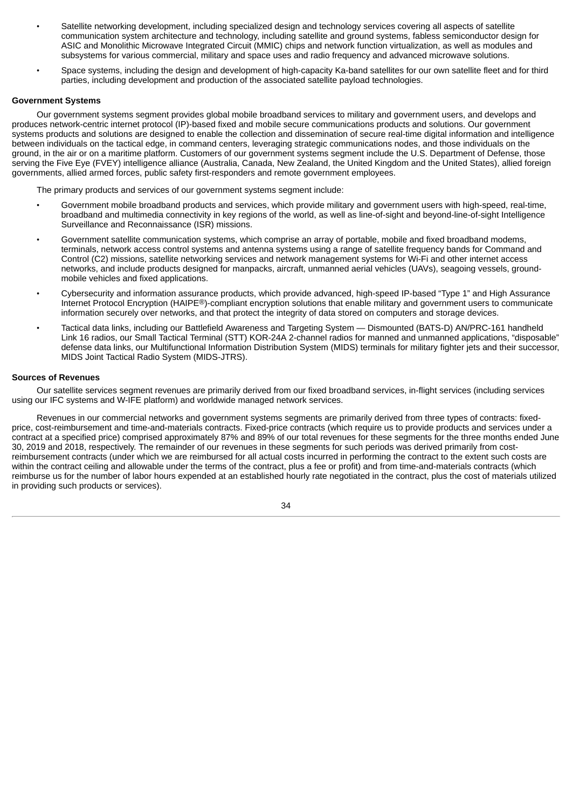- Satellite networking development, including specialized design and technology services covering all aspects of satellite communication system architecture and technology, including satellite and ground systems, fabless semiconductor design for ASIC and Monolithic Microwave Integrated Circuit (MMIC) chips and network function virtualization, as well as modules and subsystems for various commercial, military and space uses and radio frequency and advanced microwave solutions.
- Space systems, including the design and development of high-capacity Ka-band satellites for our own satellite fleet and for third parties, including development and production of the associated satellite payload technologies.

#### **Government Systems**

Our government systems segment provides global mobile broadband services to military and government users, and develops and produces network-centric internet protocol (IP)-based fixed and mobile secure communications products and solutions. Our government systems products and solutions are designed to enable the collection and dissemination of secure real-time digital information and intelligence between individuals on the tactical edge, in command centers, leveraging strategic communications nodes, and those individuals on the ground, in the air or on a maritime platform. Customers of our government systems segment include the U.S. Department of Defense, those serving the Five Eye (FVEY) intelligence alliance (Australia, Canada, New Zealand, the United Kingdom and the United States), allied foreign governments, allied armed forces, public safety first-responders and remote government employees.

The primary products and services of our government systems segment include:

- Government mobile broadband products and services, which provide military and government users with high-speed, real-time, broadband and multimedia connectivity in key regions of the world, as well as line-of-sight and beyond-line-of-sight Intelligence Surveillance and Reconnaissance (ISR) missions.
- Government satellite communication systems, which comprise an array of portable, mobile and fixed broadband modems, terminals, network access control systems and antenna systems using a range of satellite frequency bands for Command and Control (C2) missions, satellite networking services and network management systems for Wi-Fi and other internet access networks, and include products designed for manpacks, aircraft, unmanned aerial vehicles (UAVs), seagoing vessels, groundmobile vehicles and fixed applications.
- Cybersecurity and information assurance products, which provide advanced, high-speed IP-based "Type 1" and High Assurance Internet Protocol Encryption (HAIPE®)-compliant encryption solutions that enable military and government users to communicate information securely over networks, and that protect the integrity of data stored on computers and storage devices.
- Tactical data links, including our Battlefield Awareness and Targeting System Dismounted (BATS-D) AN/PRC-161 handheld Link 16 radios, our Small Tactical Terminal (STT) KOR-24A 2-channel radios for manned and unmanned applications, "disposable" defense data links, our Multifunctional Information Distribution System (MIDS) terminals for military fighter jets and their successor, MIDS Joint Tactical Radio System (MIDS-JTRS).

#### **Sources of Revenues**

Our satellite services segment revenues are primarily derived from our fixed broadband services, in-flight services (including services using our IFC systems and W-IFE platform) and worldwide managed network services.

Revenues in our commercial networks and government systems segments are primarily derived from three types of contracts: fixedprice, cost-reimbursement and time-and-materials contracts. Fixed-price contracts (which require us to provide products and services under a contract at a specified price) comprised approximately 87% and 89% of our total revenues for these segments for the three months ended June 30, 2019 and 2018, respectively. The remainder of our revenues in these segments for such periods was derived primarily from costreimbursement contracts (under which we are reimbursed for all actual costs incurred in performing the contract to the extent such costs are within the contract ceiling and allowable under the terms of the contract, plus a fee or profit) and from time-and-materials contracts (which reimburse us for the number of labor hours expended at an established hourly rate negotiated in the contract, plus the cost of materials utilized in providing such products or services).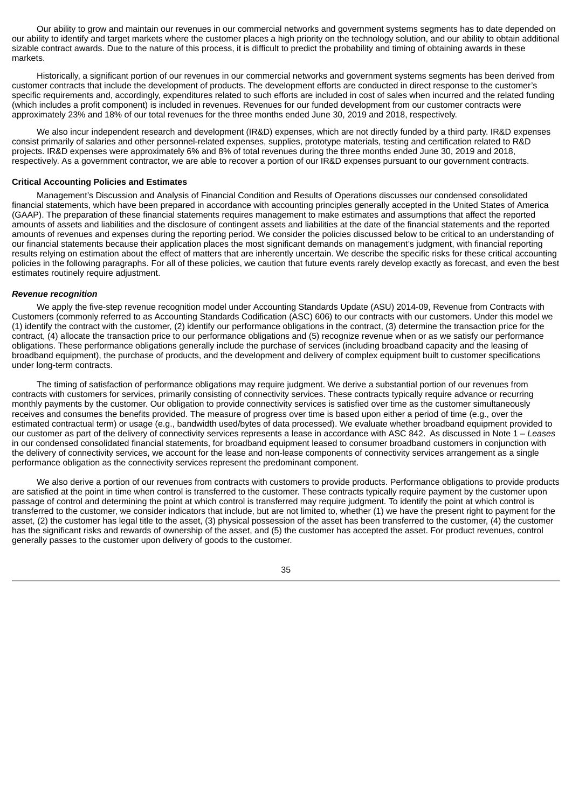Our ability to grow and maintain our revenues in our commercial networks and government systems segments has to date depended on our ability to identify and target markets where the customer places a high priority on the technology solution, and our ability to obtain additional sizable contract awards. Due to the nature of this process, it is difficult to predict the probability and timing of obtaining awards in these markets.

Historically, a significant portion of our revenues in our commercial networks and government systems segments has been derived from customer contracts that include the development of products. The development efforts are conducted in direct response to the customer's specific requirements and, accordingly, expenditures related to such efforts are included in cost of sales when incurred and the related funding (which includes a profit component) is included in revenues. Revenues for our funded development from our customer contracts were approximately 23% and 18% of our total revenues for the three months ended June 30, 2019 and 2018, respectively.

We also incur independent research and development (IR&D) expenses, which are not directly funded by a third party. IR&D expenses consist primarily of salaries and other personnel-related expenses, supplies, prototype materials, testing and certification related to R&D projects. IR&D expenses were approximately 6% and 8% of total revenues during the three months ended June 30, 2019 and 2018, respectively. As a government contractor, we are able to recover a portion of our IR&D expenses pursuant to our government contracts.

#### **Critical Accounting Policies and Estimates**

Management's Discussion and Analysis of Financial Condition and Results of Operations discusses our condensed consolidated financial statements, which have been prepared in accordance with accounting principles generally accepted in the United States of America (GAAP). The preparation of these financial statements requires management to make estimates and assumptions that affect the reported amounts of assets and liabilities and the disclosure of contingent assets and liabilities at the date of the financial statements and the reported amounts of revenues and expenses during the reporting period. We consider the policies discussed below to be critical to an understanding of our financial statements because their application places the most significant demands on management's judgment, with financial reporting results relying on estimation about the effect of matters that are inherently uncertain. We describe the specific risks for these critical accounting policies in the following paragraphs. For all of these policies, we caution that future events rarely develop exactly as forecast, and even the best estimates routinely require adjustment.

#### *Revenue recognition*

We apply the five-step revenue recognition model under Accounting Standards Update (ASU) 2014-09, Revenue from Contracts with Customers (commonly referred to as Accounting Standards Codification (ASC) 606) to our contracts with our customers. Under this model we (1) identify the contract with the customer, (2) identify our performance obligations in the contract, (3) determine the transaction price for the contract, (4) allocate the transaction price to our performance obligations and (5) recognize revenue when or as we satisfy our performance obligations. These performance obligations generally include the purchase of services (including broadband capacity and the leasing of broadband equipment), the purchase of products, and the development and delivery of complex equipment built to customer specifications under long-term contracts.

The timing of satisfaction of performance obligations may require judgment. We derive a substantial portion of our revenues from contracts with customers for services, primarily consisting of connectivity services. These contracts typically require advance or recurring monthly payments by the customer. Our obligation to provide connectivity services is satisfied over time as the customer simultaneously receives and consumes the benefits provided. The measure of progress over time is based upon either a period of time (e.g., over the estimated contractual term) or usage (e.g., bandwidth used/bytes of data processed). We evaluate whether broadband equipment provided to our customer as part of the delivery of connectivity services represents a lease in accordance with ASC 842. As discussed in Note 1 – *Leases* in our condensed consolidated financial statements, for broadband equipment leased to consumer broadband customers in conjunction with the delivery of connectivity services, we account for the lease and non-lease components of connectivity services arrangement as a single performance obligation as the connectivity services represent the predominant component.

We also derive a portion of our revenues from contracts with customers to provide products. Performance obligations to provide products are satisfied at the point in time when control is transferred to the customer. These contracts typically require payment by the customer upon passage of control and determining the point at which control is transferred may require judgment. To identify the point at which control is transferred to the customer, we consider indicators that include, but are not limited to, whether (1) we have the present right to payment for the asset, (2) the customer has legal title to the asset, (3) physical possession of the asset has been transferred to the customer, (4) the customer has the significant risks and rewards of ownership of the asset, and (5) the customer has accepted the asset. For product revenues, control generally passes to the customer upon delivery of goods to the customer.

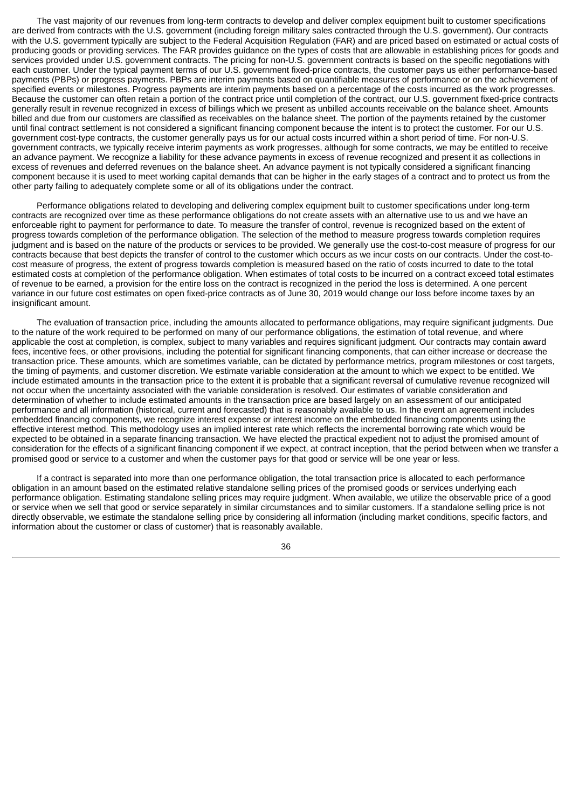The vast majority of our revenues from long-term contracts to develop and deliver complex equipment built to customer specifications are derived from contracts with the U.S. government (including foreign military sales contracted through the U.S. government). Our contracts with the U.S. government typically are subject to the Federal Acquisition Regulation (FAR) and are priced based on estimated or actual costs of producing goods or providing services. The FAR provides guidance on the types of costs that are allowable in establishing prices for goods and services provided under U.S. government contracts. The pricing for non-U.S. government contracts is based on the specific negotiations with each customer. Under the typical payment terms of our U.S. government fixed-price contracts, the customer pays us either performance-based payments (PBPs) or progress payments. PBPs are interim payments based on quantifiable measures of performance or on the achievement of specified events or milestones. Progress payments are interim payments based on a percentage of the costs incurred as the work progresses. Because the customer can often retain a portion of the contract price until completion of the contract, our U.S. government fixed-price contracts generally result in revenue recognized in excess of billings which we present as unbilled accounts receivable on the balance sheet. Amounts billed and due from our customers are classified as receivables on the balance sheet. The portion of the payments retained by the customer until final contract settlement is not considered a significant financing component because the intent is to protect the customer. For our U.S. government cost-type contracts, the customer generally pays us for our actual costs incurred within a short period of time. For non-U.S. government contracts, we typically receive interim payments as work progresses, although for some contracts, we may be entitled to receive an advance payment. We recognize a liability for these advance payments in excess of revenue recognized and present it as collections in excess of revenues and deferred revenues on the balance sheet. An advance payment is not typically considered a significant financing component because it is used to meet working capital demands that can be higher in the early stages of a contract and to protect us from the other party failing to adequately complete some or all of its obligations under the contract.

Performance obligations related to developing and delivering complex equipment built to customer specifications under long-term contracts are recognized over time as these performance obligations do not create assets with an alternative use to us and we have an enforceable right to payment for performance to date. To measure the transfer of control, revenue is recognized based on the extent of progress towards completion of the performance obligation. The selection of the method to measure progress towards completion requires judgment and is based on the nature of the products or services to be provided. We generally use the cost-to-cost measure of progress for our contracts because that best depicts the transfer of control to the customer which occurs as we incur costs on our contracts. Under the cost-tocost measure of progress, the extent of progress towards completion is measured based on the ratio of costs incurred to date to the total estimated costs at completion of the performance obligation. When estimates of total costs to be incurred on a contract exceed total estimates of revenue to be earned, a provision for the entire loss on the contract is recognized in the period the loss is determined. A one percent variance in our future cost estimates on open fixed-price contracts as of June 30, 2019 would change our loss before income taxes by an insignificant amount.

The evaluation of transaction price, including the amounts allocated to performance obligations, may require significant judgments. Due to the nature of the work required to be performed on many of our performance obligations, the estimation of total revenue, and where applicable the cost at completion, is complex, subject to many variables and requires significant judgment. Our contracts may contain award fees, incentive fees, or other provisions, including the potential for significant financing components, that can either increase or decrease the transaction price. These amounts, which are sometimes variable, can be dictated by performance metrics, program milestones or cost targets, the timing of payments, and customer discretion. We estimate variable consideration at the amount to which we expect to be entitled. We include estimated amounts in the transaction price to the extent it is probable that a significant reversal of cumulative revenue recognized will not occur when the uncertainty associated with the variable consideration is resolved. Our estimates of variable consideration and determination of whether to include estimated amounts in the transaction price are based largely on an assessment of our anticipated performance and all information (historical, current and forecasted) that is reasonably available to us. In the event an agreement includes embedded financing components, we recognize interest expense or interest income on the embedded financing components using the effective interest method. This methodology uses an implied interest rate which reflects the incremental borrowing rate which would be expected to be obtained in a separate financing transaction. We have elected the practical expedient not to adjust the promised amount of consideration for the effects of a significant financing component if we expect, at contract inception, that the period between when we transfer a promised good or service to a customer and when the customer pays for that good or service will be one year or less.

If a contract is separated into more than one performance obligation, the total transaction price is allocated to each performance obligation in an amount based on the estimated relative standalone selling prices of the promised goods or services underlying each performance obligation. Estimating standalone selling prices may require judgment. When available, we utilize the observable price of a good or service when we sell that good or service separately in similar circumstances and to similar customers. If a standalone selling price is not directly observable, we estimate the standalone selling price by considering all information (including market conditions, specific factors, and information about the customer or class of customer) that is reasonably available.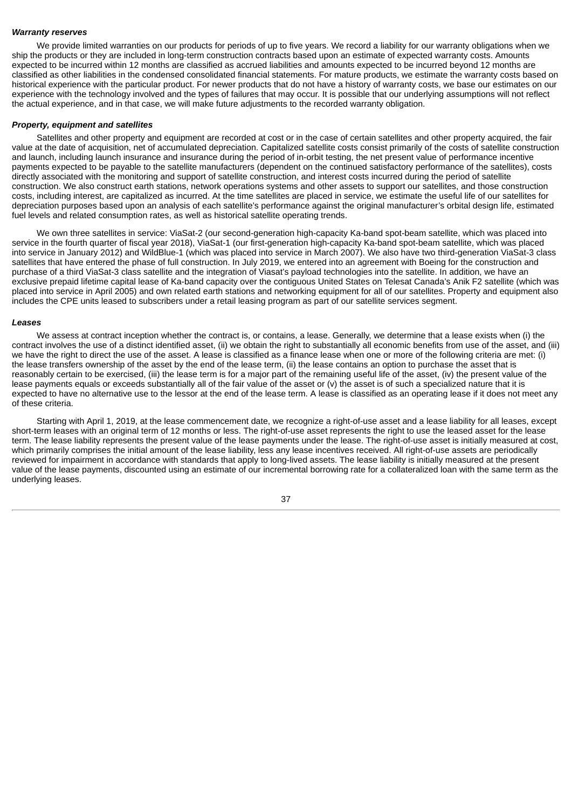#### *Warranty reserves*

We provide limited warranties on our products for periods of up to five years. We record a liability for our warranty obligations when we ship the products or they are included in long-term construction contracts based upon an estimate of expected warranty costs. Amounts expected to be incurred within 12 months are classified as accrued liabilities and amounts expected to be incurred beyond 12 months are classified as other liabilities in the condensed consolidated financial statements. For mature products, we estimate the warranty costs based on historical experience with the particular product. For newer products that do not have a history of warranty costs, we base our estimates on our experience with the technology involved and the types of failures that may occur. It is possible that our underlying assumptions will not reflect the actual experience, and in that case, we will make future adjustments to the recorded warranty obligation.

#### *Property, equipment and satellites*

Satellites and other property and equipment are recorded at cost or in the case of certain satellites and other property acquired, the fair value at the date of acquisition, net of accumulated depreciation. Capitalized satellite costs consist primarily of the costs of satellite construction and launch, including launch insurance and insurance during the period of in-orbit testing, the net present value of performance incentive payments expected to be payable to the satellite manufacturers (dependent on the continued satisfactory performance of the satellites), costs directly associated with the monitoring and support of satellite construction, and interest costs incurred during the period of satellite construction. We also construct earth stations, network operations systems and other assets to support our satellites, and those construction costs, including interest, are capitalized as incurred. At the time satellites are placed in service, we estimate the useful life of our satellites for depreciation purposes based upon an analysis of each satellite's performance against the original manufacturer's orbital design life, estimated fuel levels and related consumption rates, as well as historical satellite operating trends.

We own three satellites in service: ViaSat-2 (our second-generation high-capacity Ka-band spot-beam satellite, which was placed into service in the fourth quarter of fiscal year 2018), ViaSat-1 (our first-generation high-capacity Ka-band spot-beam satellite, which was placed into service in January 2012) and WildBlue-1 (which was placed into service in March 2007). We also have two third-generation ViaSat-3 class satellites that have entered the phase of full construction. In July 2019, we entered into an agreement with Boeing for the construction and purchase of a third ViaSat-3 class satellite and the integration of Viasat's payload technologies into the satellite. In addition, we have an exclusive prepaid lifetime capital lease of Ka-band capacity over the contiguous United States on Telesat Canada's Anik F2 satellite (which was placed into service in April 2005) and own related earth stations and networking equipment for all of our satellites. Property and equipment also includes the CPE units leased to subscribers under a retail leasing program as part of our satellite services segment.

#### *Leases*

We assess at contract inception whether the contract is, or contains, a lease. Generally, we determine that a lease exists when (i) the contract involves the use of a distinct identified asset, (ii) we obtain the right to substantially all economic benefits from use of the asset, and (iii) we have the right to direct the use of the asset. A lease is classified as a finance lease when one or more of the following criteria are met: (i) the lease transfers ownership of the asset by the end of the lease term, (ii) the lease contains an option to purchase the asset that is reasonably certain to be exercised, (iii) the lease term is for a major part of the remaining useful life of the asset, (iv) the present value of the lease payments equals or exceeds substantially all of the fair value of the asset or (v) the asset is of such a specialized nature that it is expected to have no alternative use to the lessor at the end of the lease term. A lease is classified as an operating lease if it does not meet any of these criteria.

Starting with April 1, 2019, at the lease commencement date, we recognize a right-of-use asset and a lease liability for all leases, except short-term leases with an original term of 12 months or less. The right-of-use asset represents the right to use the leased asset for the lease term. The lease liability represents the present value of the lease payments under the lease. The right-of-use asset is initially measured at cost, which primarily comprises the initial amount of the lease liability, less any lease incentives received. All right-of-use assets are periodically reviewed for impairment in accordance with standards that apply to long-lived assets. The lease liability is initially measured at the present value of the lease payments, discounted using an estimate of our incremental borrowing rate for a collateralized loan with the same term as the underlying leases.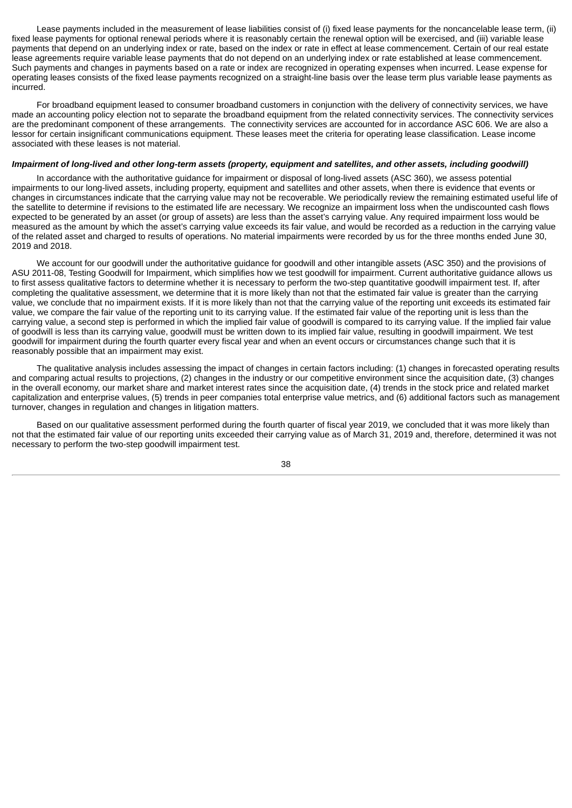Lease payments included in the measurement of lease liabilities consist of (i) fixed lease payments for the noncancelable lease term, (ii) fixed lease payments for optional renewal periods where it is reasonably certain the renewal option will be exercised, and (iii) variable lease payments that depend on an underlying index or rate, based on the index or rate in effect at lease commencement. Certain of our real estate lease agreements require variable lease payments that do not depend on an underlying index or rate established at lease commencement. Such payments and changes in payments based on a rate or index are recognized in operating expenses when incurred. Lease expense for operating leases consists of the fixed lease payments recognized on a straight-line basis over the lease term plus variable lease payments as incurred.

For broadband equipment leased to consumer broadband customers in conjunction with the delivery of connectivity services, we have made an accounting policy election not to separate the broadband equipment from the related connectivity services. The connectivity services are the predominant component of these arrangements. The connectivity services are accounted for in accordance ASC 606. We are also a lessor for certain insignificant communications equipment. These leases meet the criteria for operating lease classification. Lease income associated with these leases is not material.

#### Impairment of long-lived and other long-term assets (property, equipment and satellites, and other assets, including goodwill)

In accordance with the authoritative guidance for impairment or disposal of long-lived assets (ASC 360), we assess potential impairments to our long-lived assets, including property, equipment and satellites and other assets, when there is evidence that events or changes in circumstances indicate that the carrying value may not be recoverable. We periodically review the remaining estimated useful life of the satellite to determine if revisions to the estimated life are necessary. We recognize an impairment loss when the undiscounted cash flows expected to be generated by an asset (or group of assets) are less than the asset's carrying value. Any required impairment loss would be measured as the amount by which the asset's carrying value exceeds its fair value, and would be recorded as a reduction in the carrying value of the related asset and charged to results of operations. No material impairments were recorded by us for the three months ended June 30, 2019 and 2018.

We account for our goodwill under the authoritative guidance for goodwill and other intangible assets (ASC 350) and the provisions of ASU 2011-08, Testing Goodwill for Impairment, which simplifies how we test goodwill for impairment. Current authoritative guidance allows us to first assess qualitative factors to determine whether it is necessary to perform the two-step quantitative goodwill impairment test. If, after completing the qualitative assessment, we determine that it is more likely than not that the estimated fair value is greater than the carrying value, we conclude that no impairment exists. If it is more likely than not that the carrying value of the reporting unit exceeds its estimated fair value, we compare the fair value of the reporting unit to its carrying value. If the estimated fair value of the reporting unit is less than the carrying value, a second step is performed in which the implied fair value of goodwill is compared to its carrying value. If the implied fair value of goodwill is less than its carrying value, goodwill must be written down to its implied fair value, resulting in goodwill impairment. We test goodwill for impairment during the fourth quarter every fiscal year and when an event occurs or circumstances change such that it is reasonably possible that an impairment may exist.

The qualitative analysis includes assessing the impact of changes in certain factors including: (1) changes in forecasted operating results and comparing actual results to projections, (2) changes in the industry or our competitive environment since the acquisition date, (3) changes in the overall economy, our market share and market interest rates since the acquisition date, (4) trends in the stock price and related market capitalization and enterprise values, (5) trends in peer companies total enterprise value metrics, and (6) additional factors such as management turnover, changes in regulation and changes in litigation matters.

Based on our qualitative assessment performed during the fourth quarter of fiscal year 2019, we concluded that it was more likely than not that the estimated fair value of our reporting units exceeded their carrying value as of March 31, 2019 and, therefore, determined it was not necessary to perform the two-step goodwill impairment test.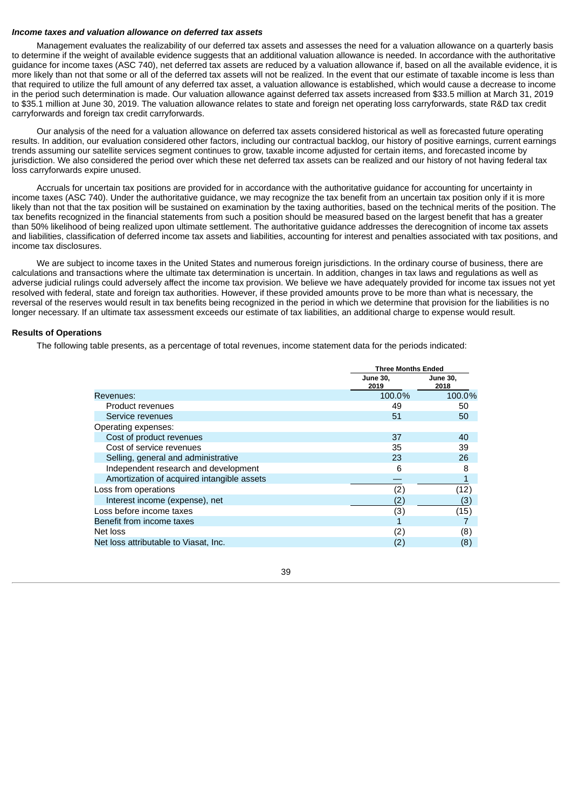#### *Income taxes and valuation allowance on deferred tax assets*

Management evaluates the realizability of our deferred tax assets and assesses the need for a valuation allowance on a quarterly basis to determine if the weight of available evidence suggests that an additional valuation allowance is needed. In accordance with the authoritative guidance for income taxes (ASC 740), net deferred tax assets are reduced by a valuation allowance if, based on all the available evidence, it is more likely than not that some or all of the deferred tax assets will not be realized. In the event that our estimate of taxable income is less than that required to utilize the full amount of any deferred tax asset, a valuation allowance is established, which would cause a decrease to income in the period such determination is made. Our valuation allowance against deferred tax assets increased from \$33.5 million at March 31, 2019 to \$35.1 million at June 30, 2019. The valuation allowance relates to state and foreign net operating loss carryforwards, state R&D tax credit carryforwards and foreign tax credit carryforwards.

Our analysis of the need for a valuation allowance on deferred tax assets considered historical as well as forecasted future operating results. In addition, our evaluation considered other factors, including our contractual backlog, our history of positive earnings, current earnings trends assuming our satellite services segment continues to grow, taxable income adjusted for certain items, and forecasted income by jurisdiction. We also considered the period over which these net deferred tax assets can be realized and our history of not having federal tax loss carryforwards expire unused.

Accruals for uncertain tax positions are provided for in accordance with the authoritative guidance for accounting for uncertainty in income taxes (ASC 740). Under the authoritative guidance, we may recognize the tax benefit from an uncertain tax position only if it is more likely than not that the tax position will be sustained on examination by the taxing authorities, based on the technical merits of the position. The tax benefits recognized in the financial statements from such a position should be measured based on the largest benefit that has a greater than 50% likelihood of being realized upon ultimate settlement. The authoritative guidance addresses the derecognition of income tax assets and liabilities, classification of deferred income tax assets and liabilities, accounting for interest and penalties associated with tax positions, and income tax disclosures.

We are subject to income taxes in the United States and numerous foreign jurisdictions. In the ordinary course of business, there are calculations and transactions where the ultimate tax determination is uncertain. In addition, changes in tax laws and regulations as well as adverse judicial rulings could adversely affect the income tax provision. We believe we have adequately provided for income tax issues not yet resolved with federal, state and foreign tax authorities. However, if these provided amounts prove to be more than what is necessary, the reversal of the reserves would result in tax benefits being recognized in the period in which we determine that provision for the liabilities is no longer necessary. If an ultimate tax assessment exceeds our estimate of tax liabilities, an additional charge to expense would result.

#### **Results of Operations**

The following table presents, as a percentage of total revenues, income statement data for the periods indicated:

|                                            | <b>Three Months Ended</b> |                  |  |  |  |
|--------------------------------------------|---------------------------|------------------|--|--|--|
|                                            | <b>June 30.</b><br>2019   | June 30,<br>2018 |  |  |  |
| Revenues:                                  | 100.0%                    | 100.0%           |  |  |  |
| Product revenues                           | 49                        | 50               |  |  |  |
| Service revenues                           | 51                        | 50               |  |  |  |
| Operating expenses:                        |                           |                  |  |  |  |
| Cost of product revenues                   | 37                        | 40               |  |  |  |
| Cost of service revenues                   | 35                        | 39               |  |  |  |
| Selling, general and administrative        | 23                        | 26               |  |  |  |
| Independent research and development       | 6                         | 8                |  |  |  |
| Amortization of acquired intangible assets |                           | 1                |  |  |  |
| Loss from operations                       | (2`                       | (12)             |  |  |  |
| Interest income (expense), net             | $\left[2\right]$          | (3)              |  |  |  |
| Loss before income taxes                   | (3)                       | (15)             |  |  |  |
| Benefit from income taxes                  |                           |                  |  |  |  |
| Net loss                                   | (2)                       | (8)              |  |  |  |
| Net loss attributable to Viasat, Inc.      |                           | (8)              |  |  |  |

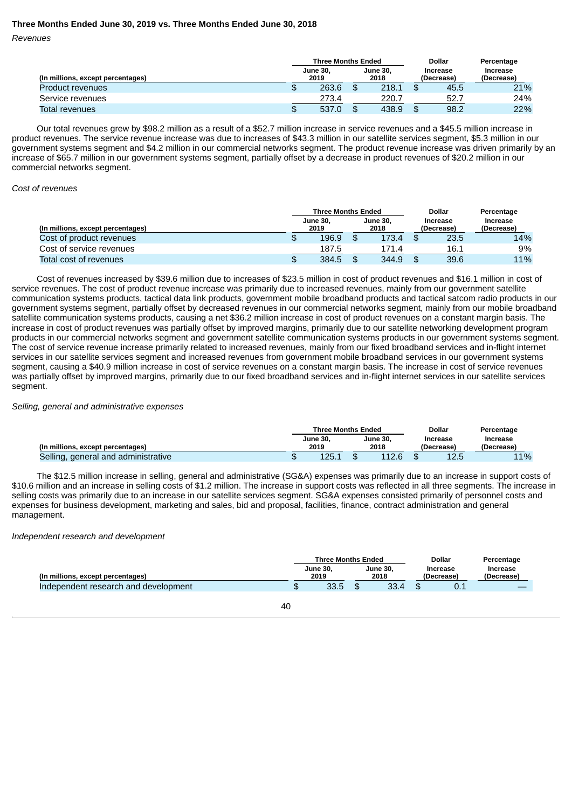# **Three Months Ended June 30, 2019 vs. Three Months Ended June 30, 2018**

*Revenues*

|                                   |   | <b>Three Months Ended</b> |       |    |                         |  |                               | Percentage                    |  |
|-----------------------------------|---|---------------------------|-------|----|-------------------------|--|-------------------------------|-------------------------------|--|
| (In millions, except percentages) |   | <b>June 30.</b><br>2019   |       |    | <b>June 30.</b><br>2018 |  | <b>Increase</b><br>(Decrease) | <b>Increase</b><br>(Decrease) |  |
| <b>Product revenues</b>           | ◡ |                           | 263.6 |    | 218.1                   |  | 45.5                          | 21%                           |  |
| Service revenues                  |   |                           | 273.4 |    | 220.7                   |  | 52.                           | 24%                           |  |
| Total revenues                    | w |                           | 537.0 | \$ | 438.9                   |  | 98.2                          | 22%                           |  |

Our total revenues grew by \$98.2 million as a result of a \$52.7 million increase in service revenues and a \$45.5 million increase in product revenues. The service revenue increase was due to increases of \$43.3 million in our satellite services segment, \$5.3 million in our government systems segment and \$4.2 million in our commercial networks segment. The product revenue increase was driven primarily by an increase of \$65.7 million in our government systems segment, partially offset by a decrease in product revenues of \$20.2 million in our commercial networks segment.

#### *Cost of revenues*

|                                   | <b>Three Months Ended</b> |                         |    |                         |  | <b>Dollar</b>                 | Percentage                    |  |
|-----------------------------------|---------------------------|-------------------------|----|-------------------------|--|-------------------------------|-------------------------------|--|
| (In millions, except percentages) |                           | <b>June 30.</b><br>2019 |    | <b>June 30.</b><br>2018 |  | <b>Increase</b><br>(Decrease) | <b>Increase</b><br>(Decrease) |  |
| Cost of product revenues          |                           | 196.9                   |    | 173.4                   |  | 23.5                          | 14%                           |  |
| Cost of service revenues          |                           | 187.5                   |    | 171.4                   |  | 16.1                          | 9%                            |  |
| Total cost of revenues            | \$                        | 384.5                   | \$ | 344.9                   |  | 39.6                          | 11%                           |  |

Cost of revenues increased by \$39.6 million due to increases of \$23.5 million in cost of product revenues and \$16.1 million in cost of service revenues. The cost of product revenue increase was primarily due to increased revenues, mainly from our government satellite communication systems products, tactical data link products, government mobile broadband products and tactical satcom radio products in our government systems segment, partially offset by decreased revenues in our commercial networks segment, mainly from our mobile broadband satellite communication systems products, causing a net \$36.2 million increase in cost of product revenues on a constant margin basis. The increase in cost of product revenues was partially offset by improved margins, primarily due to our satellite networking development program products in our commercial networks segment and government satellite communication systems products in our government systems segment. The cost of service revenue increase primarily related to increased revenues, mainly from our fixed broadband services and in-flight internet services in our satellite services segment and increased revenues from government mobile broadband services in our government systems segment, causing a \$40.9 million increase in cost of service revenues on a constant margin basis. The increase in cost of service revenues was partially offset by improved margins, primarily due to our fixed broadband services and in-flight internet services in our satellite services segment.

#### *Selling, general and administrative expenses*

|                                     |                             | <b>Three Months Ended</b> |       |                 |                 | <b>Dollar</b> | Percentage |
|-------------------------------------|-----------------------------|---------------------------|-------|-----------------|-----------------|---------------|------------|
|                                     | <b>June 30.</b><br>June 30. |                           |       | <b>Increase</b> | <b>Increase</b> |               |            |
| (In millions, except percentages)   |                             | 2019                      |       |                 | 2018            | (Decrease)    | (Decrease) |
| Selling, general and administrative |                             |                           | 125.1 |                 | 112 6           | ᅩᄼ            | 11%        |

The \$12.5 million increase in selling, general and administrative (SG&A) expenses was primarily due to an increase in support costs of \$10.6 million and an increase in selling costs of \$1.2 million. The increase in support costs was reflected in all three segments. The increase in selling costs was primarily due to an increase in our satellite services segment. SG&A expenses consisted primarily of personnel costs and expenses for business development, marketing and sales, bid and proposal, facilities, finance, contract administration and general management.

# *Independent research and development*

|                                      | <b>Three Months Ended</b> |  |                         |                               | <b>Dollar</b> | Percentage                    |
|--------------------------------------|---------------------------|--|-------------------------|-------------------------------|---------------|-------------------------------|
| (In millions, except percentages)    | <b>June 30.</b><br>2019   |  | <b>June 30.</b><br>2018 | <b>Increase</b><br>(Decrease) |               | <b>Increase</b><br>(Decrease) |
| Independent research and development | 33.5                      |  | 33.4                    |                               | 0.1           |                               |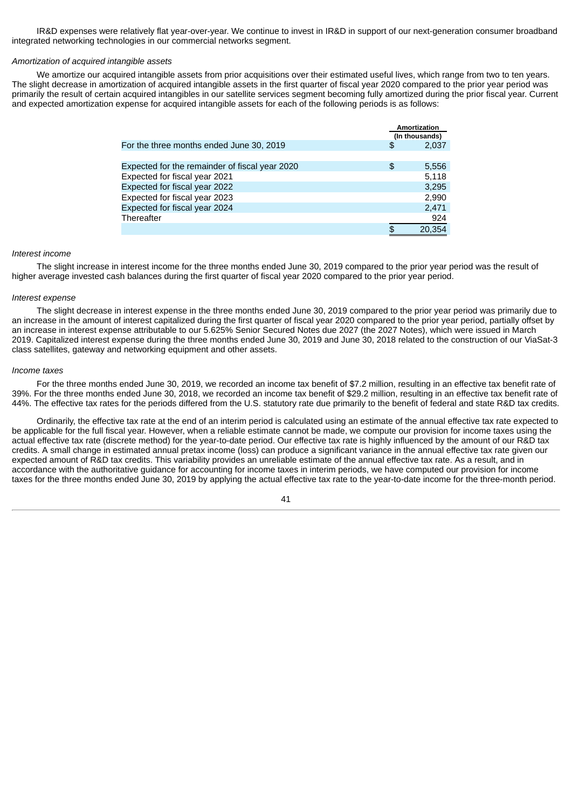IR&D expenses were relatively flat year-over-year. We continue to invest in IR&D in support of our next-generation consumer broadband integrated networking technologies in our commercial networks segment.

#### *Amortization of acquired intangible assets*

We amortize our acquired intangible assets from prior acquisitions over their estimated useful lives, which range from two to ten years. The slight decrease in amortization of acquired intangible assets in the first quarter of fiscal year 2020 compared to the prior year period was primarily the result of certain acquired intangibles in our satellite services segment becoming fully amortized during the prior fiscal year. Current and expected amortization expense for acquired intangible assets for each of the following periods is as follows:

|                                                |    | Amortization   |  |
|------------------------------------------------|----|----------------|--|
|                                                |    | (In thousands) |  |
| For the three months ended June 30, 2019       | \$ | 2.037          |  |
|                                                |    |                |  |
| Expected for the remainder of fiscal year 2020 | \$ | 5,556          |  |
| Expected for fiscal year 2021                  |    | 5.118          |  |
| Expected for fiscal year 2022                  |    | 3,295          |  |
| Expected for fiscal year 2023                  |    | 2,990          |  |
| Expected for fiscal year 2024                  |    | 2,471          |  |
| Thereafter                                     |    | 924            |  |
|                                                | £  | 20.354         |  |

#### *Interest income*

The slight increase in interest income for the three months ended June 30, 2019 compared to the prior year period was the result of higher average invested cash balances during the first quarter of fiscal year 2020 compared to the prior year period.

#### *Interest expense*

The slight decrease in interest expense in the three months ended June 30, 2019 compared to the prior year period was primarily due to an increase in the amount of interest capitalized during the first quarter of fiscal year 2020 compared to the prior year period, partially offset by an increase in interest expense attributable to our 5.625% Senior Secured Notes due 2027 (the 2027 Notes), which were issued in March 2019. Capitalized interest expense during the three months ended June 30, 2019 and June 30, 2018 related to the construction of our ViaSat-3 class satellites, gateway and networking equipment and other assets.

#### *Income taxes*

For the three months ended June 30, 2019, we recorded an income tax benefit of \$7.2 million, resulting in an effective tax benefit rate of 39%. For the three months ended June 30, 2018, we recorded an income tax benefit of \$29.2 million, resulting in an effective tax benefit rate of 44%. The effective tax rates for the periods differed from the U.S. statutory rate due primarily to the benefit of federal and state R&D tax credits.

Ordinarily, the effective tax rate at the end of an interim period is calculated using an estimate of the annual effective tax rate expected to be applicable for the full fiscal year. However, when a reliable estimate cannot be made, we compute our provision for income taxes using the actual effective tax rate (discrete method) for the year-to-date period. Our effective tax rate is highly influenced by the amount of our R&D tax credits. A small change in estimated annual pretax income (loss) can produce a significant variance in the annual effective tax rate given our expected amount of R&D tax credits. This variability provides an unreliable estimate of the annual effective tax rate. As a result, and in accordance with the authoritative guidance for accounting for income taxes in interim periods, we have computed our provision for income taxes for the three months ended June 30, 2019 by applying the actual effective tax rate to the year-to-date income for the three-month period.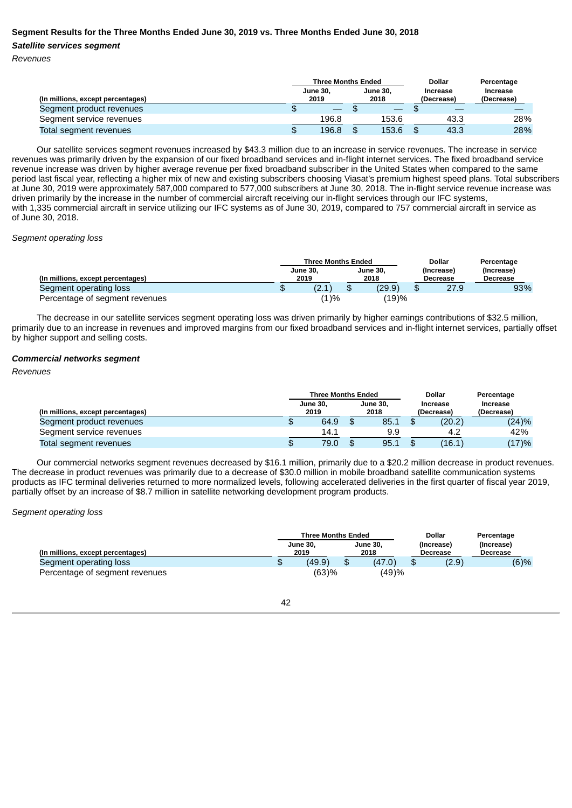# **Segment Results for the Three Months Ended June 30, 2019 vs. Three Months Ended June 30, 2018**

# *Satellite services segment*

*Revenues*

|                                   |    | <b>Three Months Ended</b> |                         | <b>Dollar</b> |                               | Percentage                    |  |
|-----------------------------------|----|---------------------------|-------------------------|---------------|-------------------------------|-------------------------------|--|
| (In millions, except percentages) |    | <b>June 30.</b><br>2019   | <b>June 30.</b><br>2018 |               | <b>Increase</b><br>(Decrease) | <b>Increase</b><br>(Decrease) |  |
| Segment product revenues          |    |                           |                         |               |                               |                               |  |
| Segment service revenues          |    | 196.8                     | 153.6                   |               | 43.3                          | 28%                           |  |
| Total segment revenues            | \$ | 196.8                     | 153.6                   |               | 43.3                          | 28%                           |  |

Our satellite services segment revenues increased by \$43.3 million due to an increase in service revenues. The increase in service revenues was primarily driven by the expansion of our fixed broadband services and in-flight internet services. The fixed broadband service revenue increase was driven by higher average revenue per fixed broadband subscriber in the United States when compared to the same period last fiscal year, reflecting a higher mix of new and existing subscribers choosing Viasat's premium highest speed plans. Total subscribers at June 30, 2019 were approximately 587,000 compared to 577,000 subscribers at June 30, 2018. The in-flight service revenue increase was driven primarily by the increase in the number of commercial aircraft receiving our in-flight services through our IFC systems, with 1,335 commercial aircraft in service utilizing our IFC systems as of June 30, 2019, compared to 757 commercial aircraft in service as of June 30, 2018.

#### *Segment operating loss*

|                                   | <b>Dollar</b><br><b>Three Months Ended</b> |  |          |  | Percentage |                 |
|-----------------------------------|--------------------------------------------|--|----------|--|------------|-----------------|
|                                   | <b>June 30.</b>                            |  | June 30. |  | (Increase) | (Increase)      |
| (In millions, except percentages) | 2019                                       |  | 2018     |  | Decrease   | <b>Decrease</b> |
| Segment operating loss            | (21)<br>$\sim$                             |  | (29.9)   |  | 27.9       | 93%             |
| Percentage of segment revenues    | (1)%                                       |  | (19)%    |  |            |                 |

The decrease in our satellite services segment operating loss was driven primarily by higher earnings contributions of \$32.5 million, primarily due to an increase in revenues and improved margins from our fixed broadband services and in-flight internet services, partially offset by higher support and selling costs.

# *Commercial networks segment*

*Revenues*

|                                   |   | <b>Three Months Ended</b> | <b>Dollar</b> |                         | Percentage |                               |                               |
|-----------------------------------|---|---------------------------|---------------|-------------------------|------------|-------------------------------|-------------------------------|
| (In millions, except percentages) |   | <b>June 30.</b><br>2019   |               | <b>June 30.</b><br>2018 |            | <b>Increase</b><br>(Decrease) | <b>Increase</b><br>(Decrease) |
| Segment product revenues          | ъ | 64.9                      |               | 85.1                    |            | (20.2)                        | (24)%                         |
| Segment service revenues          |   | 14.1                      |               | 9.9                     |            | 4.2                           | 42%                           |
| Total segment revenues            | Œ | 79.0                      |               | 95.1                    |            | (16.1)                        | (17)%                         |

Our commercial networks segment revenues decreased by \$16.1 million, primarily due to a \$20.2 million decrease in product revenues. The decrease in product revenues was primarily due to a decrease of \$30.0 million in mobile broadband satellite communication systems products as IFC terminal deliveries returned to more normalized levels, following accelerated deliveries in the first quarter of fiscal year 2019, partially offset by an increase of \$8.7 million in satellite networking development program products.

# *Segment operating loss*

|                                   | <b>Three Months Ended</b> |  |                 |                 | <b>Dollar</b> | Percentage      |
|-----------------------------------|---------------------------|--|-----------------|-----------------|---------------|-----------------|
|                                   | <b>June 30,</b>           |  | <b>June 30.</b> | (Increase)      |               | (Increase)      |
| (In millions, except percentages) | 2019                      |  | 2018            | <b>Decrease</b> |               | <b>Decrease</b> |
| Segment operating loss            | (49.9)                    |  | (47.0)          |                 | (2.9)         | (6)%            |
| Percentage of segment revenues    | (63)%                     |  | (49)%           |                 |               |                 |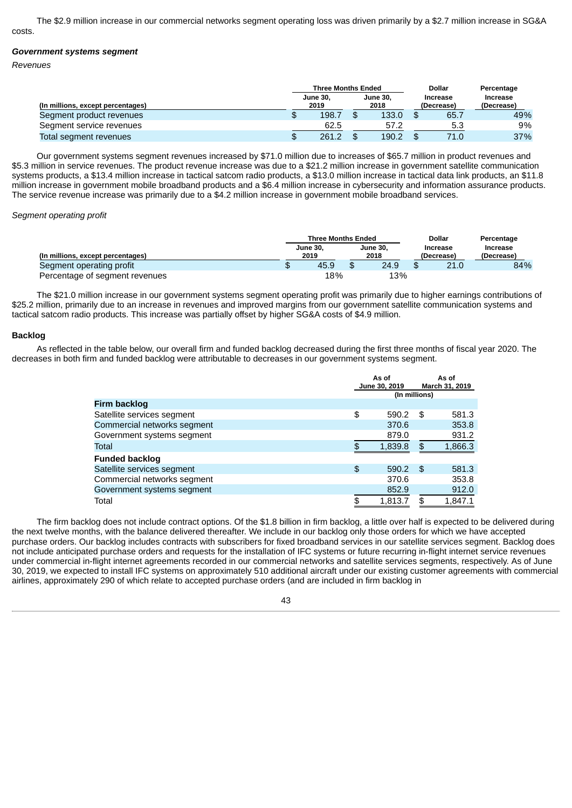The \$2.9 million increase in our commercial networks segment operating loss was driven primarily by a \$2.7 million increase in SG&A costs.

#### *Government systems segment*

*Revenues*

|                                   |    | <b>Three Months Ended</b> |     |                         | <b>Dollar</b>                 | Percentage                    |  |  |
|-----------------------------------|----|---------------------------|-----|-------------------------|-------------------------------|-------------------------------|--|--|
| (In millions, except percentages) |    | <b>June 30.</b><br>2019   |     | <b>June 30.</b><br>2018 | <b>Increase</b><br>(Decrease) | <b>Increase</b><br>(Decrease) |  |  |
| Segment product revenues          | \$ | 198.7                     |     | 133.0                   | 65.7                          | 49%                           |  |  |
| Segment service revenues          |    | 62.5                      |     | 57.2                    | 5.3                           | 9%                            |  |  |
| Total segment revenues            | S  | 261.2                     | \$. | 190.2                   | 71.0                          | 37%                           |  |  |

Our government systems segment revenues increased by \$71.0 million due to increases of \$65.7 million in product revenues and \$5.3 million in service revenues. The product revenue increase was due to a \$21.2 million increase in government satellite communication systems products, a \$13.4 million increase in tactical satcom radio products, a \$13.0 million increase in tactical data link products, an \$11.8 million increase in government mobile broadband products and a \$6.4 million increase in cybersecurity and information assurance products. The service revenue increase was primarily due to a \$4.2 million increase in government mobile broadband services.

#### *Segment operating profit*

|                                   | <b>Three Months Ended</b>          |  |      |            | <b>Dollar</b>   | Percentage      |  |  |
|-----------------------------------|------------------------------------|--|------|------------|-----------------|-----------------|--|--|
|                                   | <b>June 30,</b><br><b>June 30.</b> |  |      |            | <b>Increase</b> | <b>Increase</b> |  |  |
| (In millions, except percentages) | 2019                               |  | 2018 | (Decrease) |                 | (Decrease)      |  |  |
| Segment operating profit          | 45.9                               |  | 24.9 |            | 21.0            | 84%             |  |  |
| Percentage of segment revenues    | 18%                                |  | 13%  |            |                 |                 |  |  |

The \$21.0 million increase in our government systems segment operating profit was primarily due to higher earnings contributions of \$25.2 million, primarily due to an increase in revenues and improved margins from our government satellite communication systems and tactical satcom radio products. This increase was partially offset by higher SG&A costs of \$4.9 million.

# **Backlog**

As reflected in the table below, our overall firm and funded backlog decreased during the first three months of fiscal year 2020. The decreases in both firm and funded backlog were attributable to decreases in our government systems segment.

|                             |               | As of<br>June 30, 2019 |    | As of<br>March 31, 2019 |  |  |
|-----------------------------|---------------|------------------------|----|-------------------------|--|--|
|                             | (In millions) |                        |    |                         |  |  |
| <b>Firm backlog</b>         |               |                        |    |                         |  |  |
| Satellite services segment  | \$            | 590.2                  | \$ | 581.3                   |  |  |
| Commercial networks segment |               | 370.6                  |    | 353.8                   |  |  |
| Government systems segment  |               | 879.0                  |    | 931.2                   |  |  |
| Total                       | \$            | 1,839.8                | \$ | 1,866.3                 |  |  |
| <b>Funded backlog</b>       |               |                        |    |                         |  |  |
| Satellite services segment  | \$            | 590.2                  | \$ | 581.3                   |  |  |
| Commercial networks segment |               | 370.6                  |    | 353.8                   |  |  |
| Government systems segment  |               | 852.9                  |    | 912.0                   |  |  |
| Total                       | \$            | 1,813.7                | \$ | 1.847.1                 |  |  |

The firm backlog does not include contract options. Of the \$1.8 billion in firm backlog, a little over half is expected to be delivered during the next twelve months, with the balance delivered thereafter. We include in our backlog only those orders for which we have accepted purchase orders. Our backlog includes contracts with subscribers for fixed broadband services in our satellite services segment. Backlog does not include anticipated purchase orders and requests for the installation of IFC systems or future recurring in-flight internet service revenues under commercial in-flight internet agreements recorded in our commercial networks and satellite services segments, respectively. As of June 30, 2019, we expected to install IFC systems on approximately 510 additional aircraft under our existing customer agreements with commercial airlines, approximately 290 of which relate to accepted purchase orders (and are included in firm backlog in

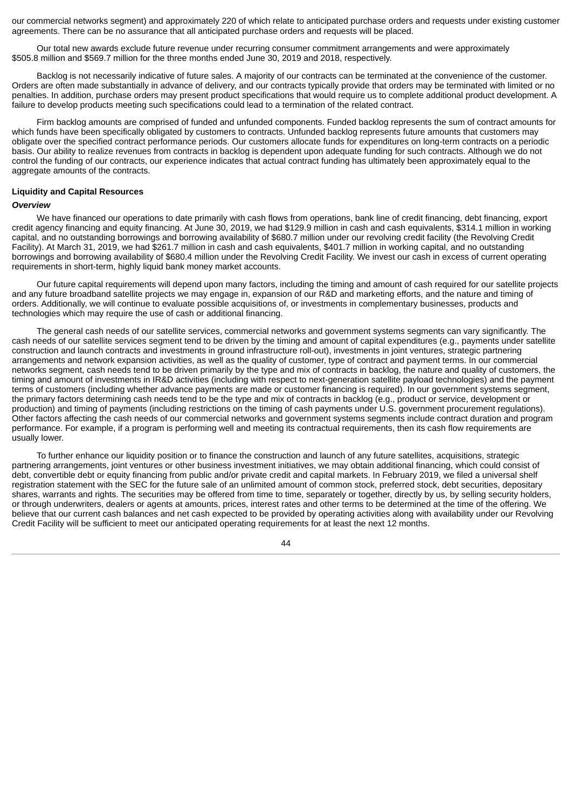our commercial networks segment) and approximately 220 of which relate to anticipated purchase orders and requests under existing customer agreements. There can be no assurance that all anticipated purchase orders and requests will be placed.

Our total new awards exclude future revenue under recurring consumer commitment arrangements and were approximately \$505.8 million and \$569.7 million for the three months ended June 30, 2019 and 2018, respectively.

Backlog is not necessarily indicative of future sales. A majority of our contracts can be terminated at the convenience of the customer. Orders are often made substantially in advance of delivery, and our contracts typically provide that orders may be terminated with limited or no penalties. In addition, purchase orders may present product specifications that would require us to complete additional product development. A failure to develop products meeting such specifications could lead to a termination of the related contract.

Firm backlog amounts are comprised of funded and unfunded components. Funded backlog represents the sum of contract amounts for which funds have been specifically obligated by customers to contracts. Unfunded backlog represents future amounts that customers may obligate over the specified contract performance periods. Our customers allocate funds for expenditures on long-term contracts on a periodic basis. Our ability to realize revenues from contracts in backlog is dependent upon adequate funding for such contracts. Although we do not control the funding of our contracts, our experience indicates that actual contract funding has ultimately been approximately equal to the aggregate amounts of the contracts.

# **Liquidity and Capital Resources**

#### *Overview*

We have financed our operations to date primarily with cash flows from operations, bank line of credit financing, debt financing, export credit agency financing and equity financing. At June 30, 2019, we had \$129.9 million in cash and cash equivalents, \$314.1 million in working capital, and no outstanding borrowings and borrowing availability of \$680.7 million under our revolving credit facility (the Revolving Credit Facility). At March 31, 2019, we had \$261.7 million in cash and cash equivalents, \$401.7 million in working capital, and no outstanding borrowings and borrowing availability of \$680.4 million under the Revolving Credit Facility. We invest our cash in excess of current operating requirements in short-term, highly liquid bank money market accounts.

Our future capital requirements will depend upon many factors, including the timing and amount of cash required for our satellite projects and any future broadband satellite projects we may engage in, expansion of our R&D and marketing efforts, and the nature and timing of orders. Additionally, we will continue to evaluate possible acquisitions of, or investments in complementary businesses, products and technologies which may require the use of cash or additional financing.

The general cash needs of our satellite services, commercial networks and government systems segments can vary significantly. The cash needs of our satellite services segment tend to be driven by the timing and amount of capital expenditures (e.g., payments under satellite construction and launch contracts and investments in ground infrastructure roll-out), investments in joint ventures, strategic partnering arrangements and network expansion activities, as well as the quality of customer, type of contract and payment terms. In our commercial networks segment, cash needs tend to be driven primarily by the type and mix of contracts in backlog, the nature and quality of customers, the timing and amount of investments in IR&D activities (including with respect to next-generation satellite payload technologies) and the payment terms of customers (including whether advance payments are made or customer financing is required). In our government systems segment, the primary factors determining cash needs tend to be the type and mix of contracts in backlog (e.g., product or service, development or production) and timing of payments (including restrictions on the timing of cash payments under U.S. government procurement regulations). Other factors affecting the cash needs of our commercial networks and government systems segments include contract duration and program performance. For example, if a program is performing well and meeting its contractual requirements, then its cash flow requirements are usually lower.

To further enhance our liquidity position or to finance the construction and launch of any future satellites, acquisitions, strategic partnering arrangements, joint ventures or other business investment initiatives, we may obtain additional financing, which could consist of debt, convertible debt or equity financing from public and/or private credit and capital markets. In February 2019, we filed a universal shelf registration statement with the SEC for the future sale of an unlimited amount of common stock, preferred stock, debt securities, depositary shares, warrants and rights. The securities may be offered from time to time, separately or together, directly by us, by selling security holders, or through underwriters, dealers or agents at amounts, prices, interest rates and other terms to be determined at the time of the offering. We believe that our current cash balances and net cash expected to be provided by operating activities along with availability under our Revolving Credit Facility will be sufficient to meet our anticipated operating requirements for at least the next 12 months.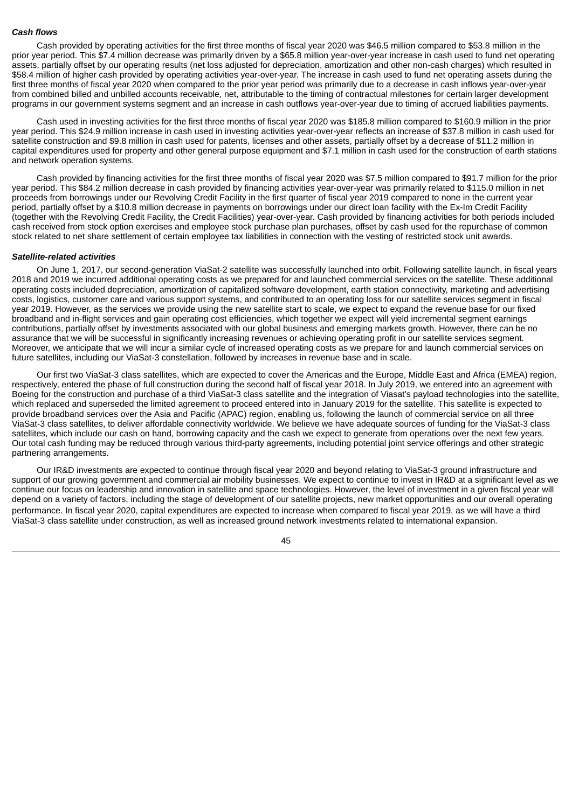#### *Cash flows*

Cash provided by operating activities for the first three months of fiscal year 2020 was \$46.5 million compared to \$53.8 million in the prior year period. This \$7.4 million decrease was primarily driven by a \$65.8 million year-over-year increase in cash used to fund net operating assets, partially offset by our operating results (net loss adjusted for depreciation, amortization and other non-cash charges) which resulted in \$58.4 million of higher cash provided by operating activities year-over-year. The increase in cash used to fund net operating assets during the first three months of fiscal year 2020 when compared to the prior year period was primarily due to a decrease in cash inflows year-over-year from combined billed and unbilled accounts receivable, net, attributable to the timing of contractual milestones for certain larger development programs in our government systems segment and an increase in cash outflows year-over-year due to timing of accrued liabilities payments.

Cash used in investing activities for the first three months of fiscal year 2020 was \$185.8 million compared to \$160.9 million in the prior year period. This \$24.9 million increase in cash used in investing activities year-over-year reflects an increase of \$37.8 million in cash used for satellite construction and \$9.8 million in cash used for patents, licenses and other assets, partially offset by a decrease of \$11.2 million in capital expenditures used for property and other general purpose equipment and \$7.1 million in cash used for the construction of earth stations and network operation systems.

Cash provided by financing activities for the first three months of fiscal year 2020 was \$7.5 million compared to \$91.7 million for the prior year period. This \$84.2 million decrease in cash provided by financing activities year-over-year was primarily related to \$115.0 million in net proceeds from borrowings under our Revolving Credit Facility in the first quarter of fiscal year 2019 compared to none in the current year period, partially offset by a \$10.8 million decrease in payments on borrowings under our direct loan facility with the Ex-Im Credit Facility (together with the Revolving Credit Facility, the Credit Facilities) year-over-year. Cash provided by financing activities for both periods included cash received from stock option exercises and employee stock purchase plan purchases, offset by cash used for the repurchase of common stock related to net share settlement of certain employee tax liabilities in connection with the vesting of restricted stock unit awards.

#### *Satellite-related activities*

On June 1, 2017, our second-generation ViaSat-2 satellite was successfully launched into orbit. Following satellite launch, in fiscal years 2018 and 2019 we incurred additional operating costs as we prepared for and launched commercial services on the satellite. These additional operating costs included depreciation, amortization of capitalized software development, earth station connectivity, marketing and advertising costs, logistics, customer care and various support systems, and contributed to an operating loss for our satellite services segment in fiscal year 2019. However, as the services we provide using the new satellite start to scale, we expect to expand the revenue base for our fixed broadband and in-flight services and gain operating cost efficiencies, which together we expect will yield incremental segment earnings contributions, partially offset by investments associated with our global business and emerging markets growth. However, there can be no assurance that we will be successful in significantly increasing revenues or achieving operating profit in our satellite services segment. Moreover, we anticipate that we will incur a similar cycle of increased operating costs as we prepare for and launch commercial services on future satellites, including our ViaSat-3 constellation, followed by increases in revenue base and in scale.

Our first two ViaSat-3 class satellites, which are expected to cover the Americas and the Europe, Middle East and Africa (EMEA) region, respectively, entered the phase of full construction during the second half of fiscal year 2018. In July 2019, we entered into an agreement with Boeing for the construction and purchase of a third ViaSat-3 class satellite and the integration of Viasat's payload technologies into the satellite, which replaced and superseded the limited agreement to proceed entered into in January 2019 for the satellite. This satellite is expected to provide broadband services over the Asia and Pacific (APAC) region, enabling us, following the launch of commercial service on all three ViaSat-3 class satellites, to deliver affordable connectivity worldwide. We believe we have adequate sources of funding for the ViaSat-3 class satellites, which include our cash on hand, borrowing capacity and the cash we expect to generate from operations over the next few years. Our total cash funding may be reduced through various third-party agreements, including potential joint service offerings and other strategic partnering arrangements.

Our IR&D investments are expected to continue through fiscal year 2020 and beyond relating to ViaSat-3 ground infrastructure and support of our growing government and commercial air mobility businesses. We expect to continue to invest in IR&D at a significant level as we continue our focus on leadership and innovation in satellite and space technologies. However, the level of investment in a given fiscal year will depend on a variety of factors, including the stage of development of our satellite projects, new market opportunities and our overall operating performance. In fiscal year 2020, capital expenditures are expected to increase when compared to fiscal year 2019, as we will have a third ViaSat-3 class satellite under construction, as well as increased ground network investments related to international expansion.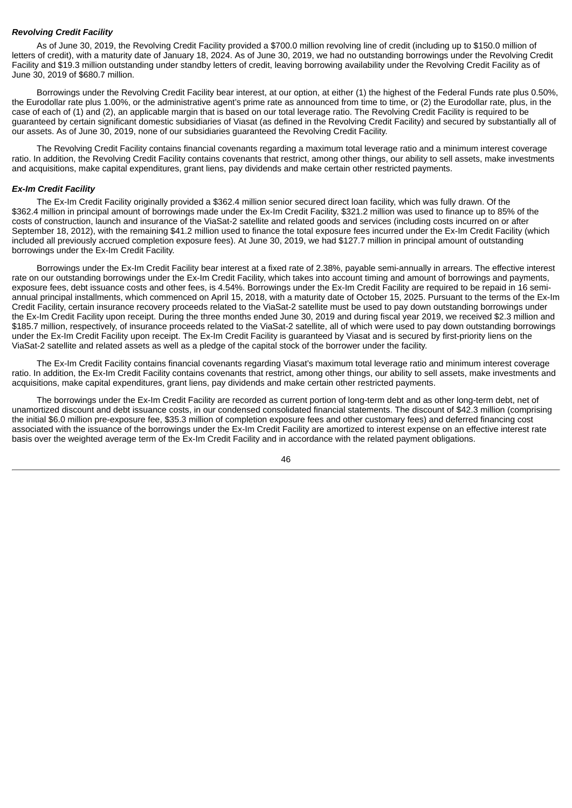#### *Revolving Credit Facility*

As of June 30, 2019, the Revolving Credit Facility provided a \$700.0 million revolving line of credit (including up to \$150.0 million of letters of credit), with a maturity date of January 18, 2024. As of June 30, 2019, we had no outstanding borrowings under the Revolving Credit Facility and \$19.3 million outstanding under standby letters of credit, leaving borrowing availability under the Revolving Credit Facility as of June 30, 2019 of \$680.7 million.

Borrowings under the Revolving Credit Facility bear interest, at our option, at either (1) the highest of the Federal Funds rate plus 0.50%, the Eurodollar rate plus 1.00%, or the administrative agent's prime rate as announced from time to time, or (2) the Eurodollar rate, plus, in the case of each of (1) and (2), an applicable margin that is based on our total leverage ratio. The Revolving Credit Facility is required to be guaranteed by certain significant domestic subsidiaries of Viasat (as defined in the Revolving Credit Facility) and secured by substantially all of our assets. As of June 30, 2019, none of our subsidiaries guaranteed the Revolving Credit Facility.

The Revolving Credit Facility contains financial covenants regarding a maximum total leverage ratio and a minimum interest coverage ratio. In addition, the Revolving Credit Facility contains covenants that restrict, among other things, our ability to sell assets, make investments and acquisitions, make capital expenditures, grant liens, pay dividends and make certain other restricted payments.

#### *Ex-Im Credit Facility*

The Ex-Im Credit Facility originally provided a \$362.4 million senior secured direct loan facility, which was fully drawn. Of the \$362.4 million in principal amount of borrowings made under the Ex-Im Credit Facility, \$321.2 million was used to finance up to 85% of the costs of construction, launch and insurance of the ViaSat-2 satellite and related goods and services (including costs incurred on or after September 18, 2012), with the remaining \$41.2 million used to finance the total exposure fees incurred under the Ex-Im Credit Facility (which included all previously accrued completion exposure fees). At June 30, 2019, we had \$127.7 million in principal amount of outstanding borrowings under the Ex-Im Credit Facility.

Borrowings under the Ex-Im Credit Facility bear interest at a fixed rate of 2.38%, payable semi-annually in arrears. The effective interest rate on our outstanding borrowings under the Ex-Im Credit Facility, which takes into account timing and amount of borrowings and payments, exposure fees, debt issuance costs and other fees, is 4.54%. Borrowings under the Ex-Im Credit Facility are required to be repaid in 16 semiannual principal installments, which commenced on April 15, 2018, with a maturity date of October 15, 2025. Pursuant to the terms of the Ex-Im Credit Facility, certain insurance recovery proceeds related to the ViaSat-2 satellite must be used to pay down outstanding borrowings under the Ex-Im Credit Facility upon receipt. During the three months ended June 30, 2019 and during fiscal year 2019, we received \$2.3 million and \$185.7 million, respectively, of insurance proceeds related to the ViaSat-2 satellite, all of which were used to pay down outstanding borrowings under the Ex-Im Credit Facility upon receipt. The Ex-Im Credit Facility is guaranteed by Viasat and is secured by first-priority liens on the ViaSat-2 satellite and related assets as well as a pledge of the capital stock of the borrower under the facility.

The Ex-Im Credit Facility contains financial covenants regarding Viasat's maximum total leverage ratio and minimum interest coverage ratio. In addition, the Ex-Im Credit Facility contains covenants that restrict, among other things, our ability to sell assets, make investments and acquisitions, make capital expenditures, grant liens, pay dividends and make certain other restricted payments.

The borrowings under the Ex-Im Credit Facility are recorded as current portion of long-term debt and as other long-term debt, net of unamortized discount and debt issuance costs, in our condensed consolidated financial statements. The discount of \$42.3 million (comprising the initial \$6.0 million pre-exposure fee, \$35.3 million of completion exposure fees and other customary fees) and deferred financing cost associated with the issuance of the borrowings under the Ex-Im Credit Facility are amortized to interest expense on an effective interest rate basis over the weighted average term of the Ex-Im Credit Facility and in accordance with the related payment obligations.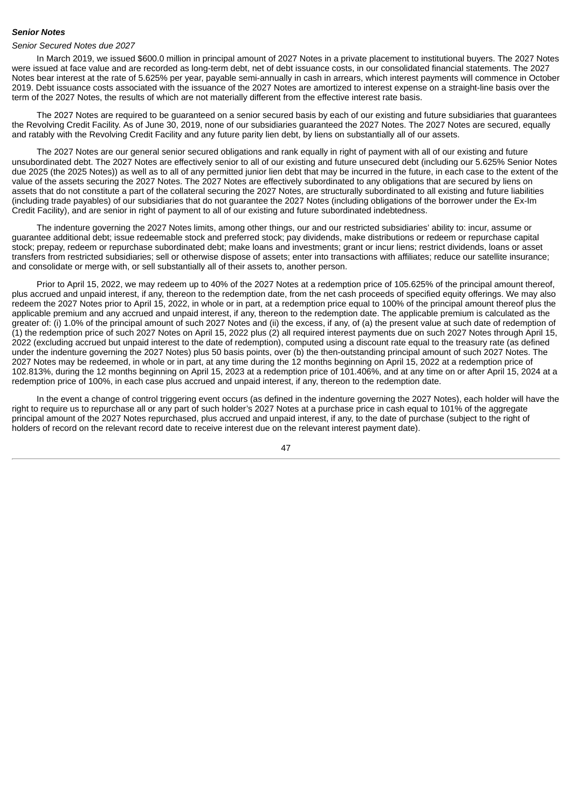#### *Senior Notes*

#### *Senior Secured Notes due 2027*

In March 2019, we issued \$600.0 million in principal amount of 2027 Notes in a private placement to institutional buyers. The 2027 Notes were issued at face value and are recorded as long-term debt, net of debt issuance costs, in our consolidated financial statements. The 2027 Notes bear interest at the rate of 5.625% per year, payable semi-annually in cash in arrears, which interest payments will commence in October 2019. Debt issuance costs associated with the issuance of the 2027 Notes are amortized to interest expense on a straight-line basis over the term of the 2027 Notes, the results of which are not materially different from the effective interest rate basis.

The 2027 Notes are required to be guaranteed on a senior secured basis by each of our existing and future subsidiaries that guarantees the Revolving Credit Facility. As of June 30, 2019, none of our subsidiaries guaranteed the 2027 Notes. The 2027 Notes are secured, equally and ratably with the Revolving Credit Facility and any future parity lien debt, by liens on substantially all of our assets.

The 2027 Notes are our general senior secured obligations and rank equally in right of payment with all of our existing and future unsubordinated debt. The 2027 Notes are effectively senior to all of our existing and future unsecured debt (including our 5.625% Senior Notes due 2025 (the 2025 Notes)) as well as to all of any permitted junior lien debt that may be incurred in the future, in each case to the extent of the value of the assets securing the 2027 Notes. The 2027 Notes are effectively subordinated to any obligations that are secured by liens on assets that do not constitute a part of the collateral securing the 2027 Notes, are structurally subordinated to all existing and future liabilities (including trade payables) of our subsidiaries that do not guarantee the 2027 Notes (including obligations of the borrower under the Ex-Im Credit Facility), and are senior in right of payment to all of our existing and future subordinated indebtedness.

The indenture governing the 2027 Notes limits, among other things, our and our restricted subsidiaries' ability to: incur, assume or guarantee additional debt; issue redeemable stock and preferred stock; pay dividends, make distributions or redeem or repurchase capital stock; prepay, redeem or repurchase subordinated debt; make loans and investments; grant or incur liens; restrict dividends, loans or asset transfers from restricted subsidiaries; sell or otherwise dispose of assets; enter into transactions with affiliates; reduce our satellite insurance; and consolidate or merge with, or sell substantially all of their assets to, another person.

Prior to April 15, 2022, we may redeem up to 40% of the 2027 Notes at a redemption price of 105.625% of the principal amount thereof, plus accrued and unpaid interest, if any, thereon to the redemption date, from the net cash proceeds of specified equity offerings. We may also redeem the 2027 Notes prior to April 15, 2022, in whole or in part, at a redemption price equal to 100% of the principal amount thereof plus the applicable premium and any accrued and unpaid interest, if any, thereon to the redemption date. The applicable premium is calculated as the greater of: (i) 1.0% of the principal amount of such 2027 Notes and (ii) the excess, if any, of (a) the present value at such date of redemption of (1) the redemption price of such 2027 Notes on April 15, 2022 plus (2) all required interest payments due on such 2027 Notes through April 15, 2022 (excluding accrued but unpaid interest to the date of redemption), computed using a discount rate equal to the treasury rate (as defined under the indenture governing the 2027 Notes) plus 50 basis points, over (b) the then-outstanding principal amount of such 2027 Notes. The 2027 Notes may be redeemed, in whole or in part, at any time during the 12 months beginning on April 15, 2022 at a redemption price of 102.813%, during the 12 months beginning on April 15, 2023 at a redemption price of 101.406%, and at any time on or after April 15, 2024 at a redemption price of 100%, in each case plus accrued and unpaid interest, if any, thereon to the redemption date.

In the event a change of control triggering event occurs (as defined in the indenture governing the 2027 Notes), each holder will have the right to require us to repurchase all or any part of such holder's 2027 Notes at a purchase price in cash equal to 101% of the aggregate principal amount of the 2027 Notes repurchased, plus accrued and unpaid interest, if any, to the date of purchase (subject to the right of holders of record on the relevant record date to receive interest due on the relevant interest payment date).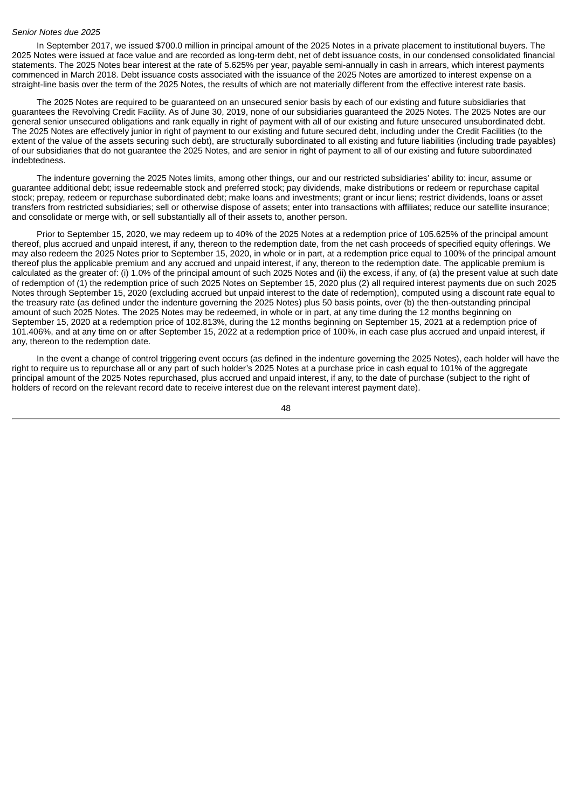#### *Senior Notes due 2025*

In September 2017, we issued \$700.0 million in principal amount of the 2025 Notes in a private placement to institutional buyers. The 2025 Notes were issued at face value and are recorded as long-term debt, net of debt issuance costs, in our condensed consolidated financial statements. The 2025 Notes bear interest at the rate of 5.625% per year, payable semi-annually in cash in arrears, which interest payments commenced in March 2018. Debt issuance costs associated with the issuance of the 2025 Notes are amortized to interest expense on a straight-line basis over the term of the 2025 Notes, the results of which are not materially different from the effective interest rate basis.

The 2025 Notes are required to be guaranteed on an unsecured senior basis by each of our existing and future subsidiaries that guarantees the Revolving Credit Facility. As of June 30, 2019, none of our subsidiaries guaranteed the 2025 Notes. The 2025 Notes are our general senior unsecured obligations and rank equally in right of payment with all of our existing and future unsecured unsubordinated debt. The 2025 Notes are effectively junior in right of payment to our existing and future secured debt, including under the Credit Facilities (to the extent of the value of the assets securing such debt), are structurally subordinated to all existing and future liabilities (including trade payables) of our subsidiaries that do not guarantee the 2025 Notes, and are senior in right of payment to all of our existing and future subordinated indebtedness.

The indenture governing the 2025 Notes limits, among other things, our and our restricted subsidiaries' ability to: incur, assume or guarantee additional debt; issue redeemable stock and preferred stock; pay dividends, make distributions or redeem or repurchase capital stock; prepay, redeem or repurchase subordinated debt; make loans and investments; grant or incur liens; restrict dividends, loans or asset transfers from restricted subsidiaries; sell or otherwise dispose of assets; enter into transactions with affiliates; reduce our satellite insurance; and consolidate or merge with, or sell substantially all of their assets to, another person.

Prior to September 15, 2020, we may redeem up to 40% of the 2025 Notes at a redemption price of 105.625% of the principal amount thereof, plus accrued and unpaid interest, if any, thereon to the redemption date, from the net cash proceeds of specified equity offerings. We may also redeem the 2025 Notes prior to September 15, 2020, in whole or in part, at a redemption price equal to 100% of the principal amount thereof plus the applicable premium and any accrued and unpaid interest, if any, thereon to the redemption date. The applicable premium is calculated as the greater of: (i) 1.0% of the principal amount of such 2025 Notes and (ii) the excess, if any, of (a) the present value at such date of redemption of (1) the redemption price of such 2025 Notes on September 15, 2020 plus (2) all required interest payments due on such 2025 Notes through September 15, 2020 (excluding accrued but unpaid interest to the date of redemption), computed using a discount rate equal to the treasury rate (as defined under the indenture governing the 2025 Notes) plus 50 basis points, over (b) the then-outstanding principal amount of such 2025 Notes. The 2025 Notes may be redeemed, in whole or in part, at any time during the 12 months beginning on September 15, 2020 at a redemption price of 102.813%, during the 12 months beginning on September 15, 2021 at a redemption price of 101.406%, and at any time on or after September 15, 2022 at a redemption price of 100%, in each case plus accrued and unpaid interest, if any, thereon to the redemption date.

In the event a change of control triggering event occurs (as defined in the indenture governing the 2025 Notes), each holder will have the right to require us to repurchase all or any part of such holder's 2025 Notes at a purchase price in cash equal to 101% of the aggregate principal amount of the 2025 Notes repurchased, plus accrued and unpaid interest, if any, to the date of purchase (subject to the right of holders of record on the relevant record date to receive interest due on the relevant interest payment date).

 $\overline{AB}$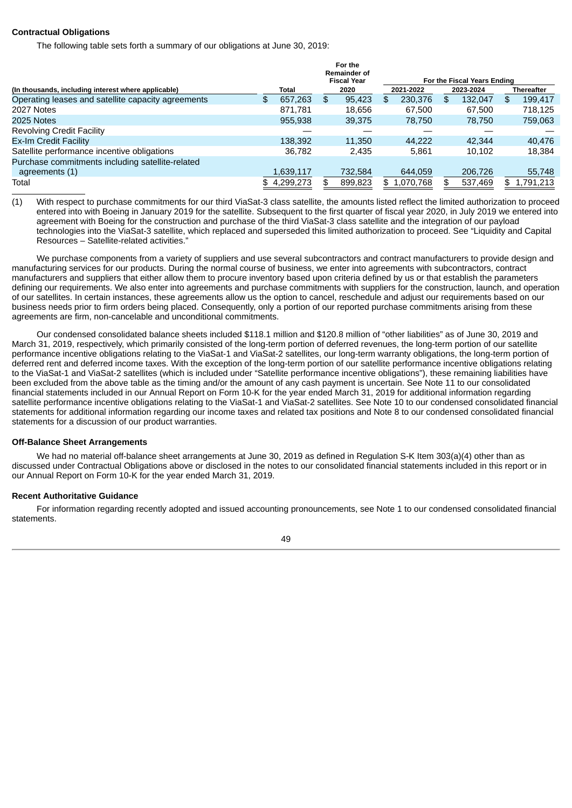# **Contractual Obligations**

The following table sets forth a summary of our obligations at June 30, 2019:

| Total         |                        | 2020    | 2023-2024<br>2021-2022                               |         |             | Thereafter |     |                             |
|---------------|------------------------|---------|------------------------------------------------------|---------|-------------|------------|-----|-----------------------------|
| \$<br>657,263 | \$                     | 95,423  | \$                                                   | 230,376 | \$          | 132.047    | \$. | 199,417                     |
| 871.781       |                        | 18,656  |                                                      | 67,500  |             | 67.500     |     | 718,125                     |
| 955.938       |                        | 39.375  |                                                      | 78.750  |             | 78.750     |     | 759,063                     |
|               |                        |         |                                                      |         |             |            |     |                             |
| 138.392       |                        | 11,350  |                                                      | 44.222  |             | 42.344     |     | 40.476                      |
| 36.782        |                        | 2,435   |                                                      | 5.861   |             | 10,102     |     | 18,384                      |
|               |                        |         |                                                      |         |             |            |     |                             |
|               |                        | 732.584 |                                                      | 644.059 |             | 206,726    |     | 55,748                      |
|               |                        | 899,823 |                                                      |         |             | 537,469    |     | 1,791,213                   |
|               | 1,639,117<br>4,299,273 |         | For the<br><b>Remainder of</b><br><b>Fiscal Year</b> |         | \$1,070,768 |            |     | For the Fiscal Years Ending |

(1) With respect to purchase commitments for our third ViaSat-3 class satellite, the amounts listed reflect the limited authorization to proceed entered into with Boeing in January 2019 for the satellite. Subsequent to the first quarter of fiscal year 2020, in July 2019 we entered into agreement with Boeing for the construction and purchase of the third ViaSat-3 class satellite and the integration of our payload technologies into the ViaSat-3 satellite, which replaced and superseded this limited authorization to proceed. See "Liquidity and Capital Resources – Satellite-related activities."

We purchase components from a variety of suppliers and use several subcontractors and contract manufacturers to provide design and manufacturing services for our products. During the normal course of business, we enter into agreements with subcontractors, contract manufacturers and suppliers that either allow them to procure inventory based upon criteria defined by us or that establish the parameters defining our requirements. We also enter into agreements and purchase commitments with suppliers for the construction, launch, and operation of our satellites. In certain instances, these agreements allow us the option to cancel, reschedule and adjust our requirements based on our business needs prior to firm orders being placed. Consequently, only a portion of our reported purchase commitments arising from these agreements are firm, non-cancelable and unconditional commitments.

Our condensed consolidated balance sheets included \$118.1 million and \$120.8 million of "other liabilities" as of June 30, 2019 and March 31, 2019, respectively, which primarily consisted of the long-term portion of deferred revenues, the long-term portion of our satellite performance incentive obligations relating to the ViaSat-1 and ViaSat-2 satellites, our long-term warranty obligations, the long-term portion of deferred rent and deferred income taxes. With the exception of the long-term portion of our satellite performance incentive obligations relating to the ViaSat-1 and ViaSat-2 satellites (which is included under "Satellite performance incentive obligations"), these remaining liabilities have been excluded from the above table as the timing and/or the amount of any cash payment is uncertain. See Note 11 to our consolidated financial statements included in our Annual Report on Form 10-K for the year ended March 31, 2019 for additional information regarding satellite performance incentive obligations relating to the ViaSat-1 and ViaSat-2 satellites. See Note 10 to our condensed consolidated financial statements for additional information regarding our income taxes and related tax positions and Note 8 to our condensed consolidated financial statements for a discussion of our product warranties.

#### **Off-Balance Sheet Arrangements**

We had no material off-balance sheet arrangements at June 30, 2019 as defined in Regulation S-K Item 303(a)(4) other than as discussed under Contractual Obligations above or disclosed in the notes to our consolidated financial statements included in this report or in our Annual Report on Form 10-K for the year ended March 31, 2019.

# **Recent Authoritative Guidance**

For information regarding recently adopted and issued accounting pronouncements, see Note 1 to our condensed consolidated financial statements.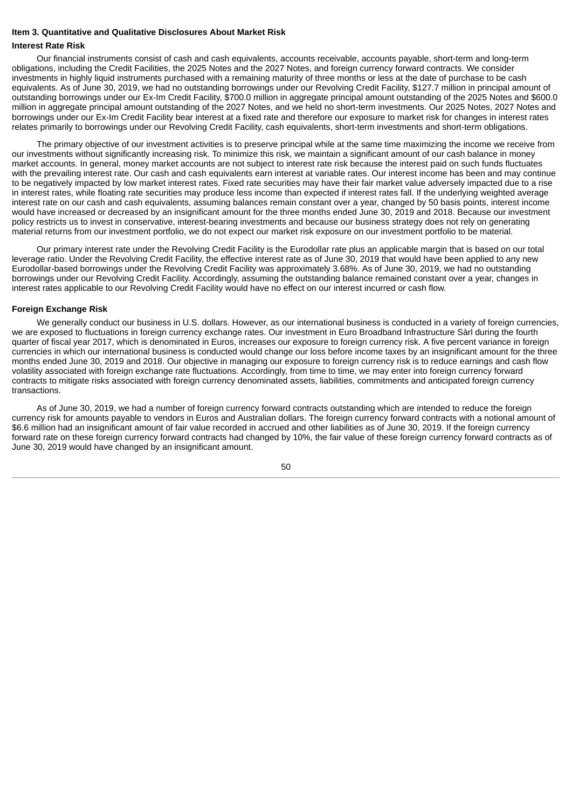#### <span id="page-49-0"></span>**Item 3. Quantitative and Qualitative Disclosures About Market Risk**

#### **Interest Rate Risk**

Our financial instruments consist of cash and cash equivalents, accounts receivable, accounts payable, short-term and long-term obligations, including the Credit Facilities, the 2025 Notes and the 2027 Notes, and foreign currency forward contracts. We consider investments in highly liquid instruments purchased with a remaining maturity of three months or less at the date of purchase to be cash equivalents. As of June 30, 2019, we had no outstanding borrowings under our Revolving Credit Facility, \$127.7 million in principal amount of outstanding borrowings under our Ex-Im Credit Facility, \$700.0 million in aggregate principal amount outstanding of the 2025 Notes and \$600.0 million in aggregate principal amount outstanding of the 2027 Notes, and we held no short-term investments. Our 2025 Notes, 2027 Notes and borrowings under our Ex-Im Credit Facility bear interest at a fixed rate and therefore our exposure to market risk for changes in interest rates relates primarily to borrowings under our Revolving Credit Facility, cash equivalents, short-term investments and short-term obligations.

The primary objective of our investment activities is to preserve principal while at the same time maximizing the income we receive from our investments without significantly increasing risk. To minimize this risk, we maintain a significant amount of our cash balance in money market accounts. In general, money market accounts are not subject to interest rate risk because the interest paid on such funds fluctuates with the prevailing interest rate. Our cash and cash equivalents earn interest at variable rates. Our interest income has been and may continue to be negatively impacted by low market interest rates. Fixed rate securities may have their fair market value adversely impacted due to a rise in interest rates, while floating rate securities may produce less income than expected if interest rates fall. If the underlying weighted average interest rate on our cash and cash equivalents, assuming balances remain constant over a year, changed by 50 basis points, interest income would have increased or decreased by an insignificant amount for the three months ended June 30, 2019 and 2018. Because our investment policy restricts us to invest in conservative, interest-bearing investments and because our business strategy does not rely on generating material returns from our investment portfolio, we do not expect our market risk exposure on our investment portfolio to be material.

Our primary interest rate under the Revolving Credit Facility is the Eurodollar rate plus an applicable margin that is based on our total leverage ratio. Under the Revolving Credit Facility, the effective interest rate as of June 30, 2019 that would have been applied to any new Eurodollar-based borrowings under the Revolving Credit Facility was approximately 3.68%. As of June 30, 2019, we had no outstanding borrowings under our Revolving Credit Facility. Accordingly, assuming the outstanding balance remained constant over a year, changes in interest rates applicable to our Revolving Credit Facility would have no effect on our interest incurred or cash flow.

#### **Foreign Exchange Risk**

We generally conduct our business in U.S. dollars. However, as our international business is conducted in a variety of foreign currencies, we are exposed to fluctuations in foreign currency exchange rates. Our investment in Euro Broadband Infrastructure Sàrl during the fourth quarter of fiscal year 2017, which is denominated in Euros, increases our exposure to foreign currency risk. A five percent variance in foreign currencies in which our international business is conducted would change our loss before income taxes by an insignificant amount for the three months ended June 30, 2019 and 2018. Our objective in managing our exposure to foreign currency risk is to reduce earnings and cash flow volatility associated with foreign exchange rate fluctuations. Accordingly, from time to time, we may enter into foreign currency forward contracts to mitigate risks associated with foreign currency denominated assets, liabilities, commitments and anticipated foreign currency transactions.

As of June 30, 2019, we had a number of foreign currency forward contracts outstanding which are intended to reduce the foreign currency risk for amounts payable to vendors in Euros and Australian dollars. The foreign currency forward contracts with a notional amount of \$6.6 million had an insignificant amount of fair value recorded in accrued and other liabilities as of June 30, 2019. If the foreign currency forward rate on these foreign currency forward contracts had changed by 10%, the fair value of these foreign currency forward contracts as of June 30, 2019 would have changed by an insignificant amount.

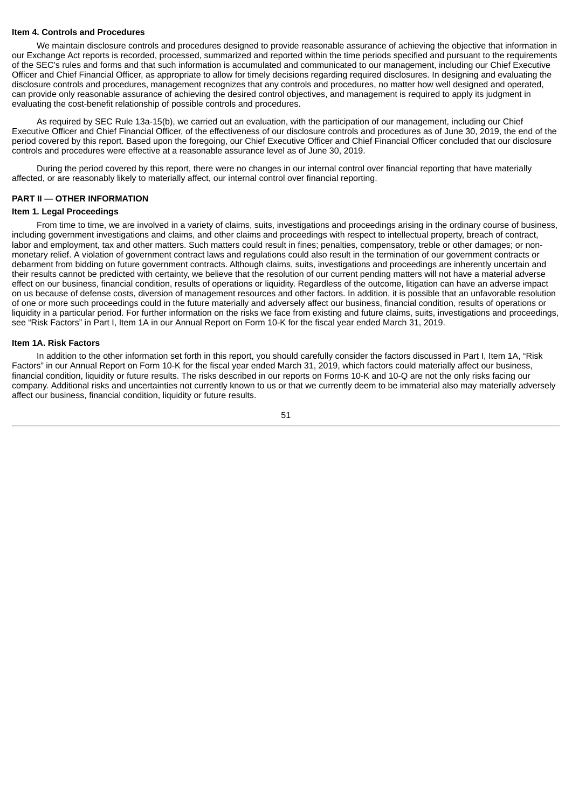#### <span id="page-50-0"></span>**Item 4. Controls and Procedures**

We maintain disclosure controls and procedures designed to provide reasonable assurance of achieving the objective that information in our Exchange Act reports is recorded, processed, summarized and reported within the time periods specified and pursuant to the requirements of the SEC's rules and forms and that such information is accumulated and communicated to our management, including our Chief Executive Officer and Chief Financial Officer, as appropriate to allow for timely decisions regarding required disclosures. In designing and evaluating the disclosure controls and procedures, management recognizes that any controls and procedures, no matter how well designed and operated, can provide only reasonable assurance of achieving the desired control objectives, and management is required to apply its judgment in evaluating the cost-benefit relationship of possible controls and procedures.

As required by SEC Rule 13a-15(b), we carried out an evaluation, with the participation of our management, including our Chief Executive Officer and Chief Financial Officer, of the effectiveness of our disclosure controls and procedures as of June 30, 2019, the end of the period covered by this report. Based upon the foregoing, our Chief Executive Officer and Chief Financial Officer concluded that our disclosure controls and procedures were effective at a reasonable assurance level as of June 30, 2019.

During the period covered by this report, there were no changes in our internal control over financial reporting that have materially affected, or are reasonably likely to materially affect, our internal control over financial reporting.

#### <span id="page-50-1"></span>**PART II — OTHER INFORMATION**

#### <span id="page-50-2"></span>**Item 1. Legal Proceedings**

From time to time, we are involved in a variety of claims, suits, investigations and proceedings arising in the ordinary course of business, including government investigations and claims, and other claims and proceedings with respect to intellectual property, breach of contract, labor and employment, tax and other matters. Such matters could result in fines; penalties, compensatory, treble or other damages; or nonmonetary relief. A violation of government contract laws and regulations could also result in the termination of our government contracts or debarment from bidding on future government contracts. Although claims, suits, investigations and proceedings are inherently uncertain and their results cannot be predicted with certainty, we believe that the resolution of our current pending matters will not have a material adverse effect on our business, financial condition, results of operations or liquidity. Regardless of the outcome, litigation can have an adverse impact on us because of defense costs, diversion of management resources and other factors. In addition, it is possible that an unfavorable resolution of one or more such proceedings could in the future materially and adversely affect our business, financial condition, results of operations or liquidity in a particular period. For further information on the risks we face from existing and future claims, suits, investigations and proceedings, see "Risk Factors" in Part I, Item 1A in our Annual Report on Form 10-K for the fiscal year ended March 31, 2019.

#### <span id="page-50-3"></span>**Item 1A. Risk Factors**

In addition to the other information set forth in this report, you should carefully consider the factors discussed in Part I, Item 1A, "Risk Factors" in our Annual Report on Form 10-K for the fiscal year ended March 31, 2019, which factors could materially affect our business, financial condition, liquidity or future results. The risks described in our reports on Forms 10-K and 10-Q are not the only risks facing our company. Additional risks and uncertainties not currently known to us or that we currently deem to be immaterial also may materially adversely affect our business, financial condition, liquidity or future results.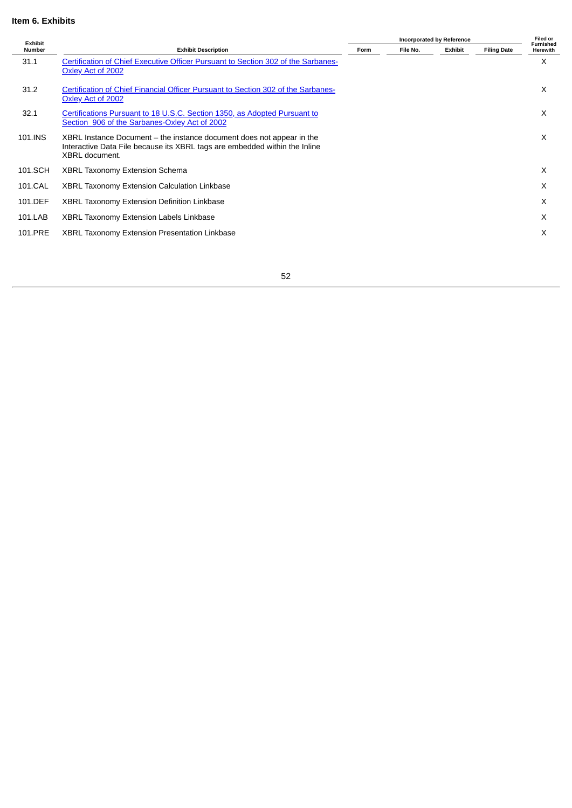# <span id="page-51-0"></span>**Item 6. Exhibits**

| Exhibit       |                                                                                                                                                                              | <b>Incorporated by Reference</b> |          |                |                    | Filed or<br><b>Furnished</b> |  |
|---------------|------------------------------------------------------------------------------------------------------------------------------------------------------------------------------|----------------------------------|----------|----------------|--------------------|------------------------------|--|
| <b>Number</b> | <b>Exhibit Description</b>                                                                                                                                                   | Form                             | File No. | <b>Exhibit</b> | <b>Filing Date</b> | <b>Herewith</b>              |  |
| 31.1          | Certification of Chief Executive Officer Pursuant to Section 302 of the Sarbanes-<br>Oxley Act of 2002                                                                       |                                  |          |                |                    | X                            |  |
| 31.2          | Certification of Chief Financial Officer Pursuant to Section 302 of the Sarbanes-<br>Oxley Act of 2002                                                                       |                                  |          |                |                    | X                            |  |
| 32.1          | Certifications Pursuant to 18 U.S.C. Section 1350, as Adopted Pursuant to<br>Section 906 of the Sarbanes-Oxley Act of 2002                                                   |                                  |          |                |                    | X                            |  |
| 101.INS       | XBRL Instance Document – the instance document does not appear in the<br>Interactive Data File because its XBRL tags are embedded within the Inline<br><b>XBRL</b> document. |                                  |          |                |                    | X                            |  |
| 101.SCH       | XBRL Taxonomy Extension Schema                                                                                                                                               |                                  |          |                |                    | X                            |  |
| 101.CAL       | XBRL Taxonomy Extension Calculation Linkbase                                                                                                                                 |                                  |          |                |                    | X                            |  |
| 101.DEF       | XBRL Taxonomy Extension Definition Linkbase                                                                                                                                  |                                  |          |                |                    | X                            |  |
| 101.LAB       | XBRL Taxonomy Extension Labels Linkbase                                                                                                                                      |                                  |          |                |                    | X                            |  |
| 101.PRE       | XBRL Taxonomy Extension Presentation Linkbase                                                                                                                                |                                  |          |                |                    | X                            |  |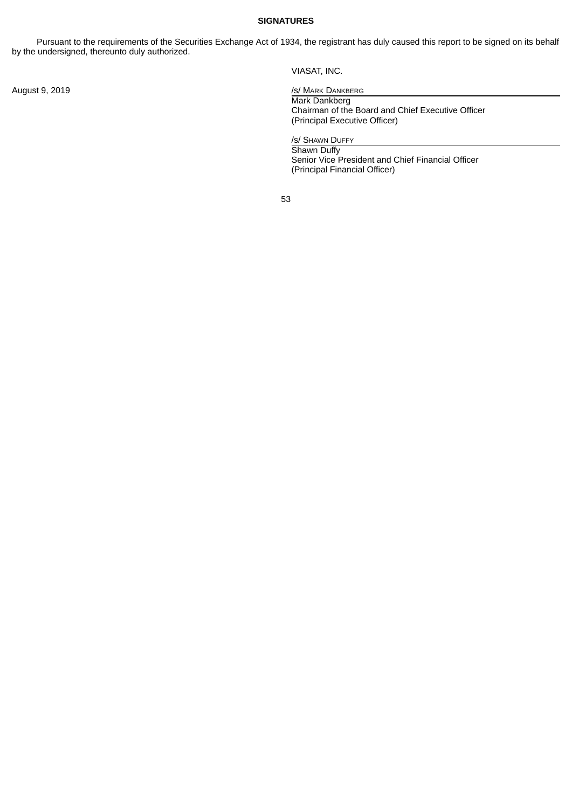#### **SIGNATURES**

<span id="page-52-0"></span>Pursuant to the requirements of the Securities Exchange Act of 1934, the registrant has duly caused this report to be signed on its behalf by the undersigned, thereunto duly authorized.

VIASAT, INC.

August 9, 2019 /s/ MARK DANKBERG

Mark Dankberg Chairman of the Board and Chief Executive Officer (Principal Executive Officer)

/s/ SHAWN DUFFY

**Shawn Duffy** Senior Vice President and Chief Financial Officer (Principal Financial Officer)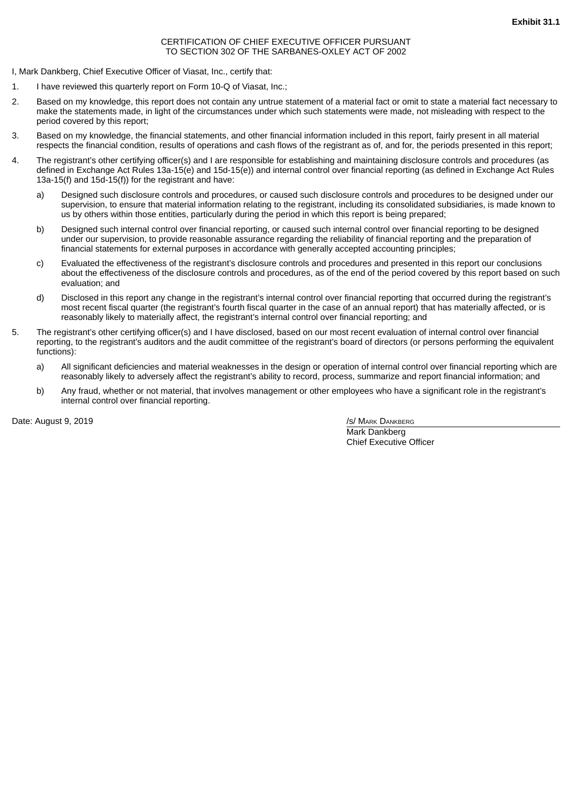# CERTIFICATION OF CHIEF EXECUTIVE OFFICER PURSUANT TO SECTION 302 OF THE SARBANES-OXLEY ACT OF 2002

<span id="page-53-0"></span>I, Mark Dankberg, Chief Executive Officer of Viasat, Inc., certify that:

- 1. I have reviewed this quarterly report on Form 10-Q of Viasat, Inc.;
- 2. Based on my knowledge, this report does not contain any untrue statement of a material fact or omit to state a material fact necessary to make the statements made, in light of the circumstances under which such statements were made, not misleading with respect to the period covered by this report;
- 3. Based on my knowledge, the financial statements, and other financial information included in this report, fairly present in all material respects the financial condition, results of operations and cash flows of the registrant as of, and for, the periods presented in this report;
- 4. The registrant's other certifying officer(s) and I are responsible for establishing and maintaining disclosure controls and procedures (as defined in Exchange Act Rules 13a-15(e) and 15d-15(e)) and internal control over financial reporting (as defined in Exchange Act Rules 13a-15(f) and 15d-15(f)) for the registrant and have:
	- a) Designed such disclosure controls and procedures, or caused such disclosure controls and procedures to be designed under our supervision, to ensure that material information relating to the registrant, including its consolidated subsidiaries, is made known to us by others within those entities, particularly during the period in which this report is being prepared;
	- b) Designed such internal control over financial reporting, or caused such internal control over financial reporting to be designed under our supervision, to provide reasonable assurance regarding the reliability of financial reporting and the preparation of financial statements for external purposes in accordance with generally accepted accounting principles;
	- c) Evaluated the effectiveness of the registrant's disclosure controls and procedures and presented in this report our conclusions about the effectiveness of the disclosure controls and procedures, as of the end of the period covered by this report based on such evaluation; and
	- d) Disclosed in this report any change in the registrant's internal control over financial reporting that occurred during the registrant's most recent fiscal quarter (the registrant's fourth fiscal quarter in the case of an annual report) that has materially affected, or is reasonably likely to materially affect, the registrant's internal control over financial reporting; and
- 5. The registrant's other certifying officer(s) and I have disclosed, based on our most recent evaluation of internal control over financial reporting, to the registrant's auditors and the audit committee of the registrant's board of directors (or persons performing the equivalent functions):
	- a) All significant deficiencies and material weaknesses in the design or operation of internal control over financial reporting which are reasonably likely to adversely affect the registrant's ability to record, process, summarize and report financial information; and
	- b) Any fraud, whether or not material, that involves management or other employees who have a significant role in the registrant's internal control over financial reporting.

Date: August 9, 2019 *Date: August 9, 2019 JSI* MARK DANKBERG

Mark Dankberg Chief Executive Officer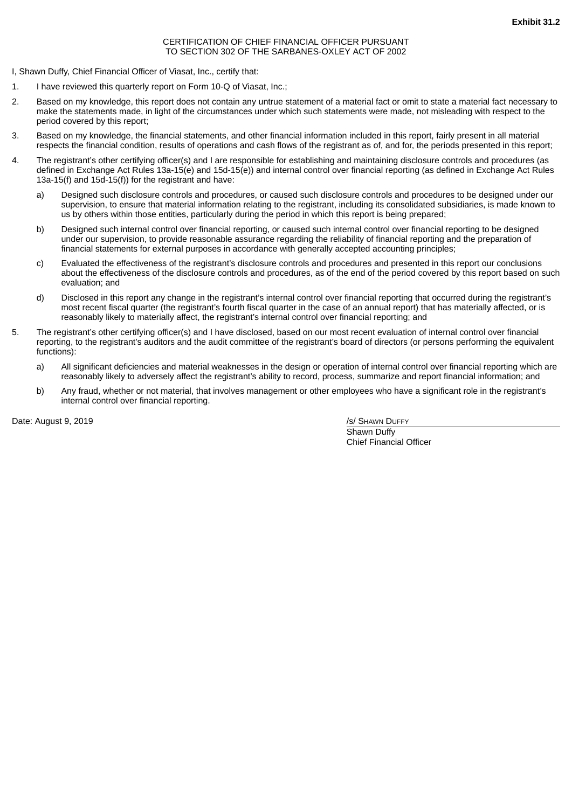# CERTIFICATION OF CHIEF FINANCIAL OFFICER PURSUANT TO SECTION 302 OF THE SARBANES-OXLEY ACT OF 2002

<span id="page-54-0"></span>I, Shawn Duffy, Chief Financial Officer of Viasat, Inc., certify that:

- 1. I have reviewed this quarterly report on Form 10-Q of Viasat, Inc.;
- 2. Based on my knowledge, this report does not contain any untrue statement of a material fact or omit to state a material fact necessary to make the statements made, in light of the circumstances under which such statements were made, not misleading with respect to the period covered by this report;
- 3. Based on my knowledge, the financial statements, and other financial information included in this report, fairly present in all material respects the financial condition, results of operations and cash flows of the registrant as of, and for, the periods presented in this report;
- 4. The registrant's other certifying officer(s) and I are responsible for establishing and maintaining disclosure controls and procedures (as defined in Exchange Act Rules 13a-15(e) and 15d-15(e)) and internal control over financial reporting (as defined in Exchange Act Rules 13a-15(f) and 15d-15(f)) for the registrant and have:
	- a) Designed such disclosure controls and procedures, or caused such disclosure controls and procedures to be designed under our supervision, to ensure that material information relating to the registrant, including its consolidated subsidiaries, is made known to us by others within those entities, particularly during the period in which this report is being prepared;
	- b) Designed such internal control over financial reporting, or caused such internal control over financial reporting to be designed under our supervision, to provide reasonable assurance regarding the reliability of financial reporting and the preparation of financial statements for external purposes in accordance with generally accepted accounting principles;
	- c) Evaluated the effectiveness of the registrant's disclosure controls and procedures and presented in this report our conclusions about the effectiveness of the disclosure controls and procedures, as of the end of the period covered by this report based on such evaluation; and
	- d) Disclosed in this report any change in the registrant's internal control over financial reporting that occurred during the registrant's most recent fiscal quarter (the registrant's fourth fiscal quarter in the case of an annual report) that has materially affected, or is reasonably likely to materially affect, the registrant's internal control over financial reporting; and
- 5. The registrant's other certifying officer(s) and I have disclosed, based on our most recent evaluation of internal control over financial reporting, to the registrant's auditors and the audit committee of the registrant's board of directors (or persons performing the equivalent functions):
	- a) All significant deficiencies and material weaknesses in the design or operation of internal control over financial reporting which are reasonably likely to adversely affect the registrant's ability to record, process, summarize and report financial information; and
	- b) Any fraud, whether or not material, that involves management or other employees who have a significant role in the registrant's internal control over financial reporting.

Date: August 9, 2019 / No. 2019 / No. 2019 / No. 2019 / No. 2019 / No. 2019 / No. 2019 / No. 2019 / No. 2019 / N

Shawn Duffy Chief Financial Officer